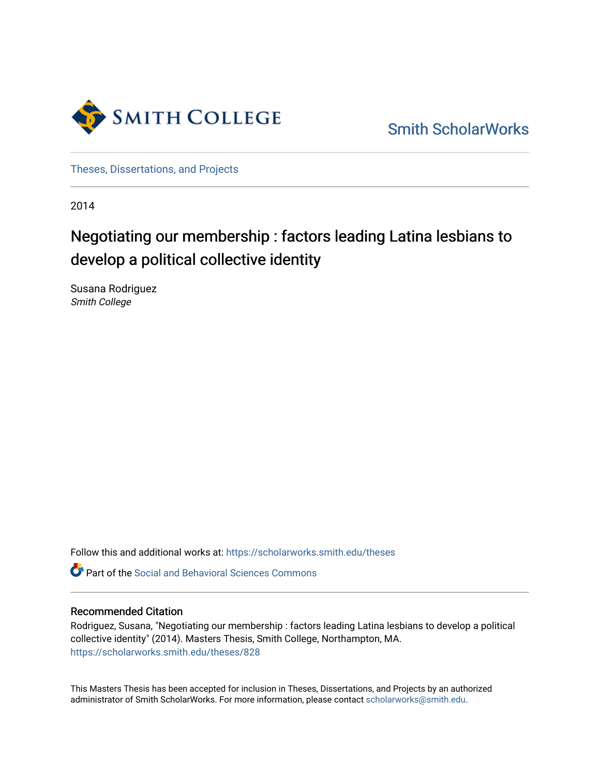

[Smith ScholarWorks](https://scholarworks.smith.edu/) 

[Theses, Dissertations, and Projects](https://scholarworks.smith.edu/theses) 

2014

# Negotiating our membership : factors leading Latina lesbians to develop a political collective identity

Susana Rodriguez Smith College

Follow this and additional works at: [https://scholarworks.smith.edu/theses](https://scholarworks.smith.edu/theses?utm_source=scholarworks.smith.edu%2Ftheses%2F828&utm_medium=PDF&utm_campaign=PDFCoverPages) 

**C** Part of the Social and Behavioral Sciences Commons

### Recommended Citation

Rodriguez, Susana, "Negotiating our membership : factors leading Latina lesbians to develop a political collective identity" (2014). Masters Thesis, Smith College, Northampton, MA. [https://scholarworks.smith.edu/theses/828](https://scholarworks.smith.edu/theses/828?utm_source=scholarworks.smith.edu%2Ftheses%2F828&utm_medium=PDF&utm_campaign=PDFCoverPages) 

This Masters Thesis has been accepted for inclusion in Theses, Dissertations, and Projects by an authorized administrator of Smith ScholarWorks. For more information, please contact [scholarworks@smith.edu](mailto:scholarworks@smith.edu).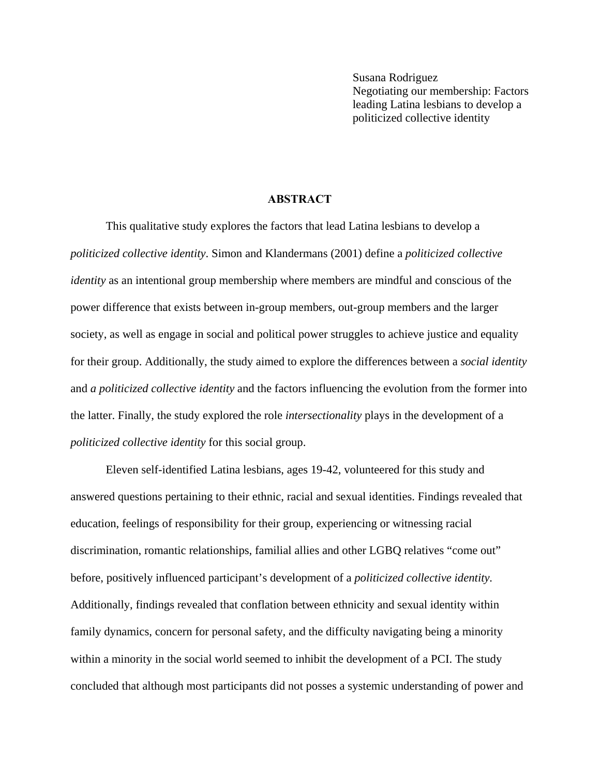Susana Rodriguez Negotiating our membership: Factors leading Latina lesbians to develop a politicized collective identity

## **ABSTRACT**

This qualitative study explores the factors that lead Latina lesbians to develop a *politicized collective identity*. Simon and Klandermans (2001) define a *politicized collective identity* as an intentional group membership where members are mindful and conscious of the power difference that exists between in-group members, out-group members and the larger society, as well as engage in social and political power struggles to achieve justice and equality for their group. Additionally, the study aimed to explore the differences between a *social identity*  and *a politicized collective identity* and the factors influencing the evolution from the former into the latter. Finally, the study explored the role *intersectionality* plays in the development of a *politicized collective identity* for this social group.

Eleven self-identified Latina lesbians, ages 19-42, volunteered for this study and answered questions pertaining to their ethnic, racial and sexual identities. Findings revealed that education, feelings of responsibility for their group, experiencing or witnessing racial discrimination, romantic relationships, familial allies and other LGBQ relatives "come out" before, positively influenced participant's development of a *politicized collective identity.*  Additionally, findings revealed that conflation between ethnicity and sexual identity within family dynamics, concern for personal safety, and the difficulty navigating being a minority within a minority in the social world seemed to inhibit the development of a PCI. The study concluded that although most participants did not posses a systemic understanding of power and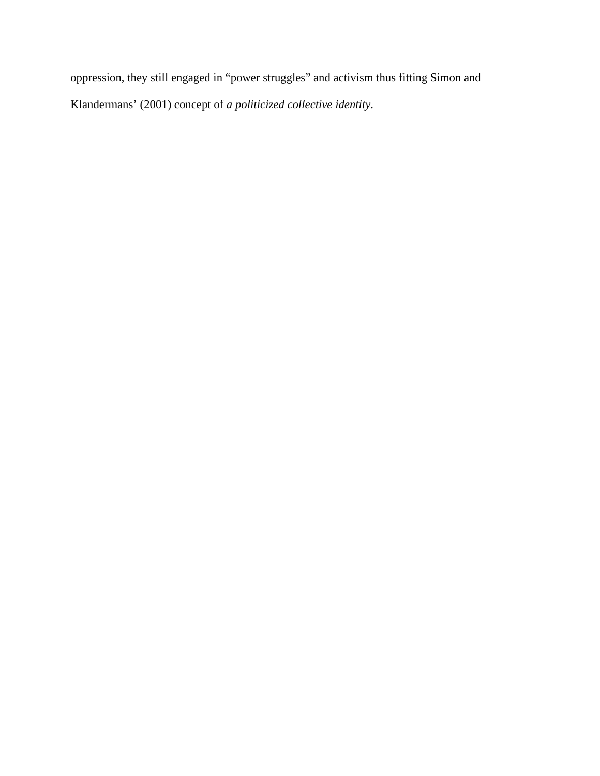oppression, they still engaged in "power struggles" and activism thus fitting Simon and Klandermans' (2001) concept of *a politicized collective identity*.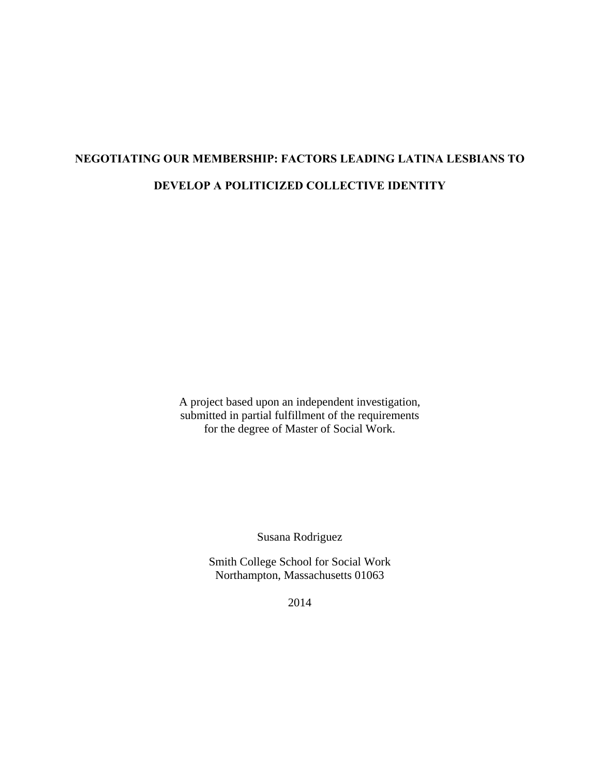# **NEGOTIATING OUR MEMBERSHIP: FACTORS LEADING LATINA LESBIANS TO DEVELOP A POLITICIZED COLLECTIVE IDENTITY**

A project based upon an independent investigation, submitted in partial fulfillment of the requirements for the degree of Master of Social Work.

Susana Rodriguez

Smith College School for Social Work Northampton, Massachusetts 01063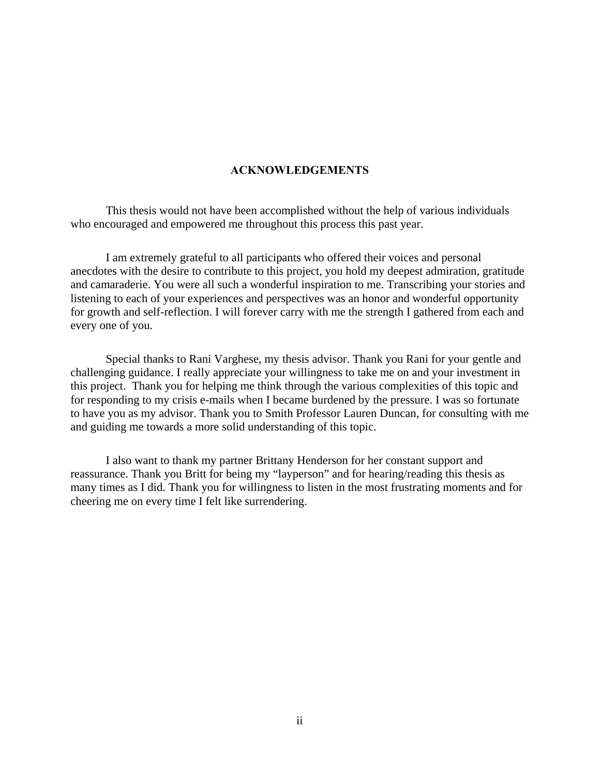### **ACKNOWLEDGEMENTS**

 This thesis would not have been accomplished without the help of various individuals who encouraged and empowered me throughout this process this past year.

 I am extremely grateful to all participants who offered their voices and personal anecdotes with the desire to contribute to this project, you hold my deepest admiration, gratitude and camaraderie. You were all such a wonderful inspiration to me. Transcribing your stories and listening to each of your experiences and perspectives was an honor and wonderful opportunity for growth and self-reflection. I will forever carry with me the strength I gathered from each and every one of you.

 Special thanks to Rani Varghese, my thesis advisor. Thank you Rani for your gentle and challenging guidance. I really appreciate your willingness to take me on and your investment in this project. Thank you for helping me think through the various complexities of this topic and for responding to my crisis e-mails when I became burdened by the pressure. I was so fortunate to have you as my advisor. Thank you to Smith Professor Lauren Duncan, for consulting with me and guiding me towards a more solid understanding of this topic.

I also want to thank my partner Brittany Henderson for her constant support and reassurance. Thank you Britt for being my "layperson" and for hearing/reading this thesis as many times as I did. Thank you for willingness to listen in the most frustrating moments and for cheering me on every time I felt like surrendering.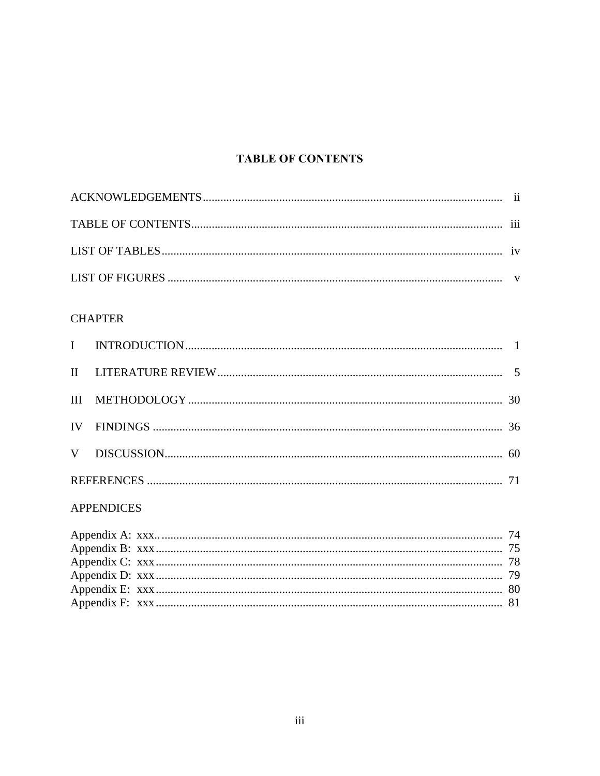# **TABLE OF CONTENTS**

## **CHAPTER**

## **APPENDICES**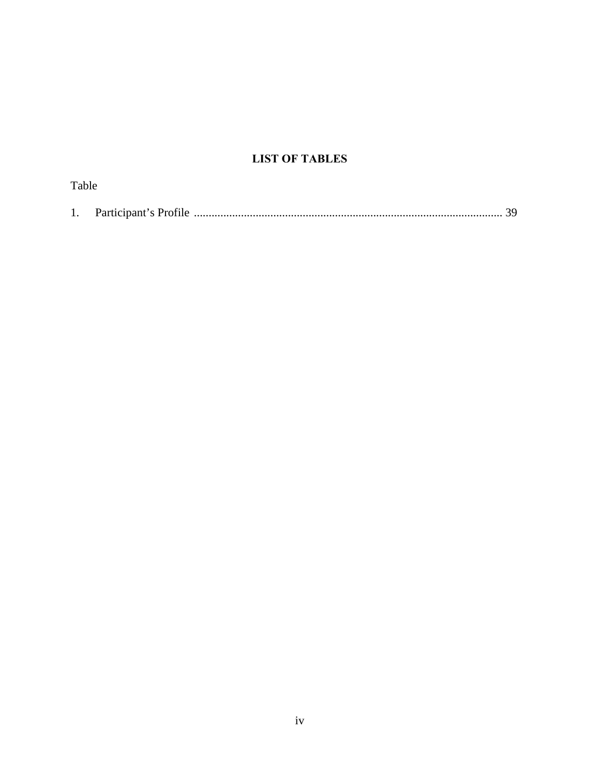# **LIST OF TABLES**

| Table |  |
|-------|--|
|       |  |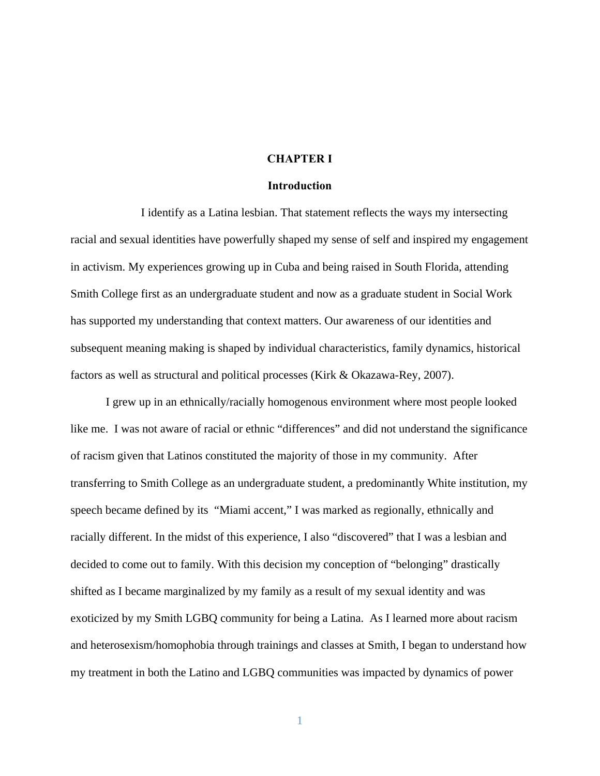#### **CHAPTER I**

#### **Introduction**

I identify as a Latina lesbian. That statement reflects the ways my intersecting racial and sexual identities have powerfully shaped my sense of self and inspired my engagement in activism. My experiences growing up in Cuba and being raised in South Florida, attending Smith College first as an undergraduate student and now as a graduate student in Social Work has supported my understanding that context matters. Our awareness of our identities and subsequent meaning making is shaped by individual characteristics, family dynamics, historical factors as well as structural and political processes (Kirk & Okazawa-Rey, 2007).

 I grew up in an ethnically/racially homogenous environment where most people looked like me. I was not aware of racial or ethnic "differences" and did not understand the significance of racism given that Latinos constituted the majority of those in my community. After transferring to Smith College as an undergraduate student, a predominantly White institution, my speech became defined by its "Miami accent," I was marked as regionally, ethnically and racially different. In the midst of this experience, I also "discovered" that I was a lesbian and decided to come out to family. With this decision my conception of "belonging" drastically shifted as I became marginalized by my family as a result of my sexual identity and was exoticized by my Smith LGBQ community for being a Latina. As I learned more about racism and heterosexism/homophobia through trainings and classes at Smith, I began to understand how my treatment in both the Latino and LGBQ communities was impacted by dynamics of power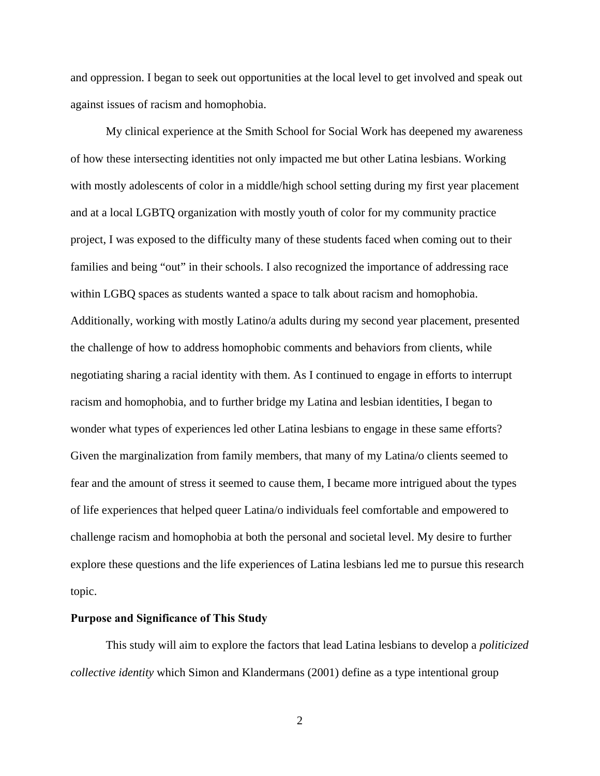and oppression. I began to seek out opportunities at the local level to get involved and speak out against issues of racism and homophobia.

My clinical experience at the Smith School for Social Work has deepened my awareness of how these intersecting identities not only impacted me but other Latina lesbians. Working with mostly adolescents of color in a middle/high school setting during my first year placement and at a local LGBTQ organization with mostly youth of color for my community practice project, I was exposed to the difficulty many of these students faced when coming out to their families and being "out" in their schools. I also recognized the importance of addressing race within LGBQ spaces as students wanted a space to talk about racism and homophobia. Additionally, working with mostly Latino/a adults during my second year placement, presented the challenge of how to address homophobic comments and behaviors from clients, while negotiating sharing a racial identity with them. As I continued to engage in efforts to interrupt racism and homophobia, and to further bridge my Latina and lesbian identities, I began to wonder what types of experiences led other Latina lesbians to engage in these same efforts? Given the marginalization from family members, that many of my Latina/o clients seemed to fear and the amount of stress it seemed to cause them, I became more intrigued about the types of life experiences that helped queer Latina/o individuals feel comfortable and empowered to challenge racism and homophobia at both the personal and societal level. My desire to further explore these questions and the life experiences of Latina lesbians led me to pursue this research topic.

#### **Purpose and Significance of This Study**

 This study will aim to explore the factors that lead Latina lesbians to develop a *politicized collective identity* which Simon and Klandermans (2001) define as a type intentional group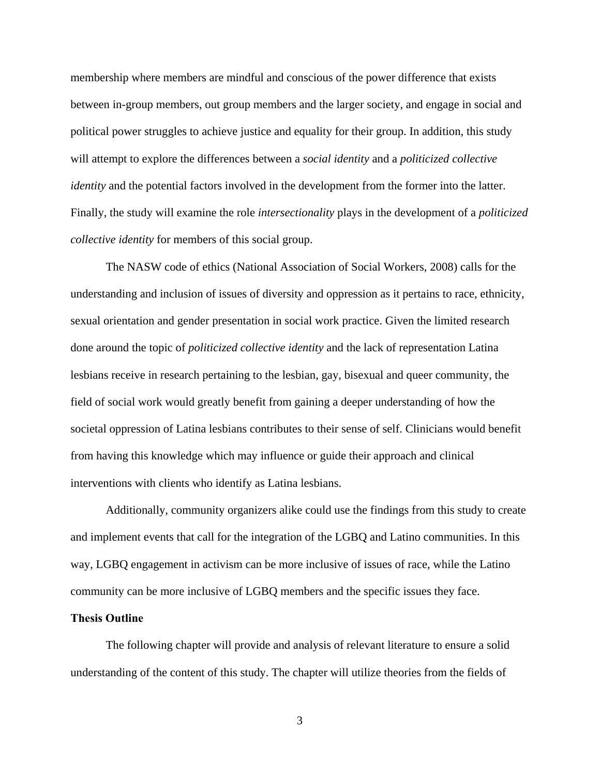membership where members are mindful and conscious of the power difference that exists between in-group members, out group members and the larger society, and engage in social and political power struggles to achieve justice and equality for their group. In addition, this study will attempt to explore the differences between a *social identity* and a *politicized collective identity* and the potential factors involved in the development from the former into the latter. Finally, the study will examine the role *intersectionality* plays in the development of a *politicized collective identity* for members of this social group.

 The NASW code of ethics (National Association of Social Workers, 2008) calls for the understanding and inclusion of issues of diversity and oppression as it pertains to race, ethnicity, sexual orientation and gender presentation in social work practice. Given the limited research done around the topic of *politicized collective identity* and the lack of representation Latina lesbians receive in research pertaining to the lesbian, gay, bisexual and queer community, the field of social work would greatly benefit from gaining a deeper understanding of how the societal oppression of Latina lesbians contributes to their sense of self. Clinicians would benefit from having this knowledge which may influence or guide their approach and clinical interventions with clients who identify as Latina lesbians.

 Additionally, community organizers alike could use the findings from this study to create and implement events that call for the integration of the LGBQ and Latino communities. In this way, LGBQ engagement in activism can be more inclusive of issues of race, while the Latino community can be more inclusive of LGBQ members and the specific issues they face.

#### **Thesis Outline**

 The following chapter will provide and analysis of relevant literature to ensure a solid understanding of the content of this study. The chapter will utilize theories from the fields of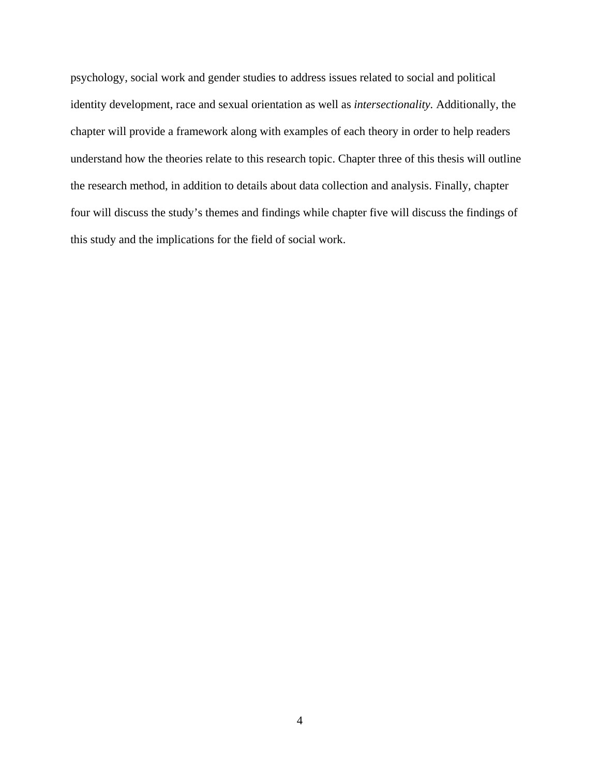psychology, social work and gender studies to address issues related to social and political identity development, race and sexual orientation as well as *intersectionality.* Additionally, the chapter will provide a framework along with examples of each theory in order to help readers understand how the theories relate to this research topic. Chapter three of this thesis will outline the research method, in addition to details about data collection and analysis. Finally, chapter four will discuss the study's themes and findings while chapter five will discuss the findings of this study and the implications for the field of social work.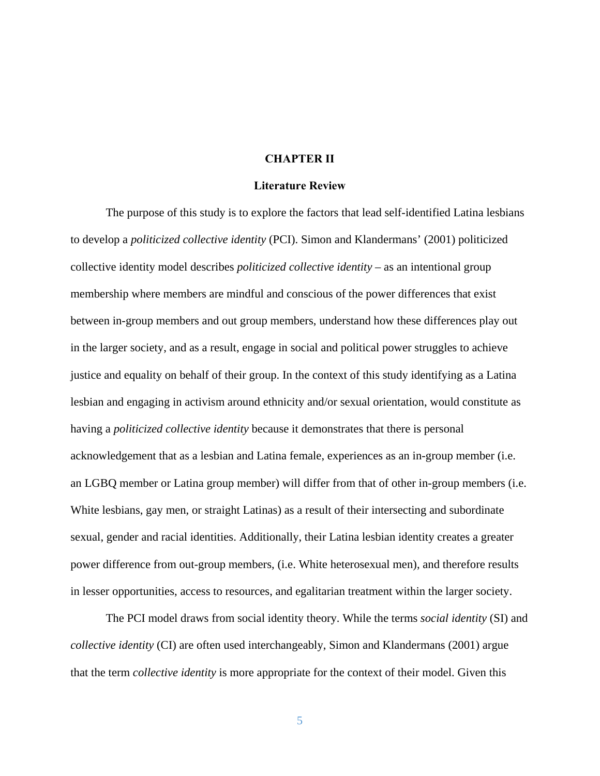#### **CHAPTER II**

#### **Literature Review**

The purpose of this study is to explore the factors that lead self-identified Latina lesbians to develop a *politicized collective identity* (PCI). Simon and Klandermans' (2001) politicized collective identity model describes *politicized collective identity* – as an intentional group membership where members are mindful and conscious of the power differences that exist between in-group members and out group members, understand how these differences play out in the larger society, and as a result, engage in social and political power struggles to achieve justice and equality on behalf of their group. In the context of this study identifying as a Latina lesbian and engaging in activism around ethnicity and/or sexual orientation, would constitute as having a *politicized collective identity* because it demonstrates that there is personal acknowledgement that as a lesbian and Latina female, experiences as an in-group member (i.e. an LGBQ member or Latina group member) will differ from that of other in-group members (i.e. White lesbians, gay men, or straight Latinas) as a result of their intersecting and subordinate sexual, gender and racial identities. Additionally, their Latina lesbian identity creates a greater power difference from out-group members, (i.e. White heterosexual men), and therefore results in lesser opportunities, access to resources, and egalitarian treatment within the larger society.

 The PCI model draws from social identity theory. While the terms *social identity* (SI) and *collective identity* (CI) are often used interchangeably, Simon and Klandermans (2001) argue that the term *collective identity* is more appropriate for the context of their model. Given this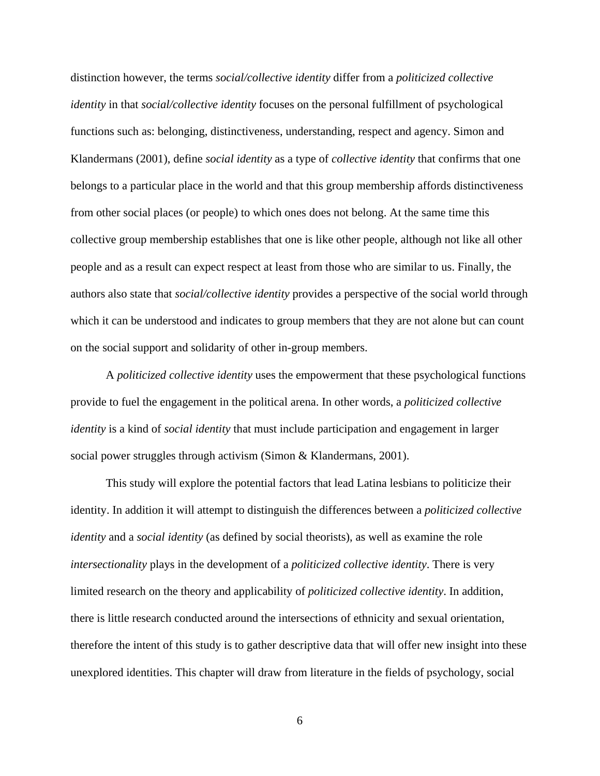distinction however, the terms *social/collective identity* differ from a *politicized collective identity* in that *social/collective identity* focuses on the personal fulfillment of psychological functions such as: belonging, distinctiveness, understanding, respect and agency. Simon and Klandermans (2001), define *social identity* as a type of *collective identity* that confirms that one belongs to a particular place in the world and that this group membership affords distinctiveness from other social places (or people) to which ones does not belong. At the same time this collective group membership establishes that one is like other people, although not like all other people and as a result can expect respect at least from those who are similar to us. Finally, the authors also state that *social/collective identity* provides a perspective of the social world through which it can be understood and indicates to group members that they are not alone but can count on the social support and solidarity of other in-group members.

 A *politicized collective identity* uses the empowerment that these psychological functions provide to fuel the engagement in the political arena. In other words, a *politicized collective identity* is a kind of *social identity* that must include participation and engagement in larger social power struggles through activism (Simon & Klandermans, 2001).

This study will explore the potential factors that lead Latina lesbians to politicize their identity. In addition it will attempt to distinguish the differences between a *politicized collective identity* and a *social identity* (as defined by social theorists), as well as examine the role *intersectionality* plays in the development of a *politicized collective identity*. There is very limited research on the theory and applicability of *politicized collective identity*. In addition, there is little research conducted around the intersections of ethnicity and sexual orientation, therefore the intent of this study is to gather descriptive data that will offer new insight into these unexplored identities. This chapter will draw from literature in the fields of psychology, social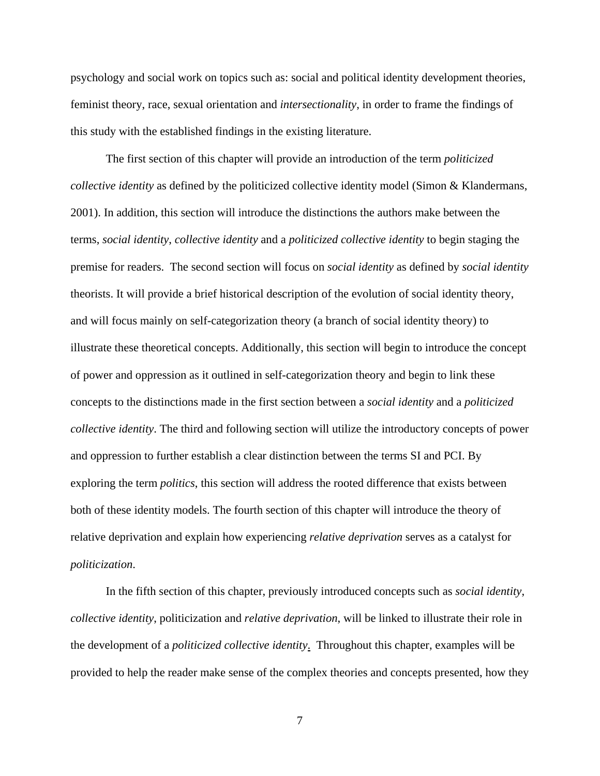psychology and social work on topics such as: social and political identity development theories, feminist theory, race, sexual orientation and *intersectionality*, in order to frame the findings of this study with the established findings in the existing literature.

The first section of this chapter will provide an introduction of the term *politicized collective identity* as defined by the politicized collective identity model (Simon & Klandermans, 2001). In addition, this section will introduce the distinctions the authors make between the terms, *social identity*, *collective identity* and a *politicized collective identity* to begin staging the premise for readers. The second section will focus on *social identity* as defined by *social identity* theorists. It will provide a brief historical description of the evolution of social identity theory, and will focus mainly on self-categorization theory (a branch of social identity theory) to illustrate these theoretical concepts. Additionally, this section will begin to introduce the concept of power and oppression as it outlined in self-categorization theory and begin to link these concepts to the distinctions made in the first section between a *social identity* and a *politicized collective identity*. The third and following section will utilize the introductory concepts of power and oppression to further establish a clear distinction between the terms SI and PCI. By exploring the term *politics*, this section will address the rooted difference that exists between both of these identity models. The fourth section of this chapter will introduce the theory of relative deprivation and explain how experiencing *relative deprivation* serves as a catalyst for *politicization*.

In the fifth section of this chapter, previously introduced concepts such as *social identity*, *collective identity*, politicization and *relative deprivation*, will be linked to illustrate their role in the development of a *politicized collective identity*. Throughout this chapter, examples will be provided to help the reader make sense of the complex theories and concepts presented, how they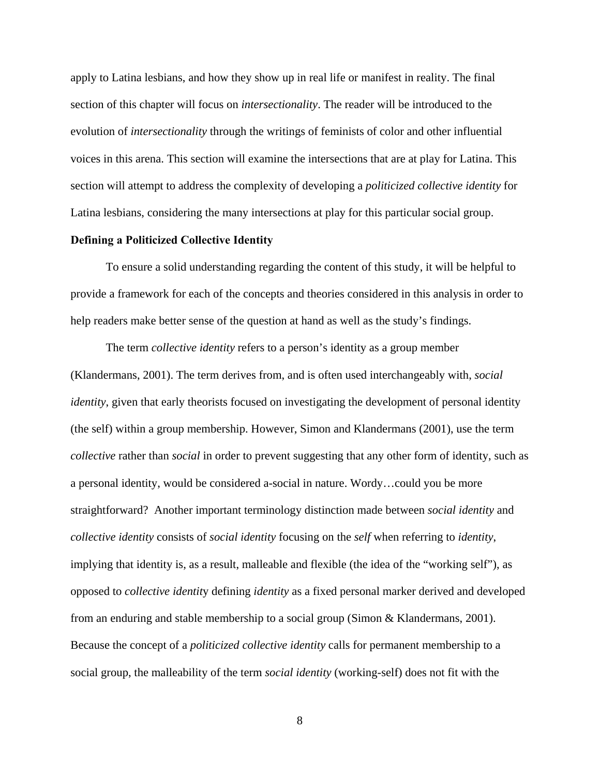apply to Latina lesbians, and how they show up in real life or manifest in reality. The final section of this chapter will focus on *intersectionality*. The reader will be introduced to the evolution of *intersectionality* through the writings of feminists of color and other influential voices in this arena. This section will examine the intersections that are at play for Latina. This section will attempt to address the complexity of developing a *politicized collective identity* for Latina lesbians, considering the many intersections at play for this particular social group.

#### **Defining a Politicized Collective Identity**

 To ensure a solid understanding regarding the content of this study, it will be helpful to provide a framework for each of the concepts and theories considered in this analysis in order to help readers make better sense of the question at hand as well as the study's findings.

 The term *collective identity* refers to a person's identity as a group member (Klandermans, 2001). The term derives from, and is often used interchangeably with, *social identity*, given that early theorists focused on investigating the development of personal identity (the self) within a group membership. However, Simon and Klandermans (2001), use the term *collective* rather than *social* in order to prevent suggesting that any other form of identity, such as a personal identity, would be considered a-social in nature. Wordy…could you be more straightforward? Another important terminology distinction made between *social identity* and *collective identity* consists of *social identity* focusing on the *self* when referring to *identity*, implying that identity is, as a result, malleable and flexible (the idea of the "working self"), as opposed to *collective identit*y defining *identity* as a fixed personal marker derived and developed from an enduring and stable membership to a social group (Simon & Klandermans, 2001). Because the concept of a *politicized collective identity* calls for permanent membership to a social group, the malleability of the term *social identity* (working-self) does not fit with the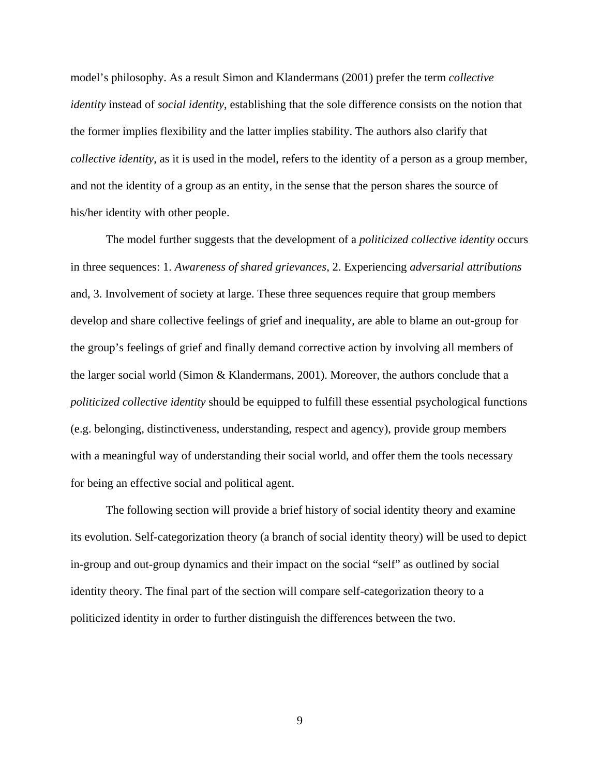model's philosophy. As a result Simon and Klandermans (2001) prefer the term *collective identity* instead of *social identity*, establishing that the sole difference consists on the notion that the former implies flexibility and the latter implies stability. The authors also clarify that *collective identity*, as it is used in the model, refers to the identity of a person as a group member, and not the identity of a group as an entity, in the sense that the person shares the source of his/her identity with other people.

The model further suggests that the development of a *politicized collective identity* occurs in three sequences: 1. *Awareness of shared grievances*, 2. Experiencing *adversarial attributions* and, 3. Involvement of society at large. These three sequences require that group members develop and share collective feelings of grief and inequality, are able to blame an out-group for the group's feelings of grief and finally demand corrective action by involving all members of the larger social world (Simon & Klandermans, 2001). Moreover, the authors conclude that a *politicized collective identity* should be equipped to fulfill these essential psychological functions (e.g. belonging, distinctiveness, understanding, respect and agency), provide group members with a meaningful way of understanding their social world, and offer them the tools necessary for being an effective social and political agent.

 The following section will provide a brief history of social identity theory and examine its evolution. Self-categorization theory (a branch of social identity theory) will be used to depict in-group and out-group dynamics and their impact on the social "self" as outlined by social identity theory. The final part of the section will compare self-categorization theory to a politicized identity in order to further distinguish the differences between the two.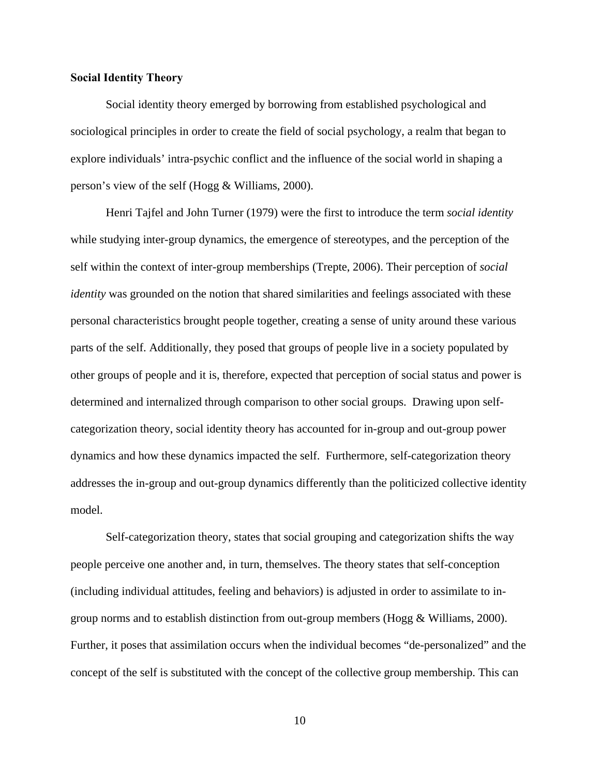### **Social Identity Theory**

 Social identity theory emerged by borrowing from established psychological and sociological principles in order to create the field of social psychology, a realm that began to explore individuals' intra-psychic conflict and the influence of the social world in shaping a person's view of the self (Hogg & Williams, 2000).

 Henri Tajfel and John Turner (1979) were the first to introduce the term *social identity* while studying inter-group dynamics, the emergence of stereotypes, and the perception of the self within the context of inter-group memberships (Trepte, 2006). Their perception of *social identity* was grounded on the notion that shared similarities and feelings associated with these personal characteristics brought people together, creating a sense of unity around these various parts of the self. Additionally, they posed that groups of people live in a society populated by other groups of people and it is, therefore, expected that perception of social status and power is determined and internalized through comparison to other social groups. Drawing upon selfcategorization theory, social identity theory has accounted for in-group and out-group power dynamics and how these dynamics impacted the self. Furthermore, self-categorization theory addresses the in-group and out-group dynamics differently than the politicized collective identity model.

 Self-categorization theory, states that social grouping and categorization shifts the way people perceive one another and, in turn, themselves. The theory states that self-conception (including individual attitudes, feeling and behaviors) is adjusted in order to assimilate to ingroup norms and to establish distinction from out-group members (Hogg  $&$  Williams, 2000). Further, it poses that assimilation occurs when the individual becomes "de-personalized" and the concept of the self is substituted with the concept of the collective group membership. This can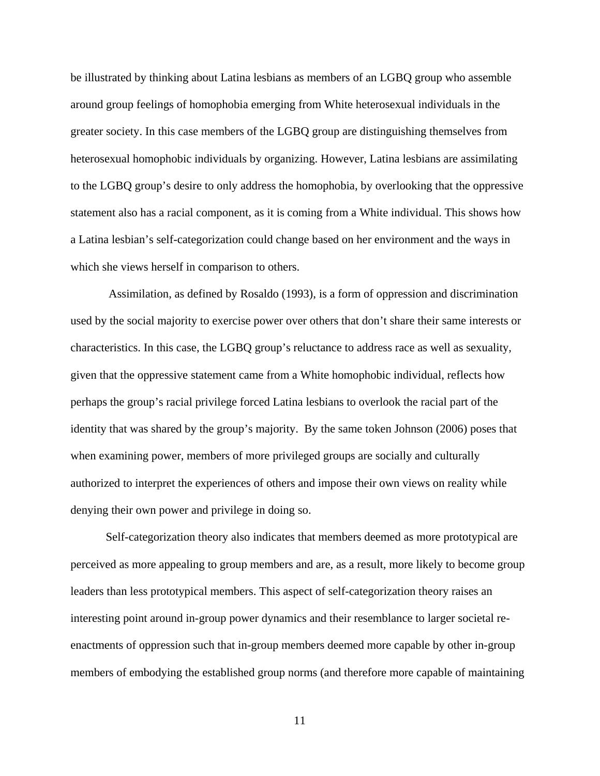be illustrated by thinking about Latina lesbians as members of an LGBQ group who assemble around group feelings of homophobia emerging from White heterosexual individuals in the greater society. In this case members of the LGBQ group are distinguishing themselves from heterosexual homophobic individuals by organizing. However, Latina lesbians are assimilating to the LGBQ group's desire to only address the homophobia, by overlooking that the oppressive statement also has a racial component, as it is coming from a White individual. This shows how a Latina lesbian's self-categorization could change based on her environment and the ways in which she views herself in comparison to others.

 Assimilation, as defined by Rosaldo (1993), is a form of oppression and discrimination used by the social majority to exercise power over others that don't share their same interests or characteristics. In this case, the LGBQ group's reluctance to address race as well as sexuality, given that the oppressive statement came from a White homophobic individual, reflects how perhaps the group's racial privilege forced Latina lesbians to overlook the racial part of the identity that was shared by the group's majority. By the same token Johnson (2006) poses that when examining power, members of more privileged groups are socially and culturally authorized to interpret the experiences of others and impose their own views on reality while denying their own power and privilege in doing so.

 Self-categorization theory also indicates that members deemed as more prototypical are perceived as more appealing to group members and are, as a result, more likely to become group leaders than less prototypical members. This aspect of self-categorization theory raises an interesting point around in-group power dynamics and their resemblance to larger societal reenactments of oppression such that in-group members deemed more capable by other in-group members of embodying the established group norms (and therefore more capable of maintaining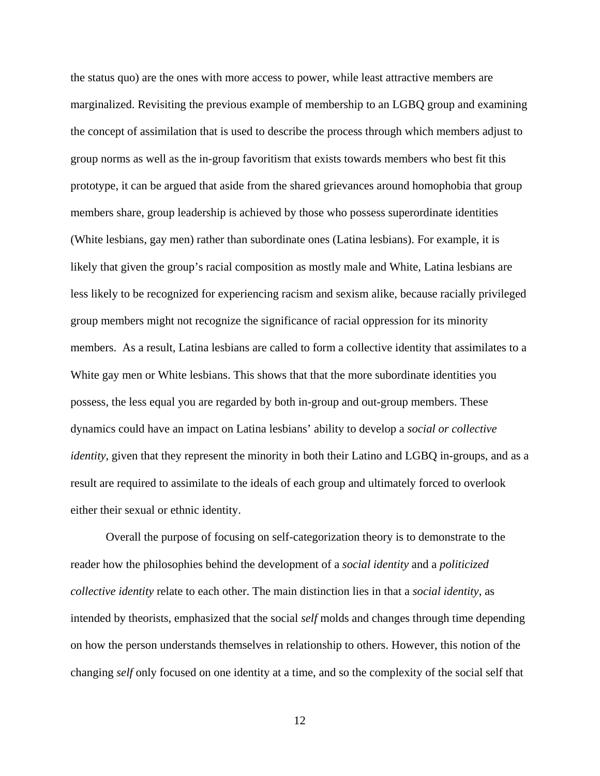the status quo) are the ones with more access to power, while least attractive members are marginalized. Revisiting the previous example of membership to an LGBQ group and examining the concept of assimilation that is used to describe the process through which members adjust to group norms as well as the in-group favoritism that exists towards members who best fit this prototype, it can be argued that aside from the shared grievances around homophobia that group members share, group leadership is achieved by those who possess superordinate identities (White lesbians, gay men) rather than subordinate ones (Latina lesbians). For example, it is likely that given the group's racial composition as mostly male and White, Latina lesbians are less likely to be recognized for experiencing racism and sexism alike, because racially privileged group members might not recognize the significance of racial oppression for its minority members. As a result, Latina lesbians are called to form a collective identity that assimilates to a White gay men or White lesbians. This shows that that the more subordinate identities you possess, the less equal you are regarded by both in-group and out-group members. These dynamics could have an impact on Latina lesbians' ability to develop a *social or collective identity*, given that they represent the minority in both their Latino and LGBQ in-groups, and as a result are required to assimilate to the ideals of each group and ultimately forced to overlook either their sexual or ethnic identity.

 Overall the purpose of focusing on self-categorization theory is to demonstrate to the reader how the philosophies behind the development of a *social identity* and a *politicized collective identity* relate to each other. The main distinction lies in that a *social identity*, as intended by theorists, emphasized that the social *self* molds and changes through time depending on how the person understands themselves in relationship to others. However, this notion of the changing *self* only focused on one identity at a time, and so the complexity of the social self that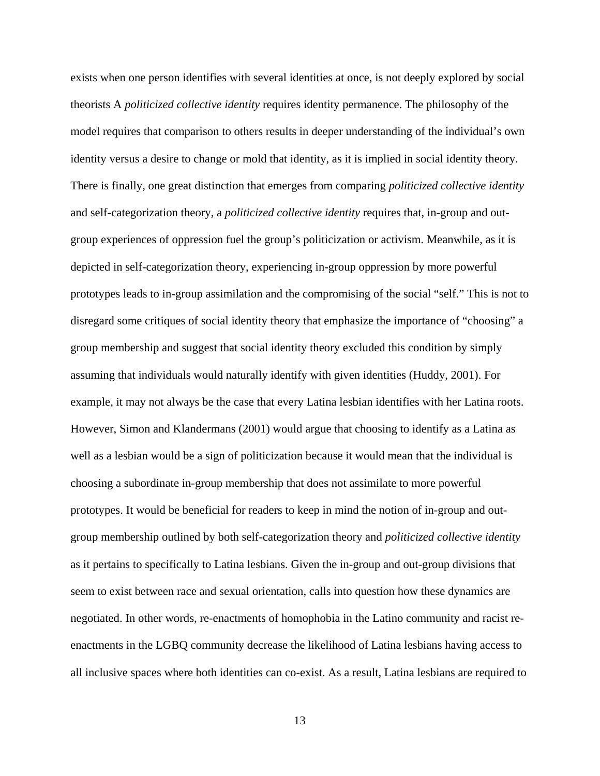exists when one person identifies with several identities at once, is not deeply explored by social theorists A *politicized collective identity* requires identity permanence. The philosophy of the model requires that comparison to others results in deeper understanding of the individual's own identity versus a desire to change or mold that identity, as it is implied in social identity theory. There is finally, one great distinction that emerges from comparing *politicized collective identity* and self-categorization theory, a *politicized collective identity* requires that, in-group and outgroup experiences of oppression fuel the group's politicization or activism. Meanwhile, as it is depicted in self-categorization theory, experiencing in-group oppression by more powerful prototypes leads to in-group assimilation and the compromising of the social "self." This is not to disregard some critiques of social identity theory that emphasize the importance of "choosing" a group membership and suggest that social identity theory excluded this condition by simply assuming that individuals would naturally identify with given identities (Huddy, 2001). For example, it may not always be the case that every Latina lesbian identifies with her Latina roots. However, Simon and Klandermans (2001) would argue that choosing to identify as a Latina as well as a lesbian would be a sign of politicization because it would mean that the individual is choosing a subordinate in-group membership that does not assimilate to more powerful prototypes. It would be beneficial for readers to keep in mind the notion of in-group and outgroup membership outlined by both self-categorization theory and *politicized collective identity* as it pertains to specifically to Latina lesbians. Given the in-group and out-group divisions that seem to exist between race and sexual orientation, calls into question how these dynamics are negotiated. In other words, re-enactments of homophobia in the Latino community and racist reenactments in the LGBQ community decrease the likelihood of Latina lesbians having access to all inclusive spaces where both identities can co-exist. As a result, Latina lesbians are required to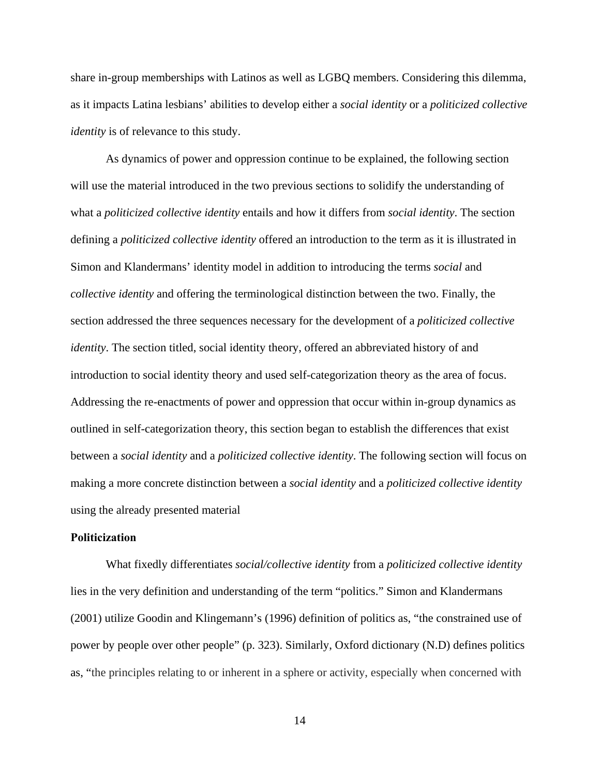share in-group memberships with Latinos as well as LGBQ members. Considering this dilemma, as it impacts Latina lesbians' abilities to develop either a *social identity* or a *politicized collective identity* is of relevance to this study.

 As dynamics of power and oppression continue to be explained, the following section will use the material introduced in the two previous sections to solidify the understanding of what a *politicized collective identity* entails and how it differs from *social identity*. The section defining a *politicized collective identity* offered an introduction to the term as it is illustrated in Simon and Klandermans' identity model in addition to introducing the terms *social* and *collective identity* and offering the terminological distinction between the two. Finally, the section addressed the three sequences necessary for the development of a *politicized collective identity*. The section titled, social identity theory, offered an abbreviated history of and introduction to social identity theory and used self-categorization theory as the area of focus. Addressing the re-enactments of power and oppression that occur within in-group dynamics as outlined in self-categorization theory, this section began to establish the differences that exist between a *social identity* and a *politicized collective identity*. The following section will focus on making a more concrete distinction between a *social identity* and a *politicized collective identity* using the already presented material

#### **Politicization**

 What fixedly differentiates *social/collective identity* from a *politicized collective identity* lies in the very definition and understanding of the term "politics." Simon and Klandermans (2001) utilize Goodin and Klingemann's (1996) definition of politics as, "the constrained use of power by people over other people" (p. 323). Similarly, Oxford dictionary (N.D) defines politics as, "the principles relating to or inherent in a sphere or activity, especially when concerned with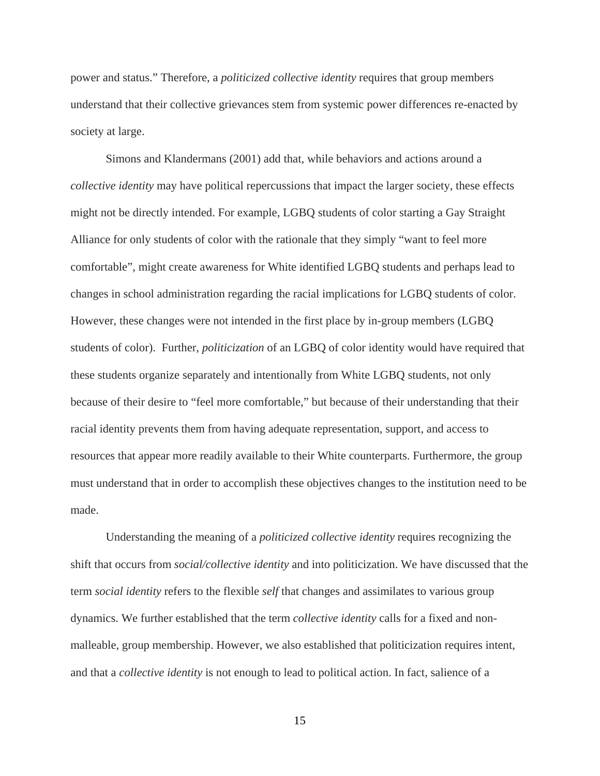power and status." Therefore, a *politicized collective identity* requires that group members understand that their collective grievances stem from systemic power differences re-enacted by society at large.

 Simons and Klandermans (2001) add that, while behaviors and actions around a *collective identity* may have political repercussions that impact the larger society, these effects might not be directly intended. For example, LGBQ students of color starting a Gay Straight Alliance for only students of color with the rationale that they simply "want to feel more comfortable", might create awareness for White identified LGBQ students and perhaps lead to changes in school administration regarding the racial implications for LGBQ students of color. However, these changes were not intended in the first place by in-group members (LGBQ students of color). Further, *politicization* of an LGBQ of color identity would have required that these students organize separately and intentionally from White LGBQ students, not only because of their desire to "feel more comfortable," but because of their understanding that their racial identity prevents them from having adequate representation, support, and access to resources that appear more readily available to their White counterparts. Furthermore, the group must understand that in order to accomplish these objectives changes to the institution need to be made.

 Understanding the meaning of a *politicized collective identity* requires recognizing the shift that occurs from *social/collective identity* and into politicization. We have discussed that the term *social identity* refers to the flexible *self* that changes and assimilates to various group dynamics. We further established that the term *collective identity* calls for a fixed and nonmalleable, group membership. However, we also established that politicization requires intent, and that a *collective identity* is not enough to lead to political action. In fact, salience of a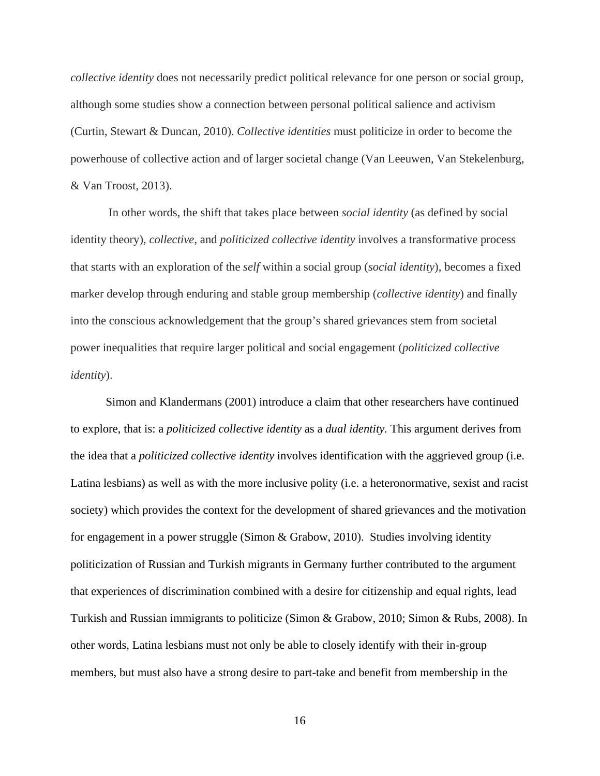*collective identity* does not necessarily predict political relevance for one person or social group, although some studies show a connection between personal political salience and activism (Curtin, Stewart & Duncan, 2010). *Collective identities* must politicize in order to become the powerhouse of collective action and of larger societal change (Van Leeuwen, Van Stekelenburg, & Van Troost, 2013).

 In other words, the shift that takes place between *social identity* (as defined by social identity theory), *collective*, and *politicized collective identity* involves a transformative process that starts with an exploration of the *self* within a social group (*social identity*), becomes a fixed marker develop through enduring and stable group membership (*collective identity*) and finally into the conscious acknowledgement that the group's shared grievances stem from societal power inequalities that require larger political and social engagement (*politicized collective identity*).

 Simon and Klandermans (2001) introduce a claim that other researchers have continued to explore, that is: a *politicized collective identity* as a *dual identity.* This argument derives from the idea that a *politicized collective identity* involves identification with the aggrieved group (i.e. Latina lesbians) as well as with the more inclusive polity (i.e. a heteronormative, sexist and racist society) which provides the context for the development of shared grievances and the motivation for engagement in a power struggle (Simon & Grabow, 2010). Studies involving identity politicization of Russian and Turkish migrants in Germany further contributed to the argument that experiences of discrimination combined with a desire for citizenship and equal rights, lead Turkish and Russian immigrants to politicize (Simon & Grabow, 2010; Simon & Rubs, 2008). In other words, Latina lesbians must not only be able to closely identify with their in-group members, but must also have a strong desire to part-take and benefit from membership in the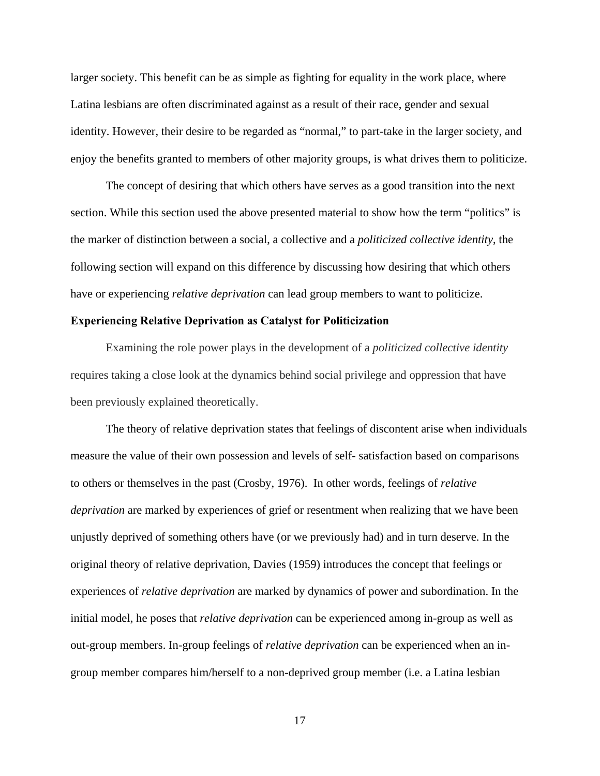larger society. This benefit can be as simple as fighting for equality in the work place, where Latina lesbians are often discriminated against as a result of their race, gender and sexual identity. However, their desire to be regarded as "normal," to part-take in the larger society, and enjoy the benefits granted to members of other majority groups, is what drives them to politicize.

 The concept of desiring that which others have serves as a good transition into the next section. While this section used the above presented material to show how the term "politics" is the marker of distinction between a social, a collective and a *politicized collective identity*, the following section will expand on this difference by discussing how desiring that which others have or experiencing *relative deprivation* can lead group members to want to politicize.

### **Experiencing Relative Deprivation as Catalyst for Politicization**

 Examining the role power plays in the development of a *politicized collective identity* requires taking a close look at the dynamics behind social privilege and oppression that have been previously explained theoretically.

 The theory of relative deprivation states that feelings of discontent arise when individuals measure the value of their own possession and levels of self- satisfaction based on comparisons to others or themselves in the past (Crosby, 1976). In other words, feelings of *relative deprivation* are marked by experiences of grief or resentment when realizing that we have been unjustly deprived of something others have (or we previously had) and in turn deserve. In the original theory of relative deprivation, Davies (1959) introduces the concept that feelings or experiences of *relative deprivation* are marked by dynamics of power and subordination. In the initial model, he poses that *relative deprivation* can be experienced among in-group as well as out-group members. In-group feelings of *relative deprivation* can be experienced when an ingroup member compares him/herself to a non-deprived group member (i.e. a Latina lesbian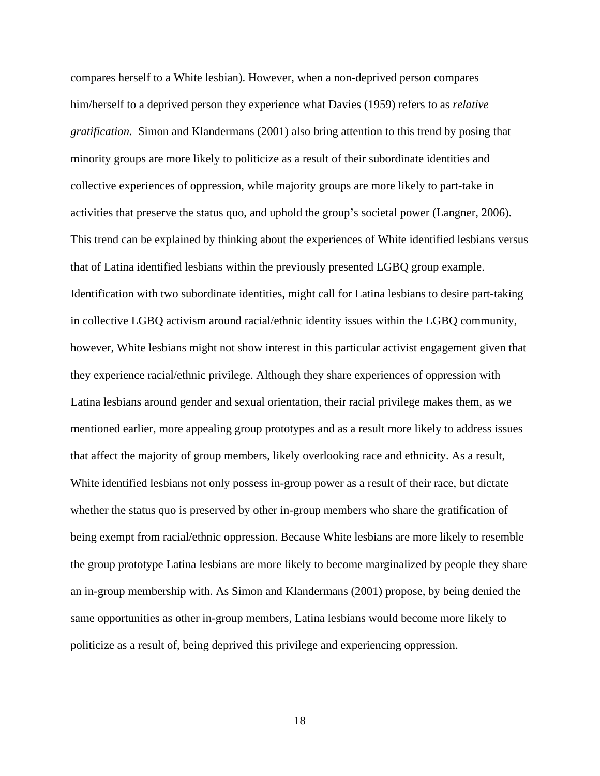compares herself to a White lesbian). However, when a non-deprived person compares him/herself to a deprived person they experience what Davies (1959) refers to as *relative gratification.* Simon and Klandermans (2001) also bring attention to this trend by posing that minority groups are more likely to politicize as a result of their subordinate identities and collective experiences of oppression, while majority groups are more likely to part-take in activities that preserve the status quo, and uphold the group's societal power (Langner, 2006). This trend can be explained by thinking about the experiences of White identified lesbians versus that of Latina identified lesbians within the previously presented LGBQ group example. Identification with two subordinate identities, might call for Latina lesbians to desire part-taking in collective LGBQ activism around racial/ethnic identity issues within the LGBQ community, however, White lesbians might not show interest in this particular activist engagement given that they experience racial/ethnic privilege. Although they share experiences of oppression with Latina lesbians around gender and sexual orientation, their racial privilege makes them, as we mentioned earlier, more appealing group prototypes and as a result more likely to address issues that affect the majority of group members, likely overlooking race and ethnicity. As a result, White identified lesbians not only possess in-group power as a result of their race, but dictate whether the status quo is preserved by other in-group members who share the gratification of being exempt from racial/ethnic oppression. Because White lesbians are more likely to resemble the group prototype Latina lesbians are more likely to become marginalized by people they share an in-group membership with. As Simon and Klandermans (2001) propose, by being denied the same opportunities as other in-group members, Latina lesbians would become more likely to politicize as a result of, being deprived this privilege and experiencing oppression.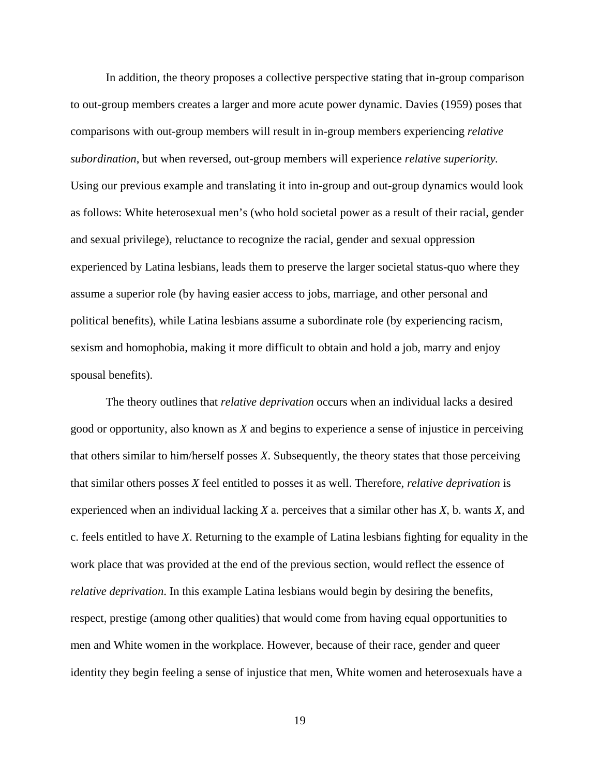In addition, the theory proposes a collective perspective stating that in-group comparison to out-group members creates a larger and more acute power dynamic. Davies (1959) poses that comparisons with out-group members will result in in-group members experiencing *relative subordination*, but when reversed, out-group members will experience *relative superiority.*  Using our previous example and translating it into in-group and out-group dynamics would look as follows: White heterosexual men's (who hold societal power as a result of their racial, gender and sexual privilege), reluctance to recognize the racial, gender and sexual oppression experienced by Latina lesbians, leads them to preserve the larger societal status-quo where they assume a superior role (by having easier access to jobs, marriage, and other personal and political benefits), while Latina lesbians assume a subordinate role (by experiencing racism, sexism and homophobia, making it more difficult to obtain and hold a job, marry and enjoy spousal benefits).

 The theory outlines that *relative deprivation* occurs when an individual lacks a desired good or opportunity, also known as *X* and begins to experience a sense of injustice in perceiving that others similar to him/herself posses *X*. Subsequently, the theory states that those perceiving that similar others posses *X* feel entitled to posses it as well. Therefore, *relative deprivation* is experienced when an individual lacking *X* a. perceives that a similar other has *X*, b. wants *X*, and c. feels entitled to have *X*. Returning to the example of Latina lesbians fighting for equality in the work place that was provided at the end of the previous section, would reflect the essence of *relative deprivation*. In this example Latina lesbians would begin by desiring the benefits, respect, prestige (among other qualities) that would come from having equal opportunities to men and White women in the workplace. However, because of their race, gender and queer identity they begin feeling a sense of injustice that men, White women and heterosexuals have a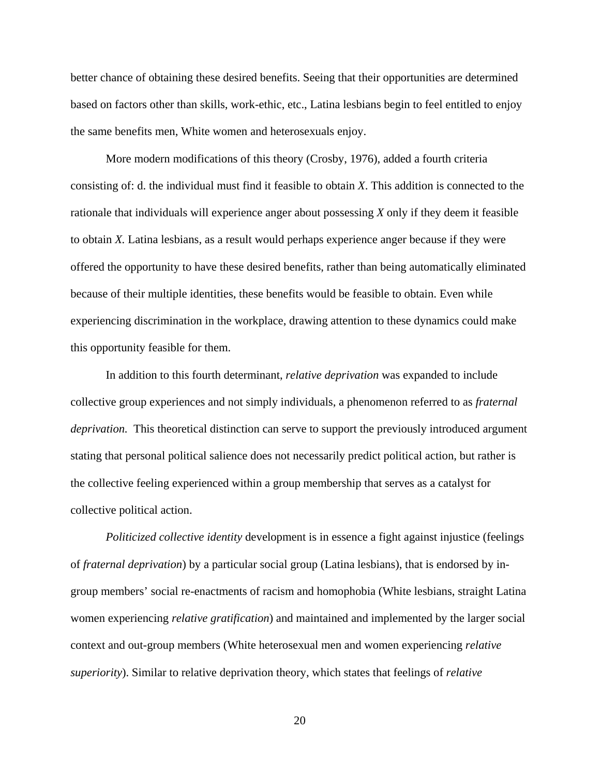better chance of obtaining these desired benefits. Seeing that their opportunities are determined based on factors other than skills, work-ethic, etc., Latina lesbians begin to feel entitled to enjoy the same benefits men, White women and heterosexuals enjoy.

 More modern modifications of this theory (Crosby, 1976), added a fourth criteria consisting of: d. the individual must find it feasible to obtain *X*. This addition is connected to the rationale that individuals will experience anger about possessing *X* only if they deem it feasible to obtain *X.* Latina lesbians, as a result would perhaps experience anger because if they were offered the opportunity to have these desired benefits, rather than being automatically eliminated because of their multiple identities, these benefits would be feasible to obtain. Even while experiencing discrimination in the workplace, drawing attention to these dynamics could make this opportunity feasible for them.

 In addition to this fourth determinant, *relative deprivation* was expanded to include collective group experiences and not simply individuals, a phenomenon referred to as *fraternal deprivation.* This theoretical distinction can serve to support the previously introduced argument stating that personal political salience does not necessarily predict political action, but rather is the collective feeling experienced within a group membership that serves as a catalyst for collective political action.

*Politicized collective identity* development is in essence a fight against injustice (feelings of *fraternal deprivation*) by a particular social group (Latina lesbians), that is endorsed by ingroup members' social re-enactments of racism and homophobia (White lesbians, straight Latina women experiencing *relative gratification*) and maintained and implemented by the larger social context and out-group members (White heterosexual men and women experiencing *relative superiority*). Similar to relative deprivation theory, which states that feelings of *relative*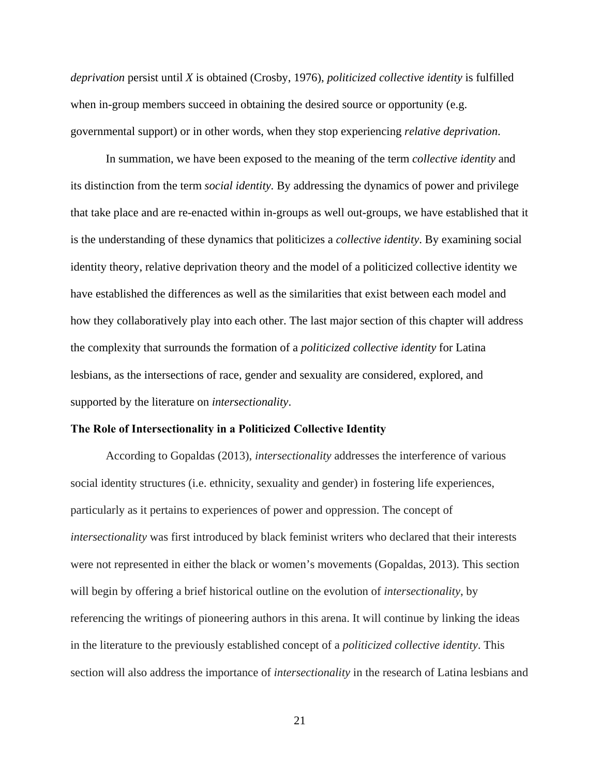*deprivation* persist until *X* is obtained (Crosby, 1976), *politicized collective identity* is fulfilled when in-group members succeed in obtaining the desired source or opportunity (e.g. governmental support) or in other words, when they stop experiencing *relative deprivation*.

 In summation, we have been exposed to the meaning of the term *collective identity* and its distinction from the term *social identity.* By addressing the dynamics of power and privilege that take place and are re-enacted within in-groups as well out-groups, we have established that it is the understanding of these dynamics that politicizes a *collective identity*. By examining social identity theory, relative deprivation theory and the model of a politicized collective identity we have established the differences as well as the similarities that exist between each model and how they collaboratively play into each other. The last major section of this chapter will address the complexity that surrounds the formation of a *politicized collective identity* for Latina lesbians, as the intersections of race, gender and sexuality are considered, explored, and supported by the literature on *intersectionality*.

#### **The Role of Intersectionality in a Politicized Collective Identity**

 According to Gopaldas (2013), *intersectionality* addresses the interference of various social identity structures (i.e. ethnicity, sexuality and gender) in fostering life experiences, particularly as it pertains to experiences of power and oppression. The concept of *intersectionality* was first introduced by black feminist writers who declared that their interests were not represented in either the black or women's movements (Gopaldas, 2013). This section will begin by offering a brief historical outline on the evolution of *intersectionality*, by referencing the writings of pioneering authors in this arena. It will continue by linking the ideas in the literature to the previously established concept of a *politicized collective identity*. This section will also address the importance of *intersectionality* in the research of Latina lesbians and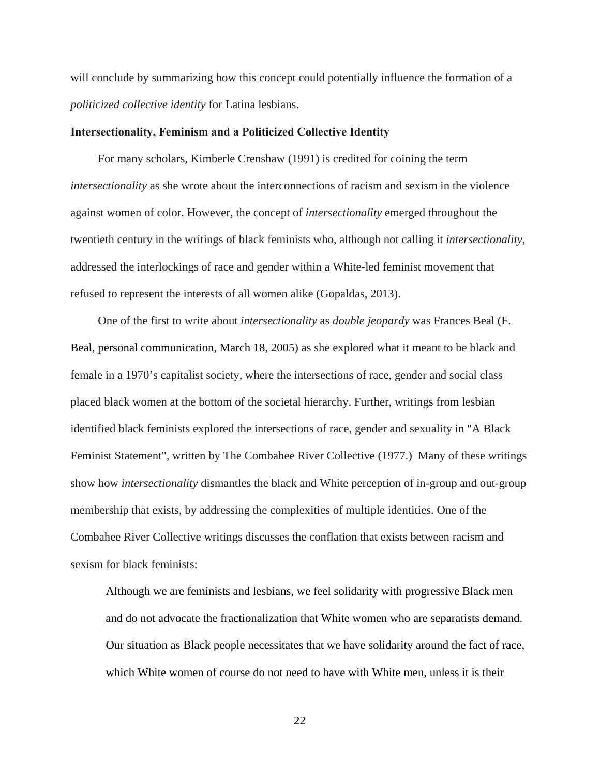will conclude by summarizing how this concept could potentially influence the formation of a *politicized collective identity* for Latina lesbians.

#### **Intersectionality, Feminism and a Politicized Collective Identity**

 For many scholars, Kimberle Crenshaw (1991) is credited for coining the term *intersectionality* as she wrote about the interconnections of racism and sexism in the violence against women of color. However, the concept of *intersectionality* emerged throughout the twentieth century in the writings of black feminists who, although not calling it *intersectionality,*  addressed the interlockings of race and gender within a White-led feminist movement that refused to represent the interests of all women alike (Gopaldas, 2013).

 One of the first to write about *intersectionality* as *double jeopardy* was Frances Beal (F. Beal, personal communication, March 18, 2005) as she explored what it meant to be black and female in a 1970's capitalist society, where the intersections of race, gender and social class placed black women at the bottom of the societal hierarchy. Further, writings from lesbian identified black feminists explored the intersections of race, gender and sexuality in "A Black Feminist Statement"*,* written by The Combahee River Collective (1977.) Many of these writings show how *intersectionality* dismantles the black and White perception of in-group and out-group membership that exists, by addressing the complexities of multiple identities. One of the Combahee River Collective writings discusses the conflation that exists between racism and sexism for black feminists:

Although we are feminists and lesbians, we feel solidarity with progressive Black men and do not advocate the fractionalization that White women who are separatists demand. Our situation as Black people necessitates that we have solidarity around the fact of race, which White women of course do not need to have with White men, unless it is their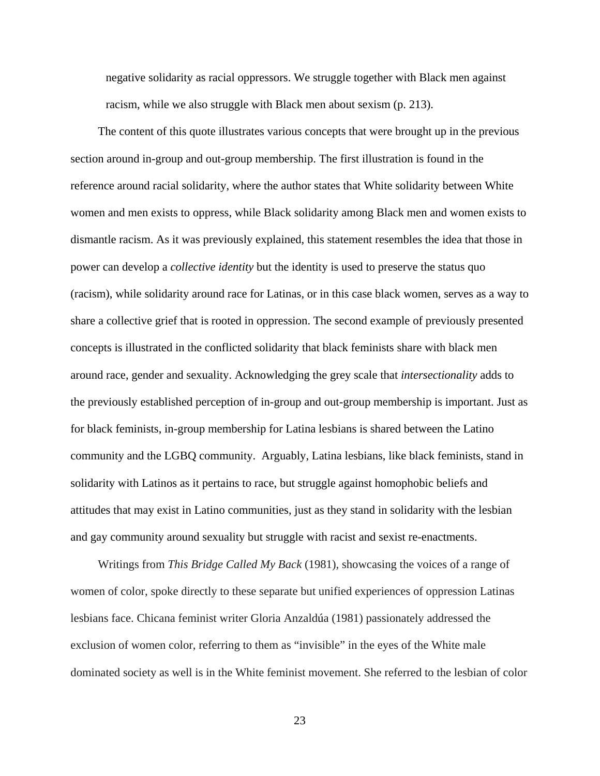negative solidarity as racial oppressors. We struggle together with Black men against racism, while we also struggle with Black men about sexism (p. 213).

 The content of this quote illustrates various concepts that were brought up in the previous section around in-group and out-group membership. The first illustration is found in the reference around racial solidarity, where the author states that White solidarity between White women and men exists to oppress, while Black solidarity among Black men and women exists to dismantle racism. As it was previously explained, this statement resembles the idea that those in power can develop a *collective identity* but the identity is used to preserve the status quo (racism), while solidarity around race for Latinas, or in this case black women, serves as a way to share a collective grief that is rooted in oppression. The second example of previously presented concepts is illustrated in the conflicted solidarity that black feminists share with black men around race, gender and sexuality. Acknowledging the grey scale that *intersectionality* adds to the previously established perception of in-group and out-group membership is important. Just as for black feminists, in-group membership for Latina lesbians is shared between the Latino community and the LGBQ community. Arguably, Latina lesbians, like black feminists, stand in solidarity with Latinos as it pertains to race, but struggle against homophobic beliefs and attitudes that may exist in Latino communities, just as they stand in solidarity with the lesbian and gay community around sexuality but struggle with racist and sexist re-enactments.

Writings from *This Bridge Called My Back* (1981)*,* showcasing the voices of a range of women of color, spoke directly to these separate but unified experiences of oppression Latinas lesbians face. Chicana feminist writer Gloria Anzaldúa (1981) passionately addressed the exclusion of women color, referring to them as "invisible" in the eyes of the White male dominated society as well is in the White feminist movement. She referred to the lesbian of color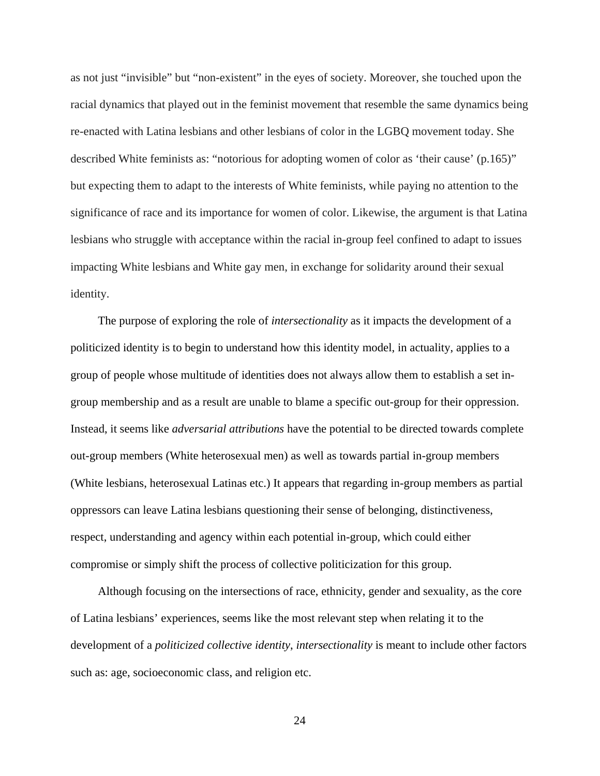as not just "invisible" but "non-existent" in the eyes of society. Moreover, she touched upon the racial dynamics that played out in the feminist movement that resemble the same dynamics being re-enacted with Latina lesbians and other lesbians of color in the LGBQ movement today. She described White feminists as: "notorious for adopting women of color as 'their cause' (p.165)" but expecting them to adapt to the interests of White feminists, while paying no attention to the significance of race and its importance for women of color. Likewise, the argument is that Latina lesbians who struggle with acceptance within the racial in-group feel confined to adapt to issues impacting White lesbians and White gay men, in exchange for solidarity around their sexual identity.

 The purpose of exploring the role of *intersectionality* as it impacts the development of a politicized identity is to begin to understand how this identity model, in actuality, applies to a group of people whose multitude of identities does not always allow them to establish a set ingroup membership and as a result are unable to blame a specific out-group for their oppression. Instead, it seems like *adversarial attributions* have the potential to be directed towards complete out-group members (White heterosexual men) as well as towards partial in-group members (White lesbians, heterosexual Latinas etc.) It appears that regarding in-group members as partial oppressors can leave Latina lesbians questioning their sense of belonging, distinctiveness, respect, understanding and agency within each potential in-group, which could either compromise or simply shift the process of collective politicization for this group.

 Although focusing on the intersections of race, ethnicity, gender and sexuality, as the core of Latina lesbians' experiences, seems like the most relevant step when relating it to the development of a *politicized collective identity*, *intersectionality* is meant to include other factors such as: age, socioeconomic class, and religion etc.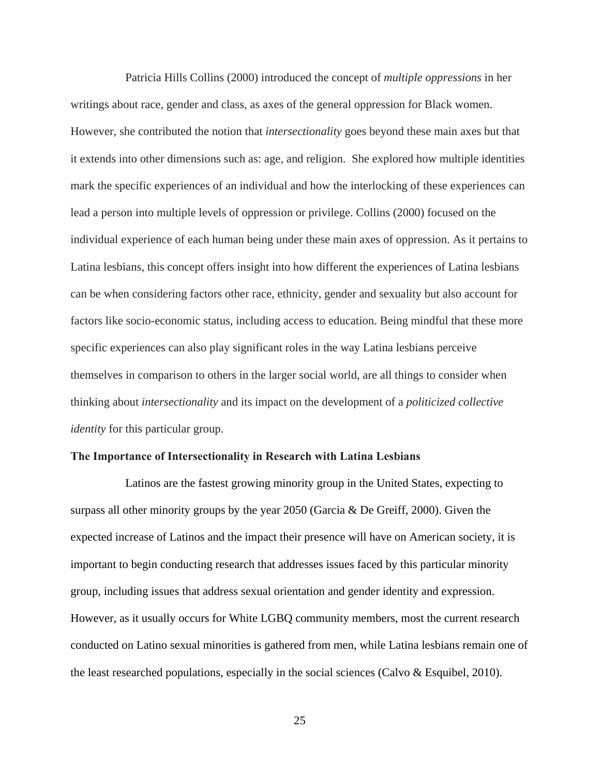Patricia Hills Collins (2000) introduced the concept of *multiple oppressions* in her writings about race, gender and class, as axes of the general oppression for Black women. However, she contributed the notion that *intersectionality* goes beyond these main axes but that it extends into other dimensions such as: age, and religion. She explored how multiple identities mark the specific experiences of an individual and how the interlocking of these experiences can lead a person into multiple levels of oppression or privilege. Collins (2000) focused on the individual experience of each human being under these main axes of oppression. As it pertains to Latina lesbians, this concept offers insight into how different the experiences of Latina lesbians can be when considering factors other race, ethnicity, gender and sexuality but also account for factors like socio-economic status, including access to education. Being mindful that these more specific experiences can also play significant roles in the way Latina lesbians perceive themselves in comparison to others in the larger social world, are all things to consider when thinking about *intersectionality* and its impact on the development of a *politicized collective identity* for this particular group.

#### **The Importance of Intersectionality in Research with Latina Lesbians**

 Latinos are the fastest growing minority group in the United States, expecting to surpass all other minority groups by the year 2050 (Garcia & De Greiff, 2000). Given the expected increase of Latinos and the impact their presence will have on American society, it is important to begin conducting research that addresses issues faced by this particular minority group, including issues that address sexual orientation and gender identity and expression. However, as it usually occurs for White LGBQ community members, most the current research conducted on Latino sexual minorities is gathered from men, while Latina lesbians remain one of the least researched populations, especially in the social sciences (Calvo & Esquibel, 2010).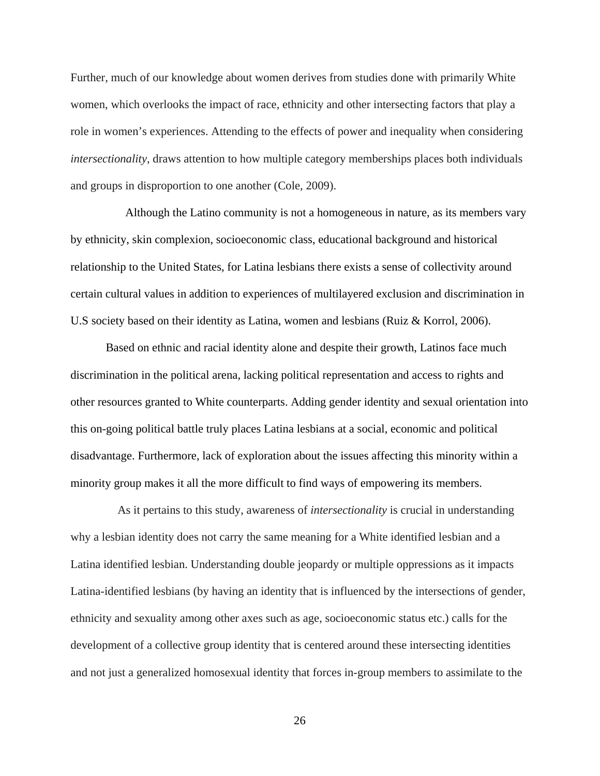Further, much of our knowledge about women derives from studies done with primarily White women, which overlooks the impact of race, ethnicity and other intersecting factors that play a role in women's experiences. Attending to the effects of power and inequality when considering *intersectionality*, draws attention to how multiple category memberships places both individuals and groups in disproportion to one another (Cole, 2009).

 Although the Latino community is not a homogeneous in nature, as its members vary by ethnicity, skin complexion, socioeconomic class, educational background and historical relationship to the United States, for Latina lesbians there exists a sense of collectivity around certain cultural values in addition to experiences of multilayered exclusion and discrimination in U.S society based on their identity as Latina, women and lesbians (Ruiz & Korrol, 2006).

Based on ethnic and racial identity alone and despite their growth, Latinos face much discrimination in the political arena, lacking political representation and access to rights and other resources granted to White counterparts. Adding gender identity and sexual orientation into this on-going political battle truly places Latina lesbians at a social, economic and political disadvantage. Furthermore, lack of exploration about the issues affecting this minority within a minority group makes it all the more difficult to find ways of empowering its members.

As it pertains to this study, awareness of *intersectionality* is crucial in understanding why a lesbian identity does not carry the same meaning for a White identified lesbian and a Latina identified lesbian. Understanding double jeopardy or multiple oppressions as it impacts Latina-identified lesbians (by having an identity that is influenced by the intersections of gender, ethnicity and sexuality among other axes such as age, socioeconomic status etc.) calls for the development of a collective group identity that is centered around these intersecting identities and not just a generalized homosexual identity that forces in-group members to assimilate to the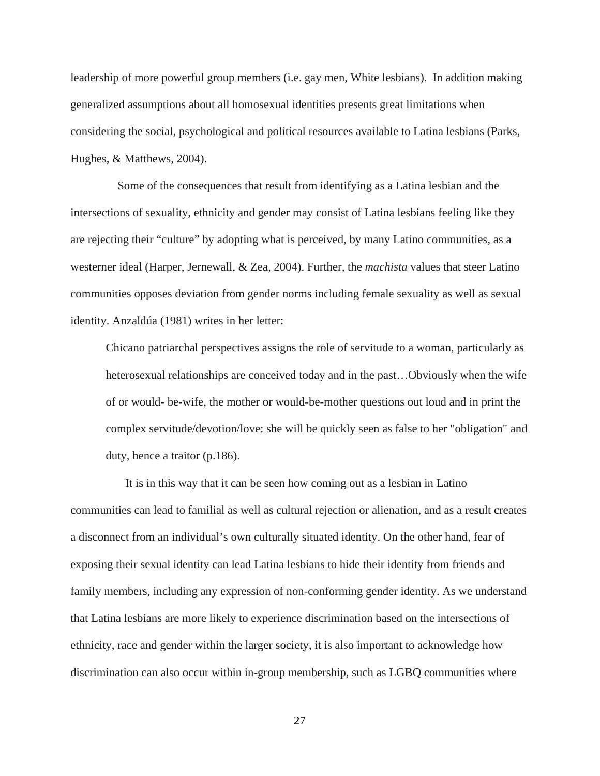leadership of more powerful group members (i.e. gay men, White lesbians). In addition making generalized assumptions about all homosexual identities presents great limitations when considering the social, psychological and political resources available to Latina lesbians (Parks, Hughes, & Matthews, 2004).

Some of the consequences that result from identifying as a Latina lesbian and the intersections of sexuality, ethnicity and gender may consist of Latina lesbians feeling like they are rejecting their "culture" by adopting what is perceived, by many Latino communities, as a westerner ideal (Harper, Jernewall, & Zea, 2004). Further, the *machista* values that steer Latino communities opposes deviation from gender norms including female sexuality as well as sexual identity. Anzaldúa (1981) writes in her letter:

Chicano patriarchal perspectives assigns the role of servitude to a woman, particularly as heterosexual relationships are conceived today and in the past…Obviously when the wife of or would- be-wife, the mother or would-be-mother questions out loud and in print the complex servitude/devotion/love: she will be quickly seen as false to her "obligation" and duty, hence a traitor (p.186).

 It is in this way that it can be seen how coming out as a lesbian in Latino communities can lead to familial as well as cultural rejection or alienation, and as a result creates a disconnect from an individual's own culturally situated identity. On the other hand, fear of exposing their sexual identity can lead Latina lesbians to hide their identity from friends and family members, including any expression of non-conforming gender identity. As we understand that Latina lesbians are more likely to experience discrimination based on the intersections of ethnicity, race and gender within the larger society, it is also important to acknowledge how discrimination can also occur within in-group membership, such as LGBQ communities where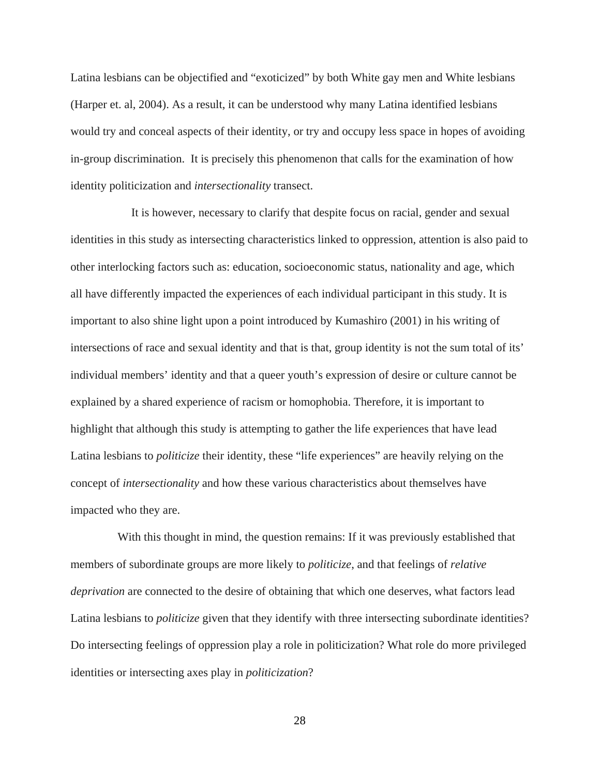Latina lesbians can be objectified and "exoticized" by both White gay men and White lesbians (Harper et. al, 2004). As a result, it can be understood why many Latina identified lesbians would try and conceal aspects of their identity, or try and occupy less space in hopes of avoiding in-group discrimination. It is precisely this phenomenon that calls for the examination of how identity politicization and *intersectionality* transect.

 It is however, necessary to clarify that despite focus on racial, gender and sexual identities in this study as intersecting characteristics linked to oppression, attention is also paid to other interlocking factors such as: education, socioeconomic status, nationality and age, which all have differently impacted the experiences of each individual participant in this study. It is important to also shine light upon a point introduced by Kumashiro (2001) in his writing of intersections of race and sexual identity and that is that, group identity is not the sum total of its' individual members' identity and that a queer youth's expression of desire or culture cannot be explained by a shared experience of racism or homophobia. Therefore, it is important to highlight that although this study is attempting to gather the life experiences that have lead Latina lesbians to *politicize* their identity, these "life experiences" are heavily relying on the concept of *intersectionality* and how these various characteristics about themselves have impacted who they are.

With this thought in mind, the question remains: If it was previously established that members of subordinate groups are more likely to *politicize*, and that feelings of *relative deprivation* are connected to the desire of obtaining that which one deserves, what factors lead Latina lesbians to *politicize* given that they identify with three intersecting subordinate identities? Do intersecting feelings of oppression play a role in politicization? What role do more privileged identities or intersecting axes play in *politicization*?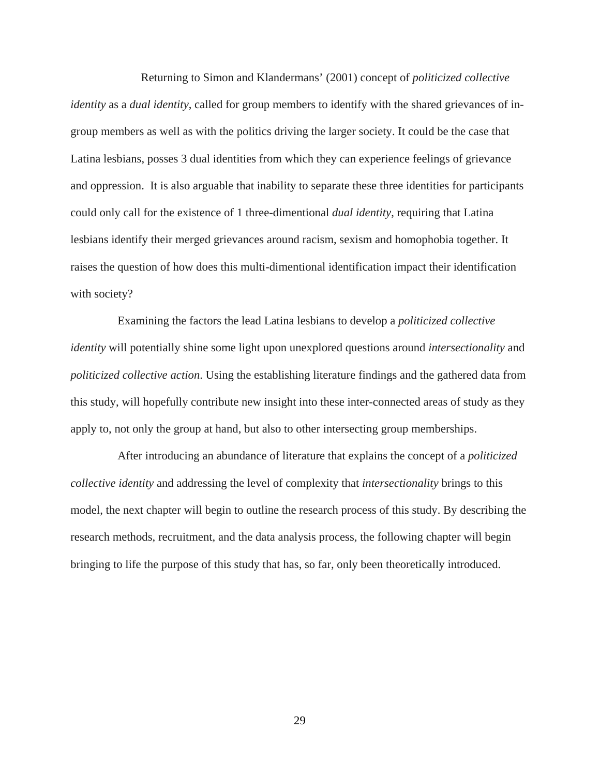Returning to Simon and Klandermans' (2001) concept of *politicized collective identity* as a *dual identity*, called for group members to identify with the shared grievances of ingroup members as well as with the politics driving the larger society. It could be the case that Latina lesbians, posses 3 dual identities from which they can experience feelings of grievance and oppression. It is also arguable that inability to separate these three identities for participants could only call for the existence of 1 three-dimentional *dual identity*, requiring that Latina lesbians identify their merged grievances around racism, sexism and homophobia together. It raises the question of how does this multi-dimentional identification impact their identification with society?

Examining the factors the lead Latina lesbians to develop a *politicized collective identity* will potentially shine some light upon unexplored questions around *intersectionality* and *politicized collective action*. Using the establishing literature findings and the gathered data from this study, will hopefully contribute new insight into these inter-connected areas of study as they apply to, not only the group at hand, but also to other intersecting group memberships.

After introducing an abundance of literature that explains the concept of a *politicized collective identity* and addressing the level of complexity that *intersectionality* brings to this model, the next chapter will begin to outline the research process of this study. By describing the research methods, recruitment, and the data analysis process, the following chapter will begin bringing to life the purpose of this study that has, so far, only been theoretically introduced.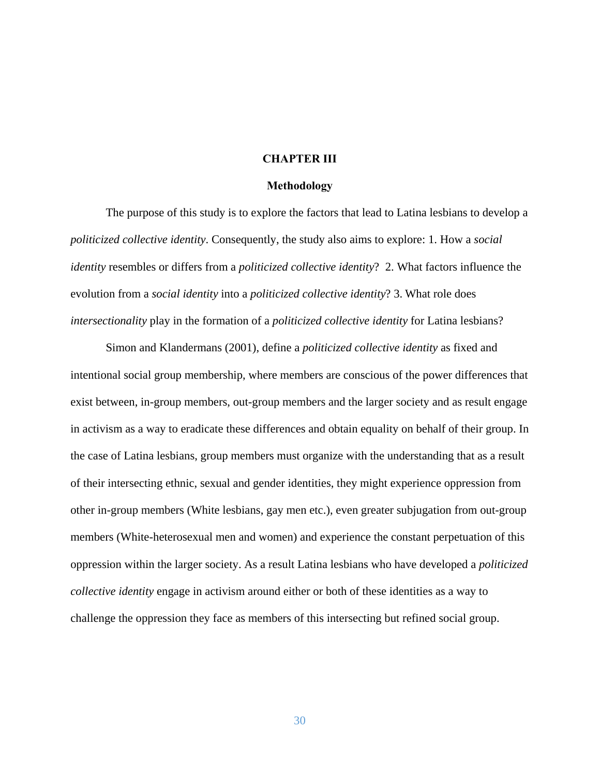## **CHAPTER III**

#### **Methodology**

 The purpose of this study is to explore the factors that lead to Latina lesbians to develop a *politicized collective identity*. Consequently, the study also aims to explore: 1. How a *social identity* resembles or differs from a *politicized collective identity*? 2. What factors influence the evolution from a *social identity* into a *politicized collective identity*? 3. What role does *intersectionality* play in the formation of a *politicized collective identity* for Latina lesbians?

 Simon and Klandermans (2001), define a *politicized collective identity* as fixed and intentional social group membership, where members are conscious of the power differences that exist between, in-group members, out-group members and the larger society and as result engage in activism as a way to eradicate these differences and obtain equality on behalf of their group. In the case of Latina lesbians, group members must organize with the understanding that as a result of their intersecting ethnic, sexual and gender identities, they might experience oppression from other in-group members (White lesbians, gay men etc.), even greater subjugation from out-group members (White-heterosexual men and women) and experience the constant perpetuation of this oppression within the larger society. As a result Latina lesbians who have developed a *politicized collective identity* engage in activism around either or both of these identities as a way to challenge the oppression they face as members of this intersecting but refined social group.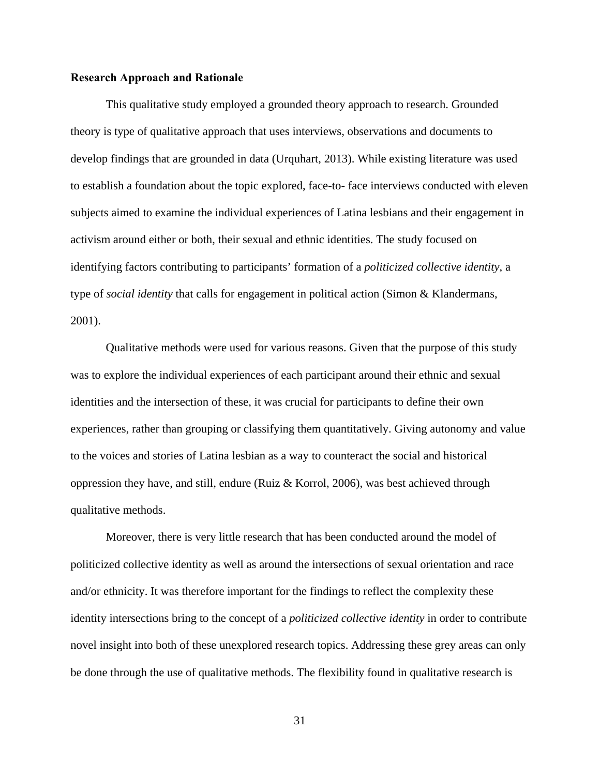#### **Research Approach and Rationale**

This qualitative study employed a grounded theory approach to research. Grounded theory is type of qualitative approach that uses interviews, observations and documents to develop findings that are grounded in data (Urquhart, 2013). While existing literature was used to establish a foundation about the topic explored, face-to- face interviews conducted with eleven subjects aimed to examine the individual experiences of Latina lesbians and their engagement in activism around either or both, their sexual and ethnic identities. The study focused on identifying factors contributing to participants' formation of a *politicized collective identity*, a type of *social identity* that calls for engagement in political action (Simon & Klandermans, 2001).

 Qualitative methods were used for various reasons. Given that the purpose of this study was to explore the individual experiences of each participant around their ethnic and sexual identities and the intersection of these, it was crucial for participants to define their own experiences, rather than grouping or classifying them quantitatively. Giving autonomy and value to the voices and stories of Latina lesbian as a way to counteract the social and historical oppression they have, and still, endure (Ruiz & Korrol, 2006), was best achieved through qualitative methods.

 Moreover, there is very little research that has been conducted around the model of politicized collective identity as well as around the intersections of sexual orientation and race and/or ethnicity. It was therefore important for the findings to reflect the complexity these identity intersections bring to the concept of a *politicized collective identity* in order to contribute novel insight into both of these unexplored research topics. Addressing these grey areas can only be done through the use of qualitative methods. The flexibility found in qualitative research is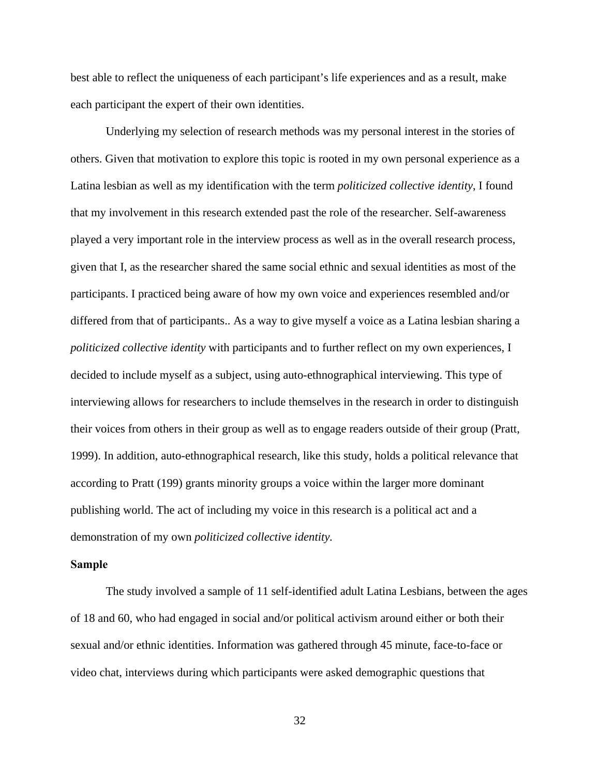best able to reflect the uniqueness of each participant's life experiences and as a result, make each participant the expert of their own identities.

 Underlying my selection of research methods was my personal interest in the stories of others. Given that motivation to explore this topic is rooted in my own personal experience as a Latina lesbian as well as my identification with the term *politicized collective identity*, I found that my involvement in this research extended past the role of the researcher. Self-awareness played a very important role in the interview process as well as in the overall research process, given that I, as the researcher shared the same social ethnic and sexual identities as most of the participants. I practiced being aware of how my own voice and experiences resembled and/or differed from that of participants.. As a way to give myself a voice as a Latina lesbian sharing a *politicized collective identity* with participants and to further reflect on my own experiences, I decided to include myself as a subject, using auto-ethnographical interviewing. This type of interviewing allows for researchers to include themselves in the research in order to distinguish their voices from others in their group as well as to engage readers outside of their group (Pratt, 1999). In addition, auto-ethnographical research, like this study, holds a political relevance that according to Pratt (199) grants minority groups a voice within the larger more dominant publishing world. The act of including my voice in this research is a political act and a demonstration of my own *politicized collective identity.* 

## **Sample**

The study involved a sample of 11 self-identified adult Latina Lesbians, between the ages of 18 and 60, who had engaged in social and/or political activism around either or both their sexual and/or ethnic identities. Information was gathered through 45 minute, face-to-face or video chat, interviews during which participants were asked demographic questions that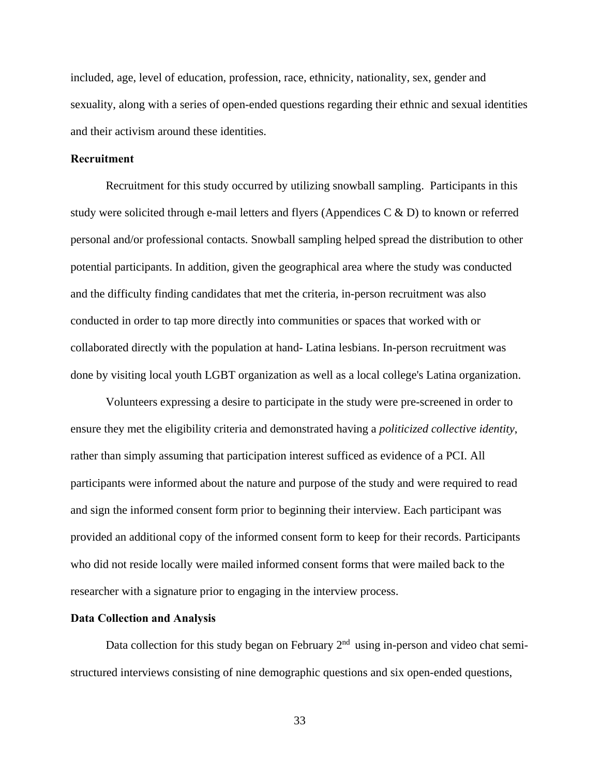included, age, level of education, profession, race, ethnicity, nationality, sex, gender and sexuality, along with a series of open-ended questions regarding their ethnic and sexual identities and their activism around these identities.

## **Recruitment**

Recruitment for this study occurred by utilizing snowball sampling. Participants in this study were solicited through e-mail letters and flyers (Appendices C & D) to known or referred personal and/or professional contacts. Snowball sampling helped spread the distribution to other potential participants. In addition, given the geographical area where the study was conducted and the difficulty finding candidates that met the criteria, in-person recruitment was also conducted in order to tap more directly into communities or spaces that worked with or collaborated directly with the population at hand- Latina lesbians. In-person recruitment was done by visiting local youth LGBT organization as well as a local college's Latina organization.

 Volunteers expressing a desire to participate in the study were pre-screened in order to ensure they met the eligibility criteria and demonstrated having a *politicized collective identity*, rather than simply assuming that participation interest sufficed as evidence of a PCI. All participants were informed about the nature and purpose of the study and were required to read and sign the informed consent form prior to beginning their interview. Each participant was provided an additional copy of the informed consent form to keep for their records. Participants who did not reside locally were mailed informed consent forms that were mailed back to the researcher with a signature prior to engaging in the interview process.

## **Data Collection and Analysis**

Data collection for this study began on February  $2<sup>nd</sup>$  using in-person and video chat semistructured interviews consisting of nine demographic questions and six open-ended questions,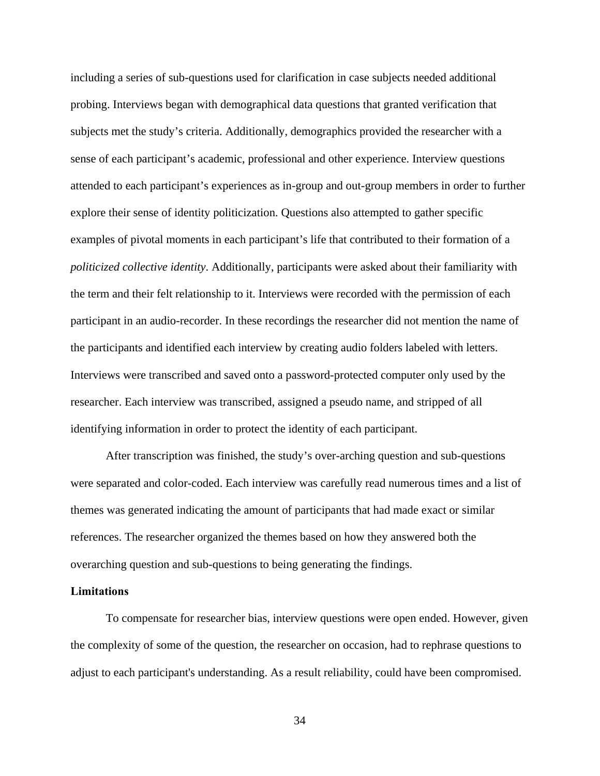including a series of sub-questions used for clarification in case subjects needed additional probing. Interviews began with demographical data questions that granted verification that subjects met the study's criteria. Additionally, demographics provided the researcher with a sense of each participant's academic, professional and other experience. Interview questions attended to each participant's experiences as in-group and out-group members in order to further explore their sense of identity politicization. Questions also attempted to gather specific examples of pivotal moments in each participant's life that contributed to their formation of a *politicized collective identity*. Additionally, participants were asked about their familiarity with the term and their felt relationship to it. Interviews were recorded with the permission of each participant in an audio-recorder. In these recordings the researcher did not mention the name of the participants and identified each interview by creating audio folders labeled with letters. Interviews were transcribed and saved onto a password-protected computer only used by the researcher. Each interview was transcribed, assigned a pseudo name, and stripped of all identifying information in order to protect the identity of each participant.

 After transcription was finished, the study's over-arching question and sub-questions were separated and color-coded. Each interview was carefully read numerous times and a list of themes was generated indicating the amount of participants that had made exact or similar references. The researcher organized the themes based on how they answered both the overarching question and sub-questions to being generating the findings.

## **Limitations**

 To compensate for researcher bias, interview questions were open ended. However, given the complexity of some of the question, the researcher on occasion, had to rephrase questions to adjust to each participant's understanding. As a result reliability, could have been compromised.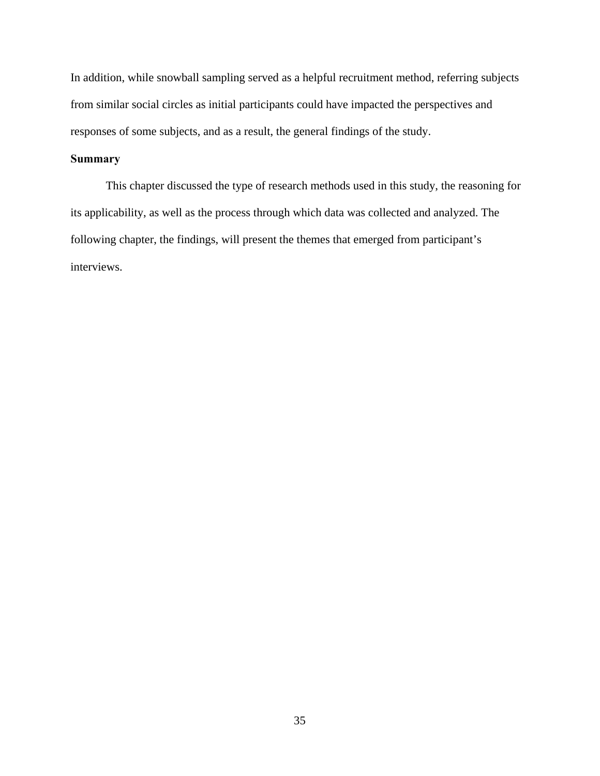In addition, while snowball sampling served as a helpful recruitment method, referring subjects from similar social circles as initial participants could have impacted the perspectives and responses of some subjects, and as a result, the general findings of the study.

# **Summary**

 This chapter discussed the type of research methods used in this study, the reasoning for its applicability, as well as the process through which data was collected and analyzed. The following chapter, the findings, will present the themes that emerged from participant's interviews.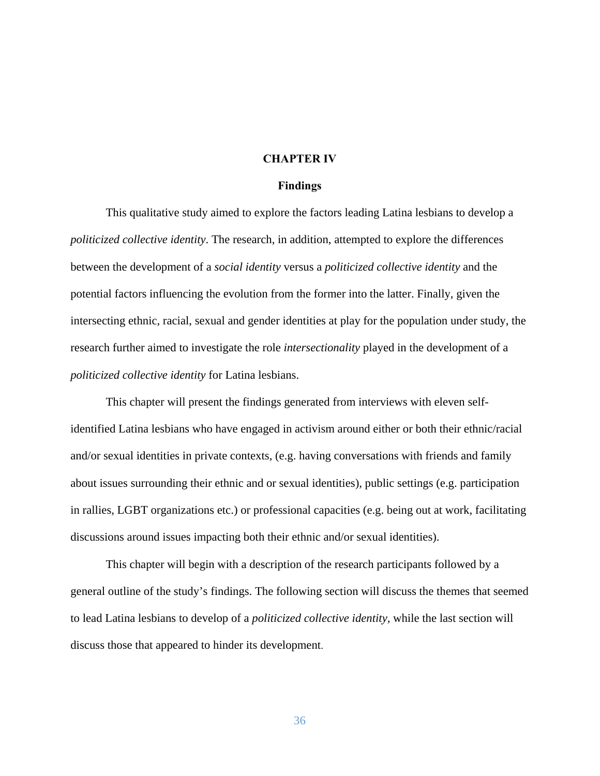## **CHAPTER IV**

## **Findings**

This qualitative study aimed to explore the factors leading Latina lesbians to develop a *politicized collective identity*. The research, in addition, attempted to explore the differences between the development of a *social identity* versus a *politicized collective identity* and the potential factors influencing the evolution from the former into the latter. Finally, given the intersecting ethnic, racial, sexual and gender identities at play for the population under study, the research further aimed to investigate the role *intersectionality* played in the development of a *politicized collective identity* for Latina lesbians.

This chapter will present the findings generated from interviews with eleven selfidentified Latina lesbians who have engaged in activism around either or both their ethnic/racial and/or sexual identities in private contexts, (e.g. having conversations with friends and family about issues surrounding their ethnic and or sexual identities), public settings (e.g. participation in rallies, LGBT organizations etc.) or professional capacities (e.g. being out at work, facilitating discussions around issues impacting both their ethnic and/or sexual identities).

This chapter will begin with a description of the research participants followed by a general outline of the study's findings. The following section will discuss the themes that seemed to lead Latina lesbians to develop of a *politicized collective identity,* while the last section will discuss those that appeared to hinder its development.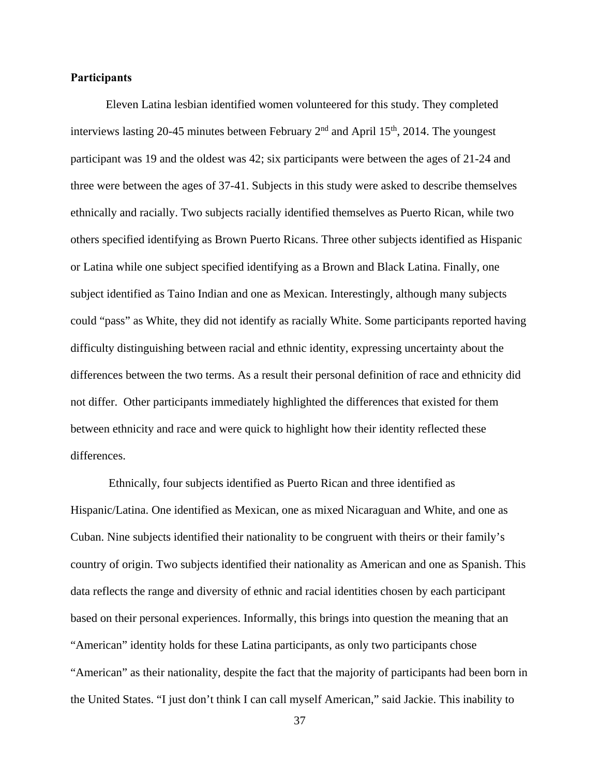## **Participants**

 Eleven Latina lesbian identified women volunteered for this study. They completed interviews lasting 20-45 minutes between February  $2<sup>nd</sup>$  and April 15<sup>th</sup>, 2014. The youngest participant was 19 and the oldest was 42; six participants were between the ages of 21-24 and three were between the ages of 37-41. Subjects in this study were asked to describe themselves ethnically and racially. Two subjects racially identified themselves as Puerto Rican, while two others specified identifying as Brown Puerto Ricans. Three other subjects identified as Hispanic or Latina while one subject specified identifying as a Brown and Black Latina. Finally, one subject identified as Taino Indian and one as Mexican. Interestingly, although many subjects could "pass" as White, they did not identify as racially White. Some participants reported having difficulty distinguishing between racial and ethnic identity, expressing uncertainty about the differences between the two terms. As a result their personal definition of race and ethnicity did not differ. Other participants immediately highlighted the differences that existed for them between ethnicity and race and were quick to highlight how their identity reflected these differences.

 Ethnically, four subjects identified as Puerto Rican and three identified as Hispanic/Latina. One identified as Mexican, one as mixed Nicaraguan and White, and one as Cuban. Nine subjects identified their nationality to be congruent with theirs or their family's country of origin. Two subjects identified their nationality as American and one as Spanish. This data reflects the range and diversity of ethnic and racial identities chosen by each participant based on their personal experiences. Informally, this brings into question the meaning that an "American" identity holds for these Latina participants, as only two participants chose "American" as their nationality, despite the fact that the majority of participants had been born in the United States. "I just don't think I can call myself American," said Jackie. This inability to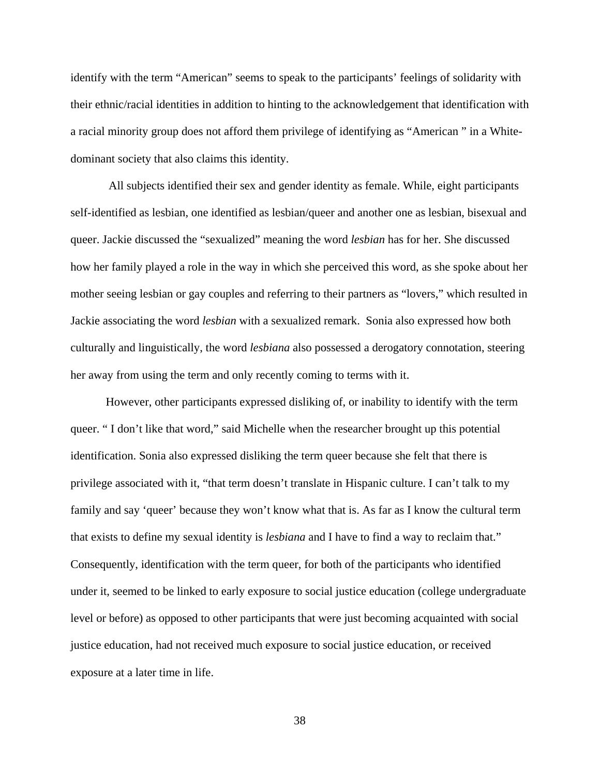identify with the term "American" seems to speak to the participants' feelings of solidarity with their ethnic/racial identities in addition to hinting to the acknowledgement that identification with a racial minority group does not afford them privilege of identifying as "American " in a Whitedominant society that also claims this identity.

 All subjects identified their sex and gender identity as female. While, eight participants self-identified as lesbian, one identified as lesbian/queer and another one as lesbian, bisexual and queer. Jackie discussed the "sexualized" meaning the word *lesbian* has for her. She discussed how her family played a role in the way in which she perceived this word, as she spoke about her mother seeing lesbian or gay couples and referring to their partners as "lovers," which resulted in Jackie associating the word *lesbian* with a sexualized remark. Sonia also expressed how both culturally and linguistically, the word *lesbiana* also possessed a derogatory connotation, steering her away from using the term and only recently coming to terms with it.

However, other participants expressed disliking of, or inability to identify with the term queer. " I don't like that word," said Michelle when the researcher brought up this potential identification. Sonia also expressed disliking the term queer because she felt that there is privilege associated with it, "that term doesn't translate in Hispanic culture. I can't talk to my family and say 'queer' because they won't know what that is. As far as I know the cultural term that exists to define my sexual identity is *lesbiana* and I have to find a way to reclaim that." Consequently, identification with the term queer, for both of the participants who identified under it, seemed to be linked to early exposure to social justice education (college undergraduate level or before) as opposed to other participants that were just becoming acquainted with social justice education, had not received much exposure to social justice education, or received exposure at a later time in life.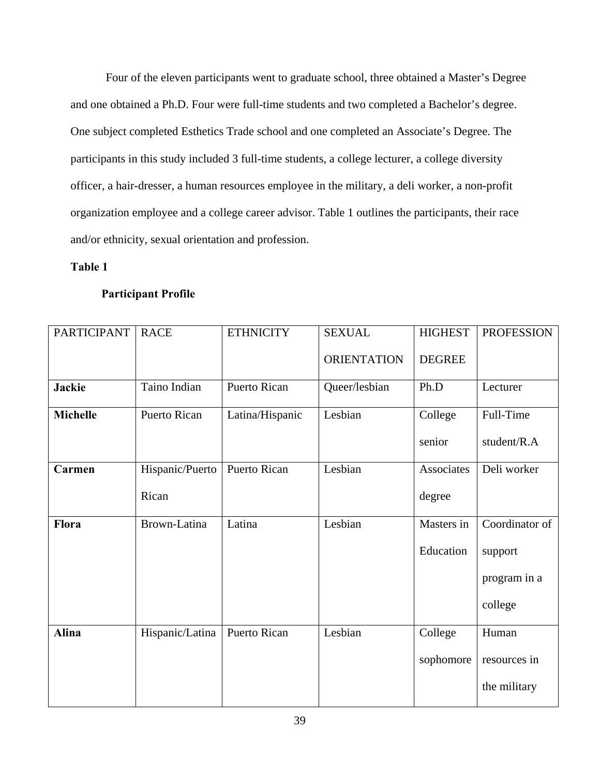Four of the eleven participants went to graduate school, three obtained a Master's Degree and one obtained a Ph.D. Four were full-time students and two completed a Bachelor's degree. One subject completed Esthetics Trade school and one completed an Associate's Degree. The participants in this study included 3 full-time students, a college lecturer, a college diversity officer, a hair-dresser, a human resources employee in the military, a deli worker, a non-profit organization employee and a college career advisor. Table 1 outlines the participants, their race and/or ethnicity, sexual orientation and profession.

# **Table 1**

## **Participant Profile**

| <b>PARTICIPANT</b> | <b>RACE</b>     | <b>ETHNICITY</b>    | <b>SEXUAL</b>      | <b>HIGHEST</b> | <b>PROFESSION</b> |
|--------------------|-----------------|---------------------|--------------------|----------------|-------------------|
|                    |                 |                     | <b>ORIENTATION</b> | <b>DEGREE</b>  |                   |
| <b>Jackie</b>      | Taino Indian    | <b>Puerto Rican</b> | Queer/lesbian      | Ph.D           | Lecturer          |
| <b>Michelle</b>    | Puerto Rican    | Latina/Hispanic     | Lesbian            | College        | Full-Time         |
|                    |                 |                     |                    | senior         | student/R.A       |
| Carmen             | Hispanic/Puerto | Puerto Rican        | Lesbian            | Associates     | Deli worker       |
|                    | Rican           |                     |                    | degree         |                   |
| Flora              | Brown-Latina    | Latina              | Lesbian            | Masters in     | Coordinator of    |
|                    |                 |                     |                    | Education      | support           |
|                    |                 |                     |                    |                | program in a      |
|                    |                 |                     |                    |                | college           |
| <b>Alina</b>       | Hispanic/Latina | Puerto Rican        | Lesbian            | College        | Human             |
|                    |                 |                     |                    | sophomore      | resources in      |
|                    |                 |                     |                    |                | the military      |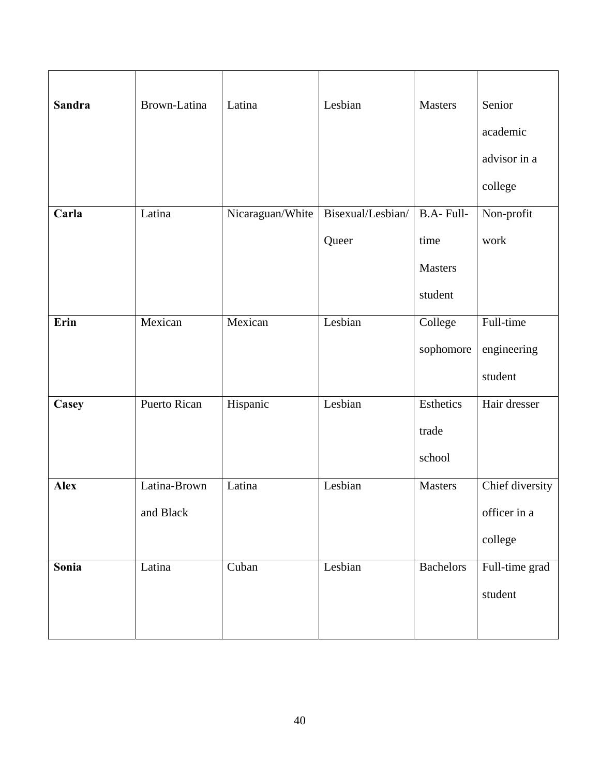| <b>Sandra</b> | Brown-Latina              | Latina           | Lesbian           | <b>Masters</b>               | Senior<br>academic<br>advisor in a<br>college |
|---------------|---------------------------|------------------|-------------------|------------------------------|-----------------------------------------------|
| Carla         | Latina                    | Nicaraguan/White | Bisexual/Lesbian/ | B.A-Full-                    | Non-profit                                    |
|               |                           |                  | Queer             | time<br>Masters<br>student   | work                                          |
| Erin          | Mexican                   | Mexican          | Lesbian           | College<br>sophomore         | Full-time<br>engineering<br>student           |
| Casey         | Puerto Rican              | Hispanic         | Lesbian           | Esthetics<br>trade<br>school | Hair dresser                                  |
| <b>Alex</b>   | Latina-Brown<br>and Black | Latina           | Lesbian           | Masters                      | Chief diversity<br>officer in a<br>college    |
| Sonia         | Latina                    | Cuban            | Lesbian           | <b>Bachelors</b>             | Full-time grad<br>student                     |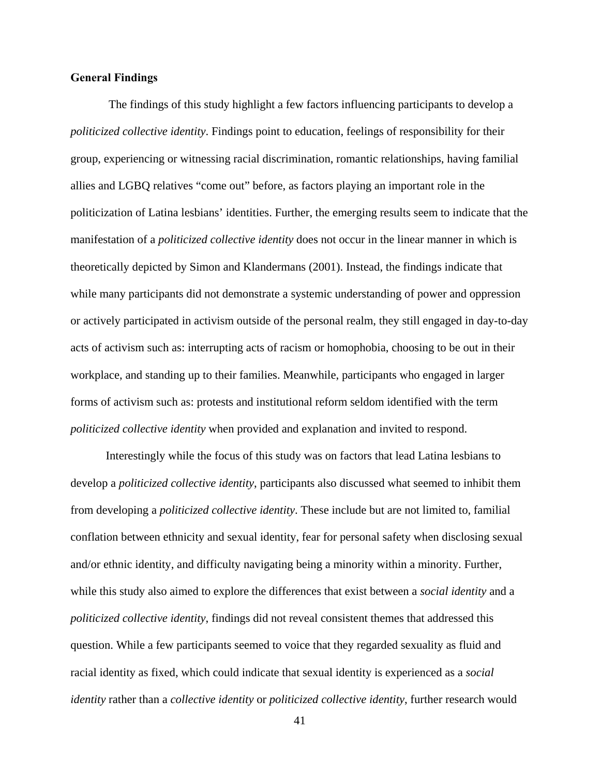## **General Findings**

The findings of this study highlight a few factors influencing participants to develop a *politicized collective identity*. Findings point to education, feelings of responsibility for their group, experiencing or witnessing racial discrimination, romantic relationships, having familial allies and LGBQ relatives "come out" before, as factors playing an important role in the politicization of Latina lesbians' identities. Further, the emerging results seem to indicate that the manifestation of a *politicized collective identity* does not occur in the linear manner in which is theoretically depicted by Simon and Klandermans (2001). Instead, the findings indicate that while many participants did not demonstrate a systemic understanding of power and oppression or actively participated in activism outside of the personal realm, they still engaged in day-to-day acts of activism such as: interrupting acts of racism or homophobia, choosing to be out in their workplace, and standing up to their families. Meanwhile, participants who engaged in larger forms of activism such as: protests and institutional reform seldom identified with the term *politicized collective identity* when provided and explanation and invited to respond.

 Interestingly while the focus of this study was on factors that lead Latina lesbians to develop a *politicized collective identity*, participants also discussed what seemed to inhibit them from developing a *politicized collective identity*. These include but are not limited to, familial conflation between ethnicity and sexual identity, fear for personal safety when disclosing sexual and/or ethnic identity, and difficulty navigating being a minority within a minority. Further, while this study also aimed to explore the differences that exist between a *social identity* and a *politicized collective identity*, findings did not reveal consistent themes that addressed this question. While a few participants seemed to voice that they regarded sexuality as fluid and racial identity as fixed, which could indicate that sexual identity is experienced as a *social identity* rather than a *collective identity* or *politicized collective identity*, further research would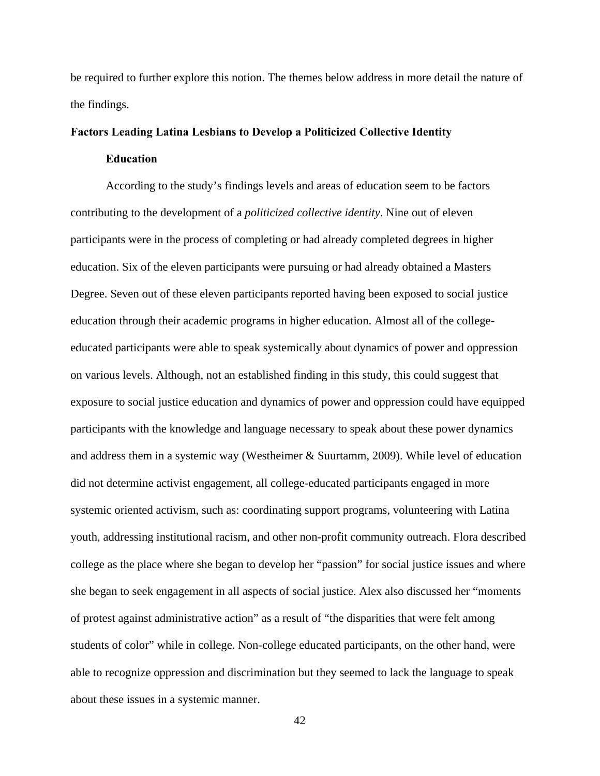be required to further explore this notion. The themes below address in more detail the nature of the findings.

## **Factors Leading Latina Lesbians to Develop a Politicized Collective Identity**

## **Education**

 According to the study's findings levels and areas of education seem to be factors contributing to the development of a *politicized collective identity*. Nine out of eleven participants were in the process of completing or had already completed degrees in higher education. Six of the eleven participants were pursuing or had already obtained a Masters Degree. Seven out of these eleven participants reported having been exposed to social justice education through their academic programs in higher education. Almost all of the collegeeducated participants were able to speak systemically about dynamics of power and oppression on various levels. Although, not an established finding in this study, this could suggest that exposure to social justice education and dynamics of power and oppression could have equipped participants with the knowledge and language necessary to speak about these power dynamics and address them in a systemic way (Westheimer & Suurtamm, 2009). While level of education did not determine activist engagement, all college-educated participants engaged in more systemic oriented activism, such as: coordinating support programs, volunteering with Latina youth, addressing institutional racism, and other non-profit community outreach. Flora described college as the place where she began to develop her "passion" for social justice issues and where she began to seek engagement in all aspects of social justice. Alex also discussed her "moments of protest against administrative action" as a result of "the disparities that were felt among students of color" while in college. Non-college educated participants, on the other hand, were able to recognize oppression and discrimination but they seemed to lack the language to speak about these issues in a systemic manner.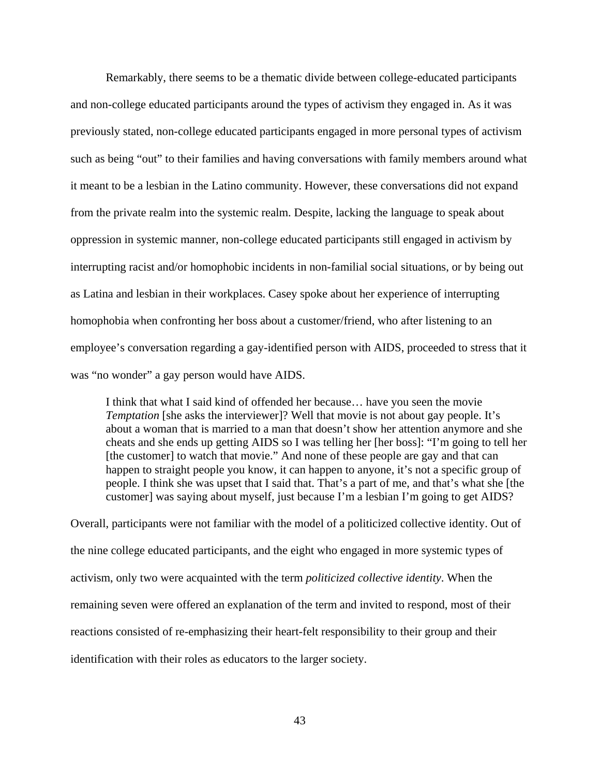Remarkably, there seems to be a thematic divide between college-educated participants and non-college educated participants around the types of activism they engaged in. As it was previously stated, non-college educated participants engaged in more personal types of activism such as being "out" to their families and having conversations with family members around what it meant to be a lesbian in the Latino community. However, these conversations did not expand from the private realm into the systemic realm. Despite, lacking the language to speak about oppression in systemic manner, non-college educated participants still engaged in activism by interrupting racist and/or homophobic incidents in non-familial social situations, or by being out as Latina and lesbian in their workplaces. Casey spoke about her experience of interrupting homophobia when confronting her boss about a customer/friend, who after listening to an employee's conversation regarding a gay-identified person with AIDS, proceeded to stress that it was "no wonder" a gay person would have AIDS.

I think that what I said kind of offended her because… have you seen the movie *Temptation* [she asks the interviewer]? Well that movie is not about gay people. It's about a woman that is married to a man that doesn't show her attention anymore and she cheats and she ends up getting AIDS so I was telling her [her boss]: "I'm going to tell her [the customer] to watch that movie." And none of these people are gay and that can happen to straight people you know, it can happen to anyone, it's not a specific group of people. I think she was upset that I said that. That's a part of me, and that's what she [the customer] was saying about myself, just because I'm a lesbian I'm going to get AIDS?

Overall, participants were not familiar with the model of a politicized collective identity. Out of the nine college educated participants, and the eight who engaged in more systemic types of activism, only two were acquainted with the term *politicized collective identity*. When the remaining seven were offered an explanation of the term and invited to respond, most of their reactions consisted of re-emphasizing their heart-felt responsibility to their group and their identification with their roles as educators to the larger society.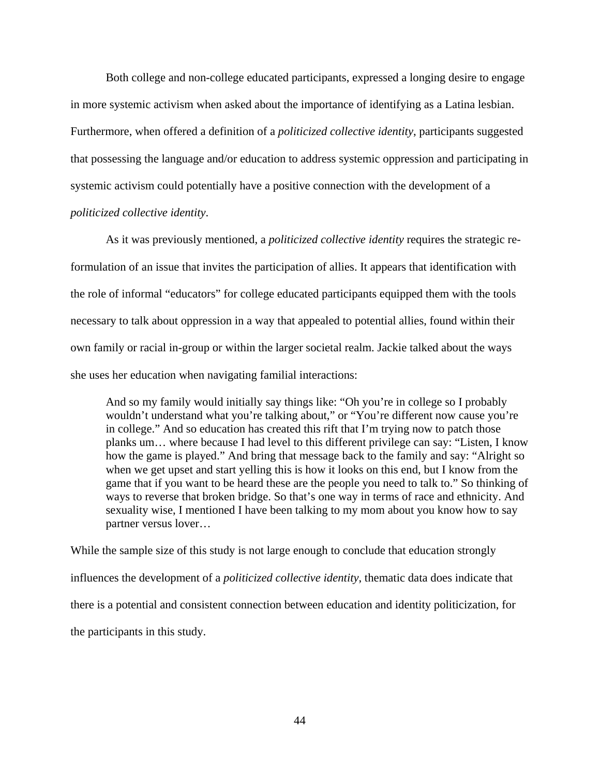Both college and non-college educated participants, expressed a longing desire to engage in more systemic activism when asked about the importance of identifying as a Latina lesbian. Furthermore, when offered a definition of a *politicized collective identity*, participants suggested that possessing the language and/or education to address systemic oppression and participating in systemic activism could potentially have a positive connection with the development of a *politicized collective identity*.

 As it was previously mentioned, a *politicized collective identity* requires the strategic reformulation of an issue that invites the participation of allies. It appears that identification with the role of informal "educators" for college educated participants equipped them with the tools necessary to talk about oppression in a way that appealed to potential allies, found within their own family or racial in-group or within the larger societal realm. Jackie talked about the ways she uses her education when navigating familial interactions:

And so my family would initially say things like: "Oh you're in college so I probably wouldn't understand what you're talking about," or "You're different now cause you're in college." And so education has created this rift that I'm trying now to patch those planks um… where because I had level to this different privilege can say: "Listen, I know how the game is played." And bring that message back to the family and say: "Alright so when we get upset and start yelling this is how it looks on this end, but I know from the game that if you want to be heard these are the people you need to talk to." So thinking of ways to reverse that broken bridge. So that's one way in terms of race and ethnicity. And sexuality wise, I mentioned I have been talking to my mom about you know how to say partner versus lover…

While the sample size of this study is not large enough to conclude that education strongly influences the development of a *politicized collective identity*, thematic data does indicate that there is a potential and consistent connection between education and identity politicization, for the participants in this study.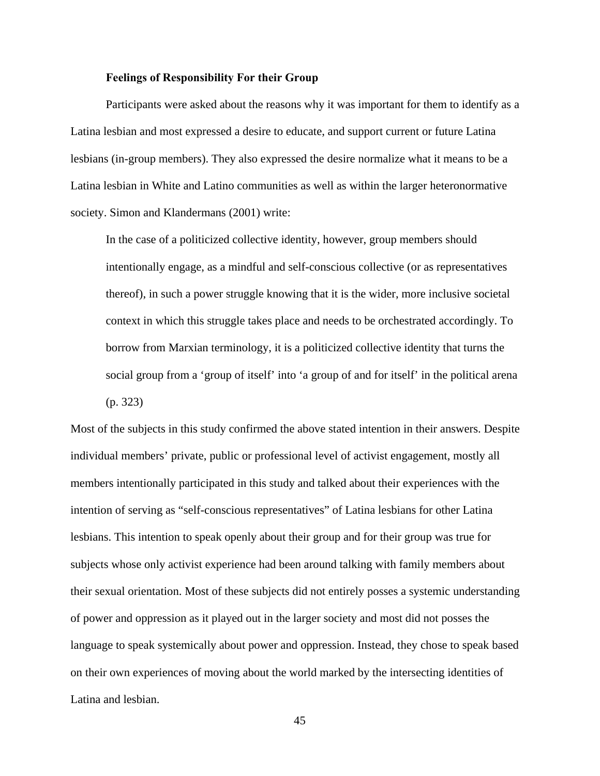#### **Feelings of Responsibility For their Group**

 Participants were asked about the reasons why it was important for them to identify as a Latina lesbian and most expressed a desire to educate, and support current or future Latina lesbians (in-group members). They also expressed the desire normalize what it means to be a Latina lesbian in White and Latino communities as well as within the larger heteronormative society. Simon and Klandermans (2001) write:

In the case of a politicized collective identity, however, group members should intentionally engage, as a mindful and self-conscious collective (or as representatives thereof), in such a power struggle knowing that it is the wider, more inclusive societal context in which this struggle takes place and needs to be orchestrated accordingly. To borrow from Marxian terminology, it is a politicized collective identity that turns the social group from a 'group of itself' into 'a group of and for itself' in the political arena (p. 323)

Most of the subjects in this study confirmed the above stated intention in their answers. Despite individual members' private, public or professional level of activist engagement, mostly all members intentionally participated in this study and talked about their experiences with the intention of serving as "self-conscious representatives" of Latina lesbians for other Latina lesbians. This intention to speak openly about their group and for their group was true for subjects whose only activist experience had been around talking with family members about their sexual orientation. Most of these subjects did not entirely posses a systemic understanding of power and oppression as it played out in the larger society and most did not posses the language to speak systemically about power and oppression. Instead, they chose to speak based on their own experiences of moving about the world marked by the intersecting identities of Latina and lesbian.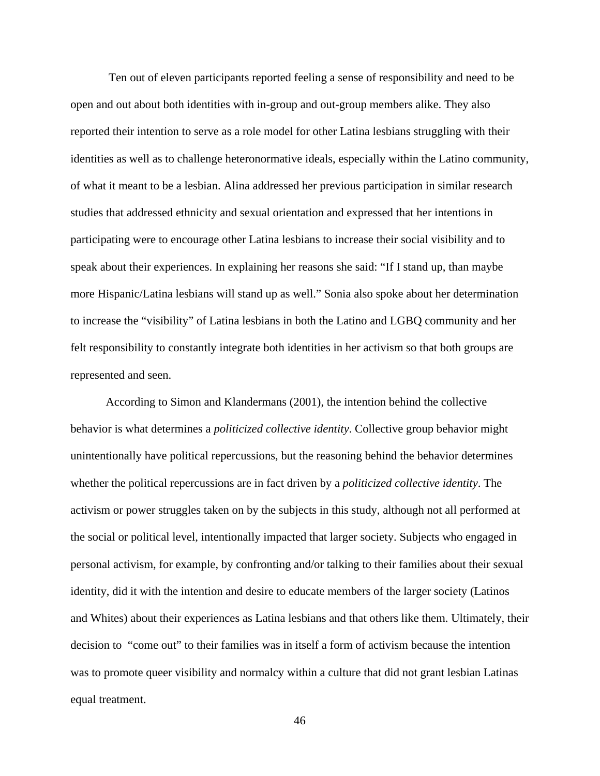Ten out of eleven participants reported feeling a sense of responsibility and need to be open and out about both identities with in-group and out-group members alike. They also reported their intention to serve as a role model for other Latina lesbians struggling with their identities as well as to challenge heteronormative ideals, especially within the Latino community, of what it meant to be a lesbian. Alina addressed her previous participation in similar research studies that addressed ethnicity and sexual orientation and expressed that her intentions in participating were to encourage other Latina lesbians to increase their social visibility and to speak about their experiences. In explaining her reasons she said: "If I stand up, than maybe more Hispanic/Latina lesbians will stand up as well." Sonia also spoke about her determination to increase the "visibility" of Latina lesbians in both the Latino and LGBQ community and her felt responsibility to constantly integrate both identities in her activism so that both groups are represented and seen.

 According to Simon and Klandermans (2001), the intention behind the collective behavior is what determines a *politicized collective identity*. Collective group behavior might unintentionally have political repercussions, but the reasoning behind the behavior determines whether the political repercussions are in fact driven by a *politicized collective identity*. The activism or power struggles taken on by the subjects in this study, although not all performed at the social or political level, intentionally impacted that larger society. Subjects who engaged in personal activism, for example, by confronting and/or talking to their families about their sexual identity, did it with the intention and desire to educate members of the larger society (Latinos and Whites) about their experiences as Latina lesbians and that others like them. Ultimately, their decision to "come out" to their families was in itself a form of activism because the intention was to promote queer visibility and normalcy within a culture that did not grant lesbian Latinas equal treatment.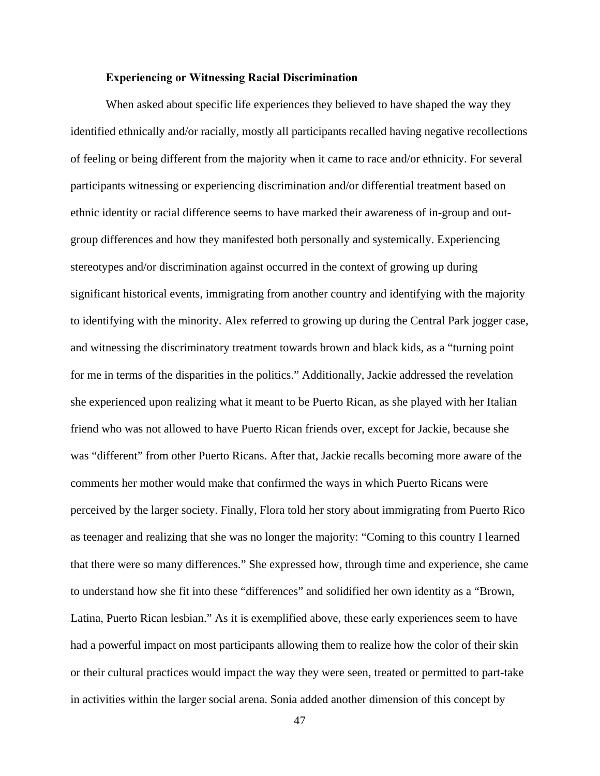#### **Experiencing or Witnessing Racial Discrimination**

 When asked about specific life experiences they believed to have shaped the way they identified ethnically and/or racially, mostly all participants recalled having negative recollections of feeling or being different from the majority when it came to race and/or ethnicity. For several participants witnessing or experiencing discrimination and/or differential treatment based on ethnic identity or racial difference seems to have marked their awareness of in-group and outgroup differences and how they manifested both personally and systemically. Experiencing stereotypes and/or discrimination against occurred in the context of growing up during significant historical events, immigrating from another country and identifying with the majority to identifying with the minority. Alex referred to growing up during the Central Park jogger case, and witnessing the discriminatory treatment towards brown and black kids, as a "turning point for me in terms of the disparities in the politics." Additionally, Jackie addressed the revelation she experienced upon realizing what it meant to be Puerto Rican, as she played with her Italian friend who was not allowed to have Puerto Rican friends over, except for Jackie, because she was "different" from other Puerto Ricans. After that, Jackie recalls becoming more aware of the comments her mother would make that confirmed the ways in which Puerto Ricans were perceived by the larger society. Finally, Flora told her story about immigrating from Puerto Rico as teenager and realizing that she was no longer the majority: "Coming to this country I learned that there were so many differences." She expressed how, through time and experience, she came to understand how she fit into these "differences" and solidified her own identity as a "Brown, Latina, Puerto Rican lesbian." As it is exemplified above, these early experiences seem to have had a powerful impact on most participants allowing them to realize how the color of their skin or their cultural practices would impact the way they were seen, treated or permitted to part-take in activities within the larger social arena. Sonia added another dimension of this concept by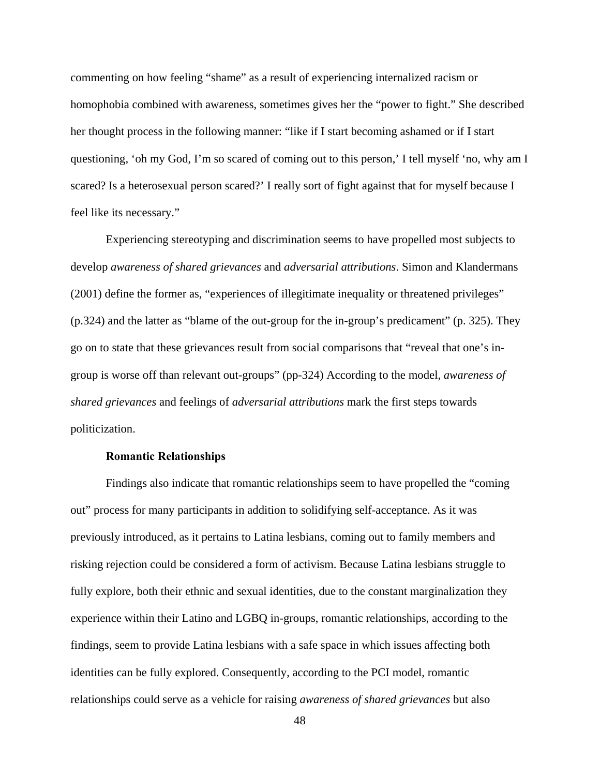commenting on how feeling "shame" as a result of experiencing internalized racism or homophobia combined with awareness, sometimes gives her the "power to fight." She described her thought process in the following manner: "like if I start becoming ashamed or if I start questioning, 'oh my God, I'm so scared of coming out to this person,' I tell myself 'no, why am I scared? Is a heterosexual person scared?' I really sort of fight against that for myself because I feel like its necessary."

Experiencing stereotyping and discrimination seems to have propelled most subjects to develop *awareness of shared grievances* and *adversarial attributions*. Simon and Klandermans (2001) define the former as, "experiences of illegitimate inequality or threatened privileges" (p.324) and the latter as "blame of the out-group for the in-group's predicament" (p. 325). They go on to state that these grievances result from social comparisons that "reveal that one's ingroup is worse off than relevant out-groups" (pp-324) According to the model, *awareness of shared grievances* and feelings of *adversarial attributions* mark the first steps towards politicization.

#### **Romantic Relationships**

Findings also indicate that romantic relationships seem to have propelled the "coming" out" process for many participants in addition to solidifying self-acceptance. As it was previously introduced, as it pertains to Latina lesbians, coming out to family members and risking rejection could be considered a form of activism. Because Latina lesbians struggle to fully explore, both their ethnic and sexual identities, due to the constant marginalization they experience within their Latino and LGBQ in-groups, romantic relationships, according to the findings, seem to provide Latina lesbians with a safe space in which issues affecting both identities can be fully explored. Consequently, according to the PCI model, romantic relationships could serve as a vehicle for raising *awareness of shared grievances* but also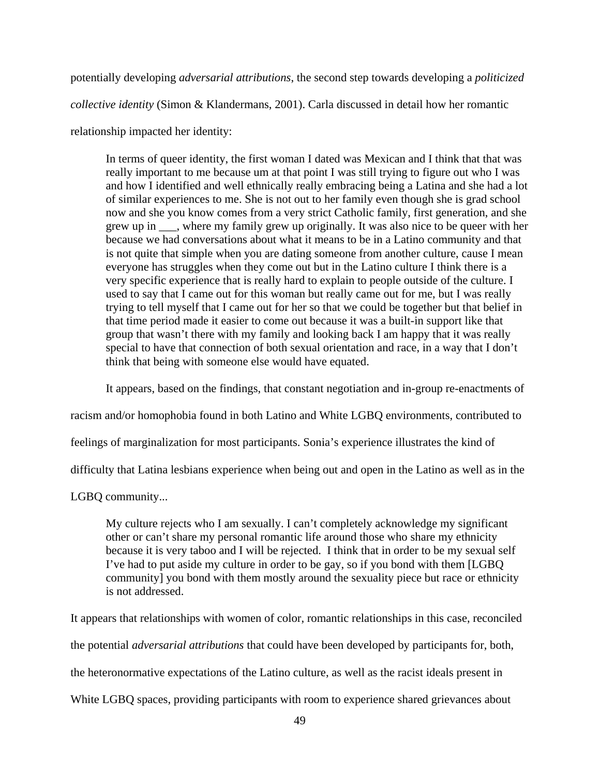potentially developing *adversarial attributions*, the second step towards developing a *politicized* 

*collective identity* (Simon & Klandermans, 2001). Carla discussed in detail how her romantic

relationship impacted her identity:

 In terms of queer identity, the first woman I dated was Mexican and I think that that was really important to me because um at that point I was still trying to figure out who I was and how I identified and well ethnically really embracing being a Latina and she had a lot of similar experiences to me. She is not out to her family even though she is grad school now and she you know comes from a very strict Catholic family, first generation, and she grew up in \_\_\_, where my family grew up originally. It was also nice to be queer with her because we had conversations about what it means to be in a Latino community and that is not quite that simple when you are dating someone from another culture, cause I mean everyone has struggles when they come out but in the Latino culture I think there is a very specific experience that is really hard to explain to people outside of the culture. I used to say that I came out for this woman but really came out for me, but I was really trying to tell myself that I came out for her so that we could be together but that belief in that time period made it easier to come out because it was a built-in support like that group that wasn't there with my family and looking back I am happy that it was really special to have that connection of both sexual orientation and race, in a way that I don't think that being with someone else would have equated.

It appears, based on the findings, that constant negotiation and in-group re-enactments of

racism and/or homophobia found in both Latino and White LGBQ environments, contributed to

feelings of marginalization for most participants. Sonia's experience illustrates the kind of

difficulty that Latina lesbians experience when being out and open in the Latino as well as in the

LGBQ community...

My culture rejects who I am sexually. I can't completely acknowledge my significant other or can't share my personal romantic life around those who share my ethnicity because it is very taboo and I will be rejected. I think that in order to be my sexual self I've had to put aside my culture in order to be gay, so if you bond with them [LGBQ community] you bond with them mostly around the sexuality piece but race or ethnicity is not addressed.

It appears that relationships with women of color, romantic relationships in this case, reconciled the potential *adversarial attributions* that could have been developed by participants for, both, the heteronormative expectations of the Latino culture, as well as the racist ideals present in White LGBQ spaces, providing participants with room to experience shared grievances about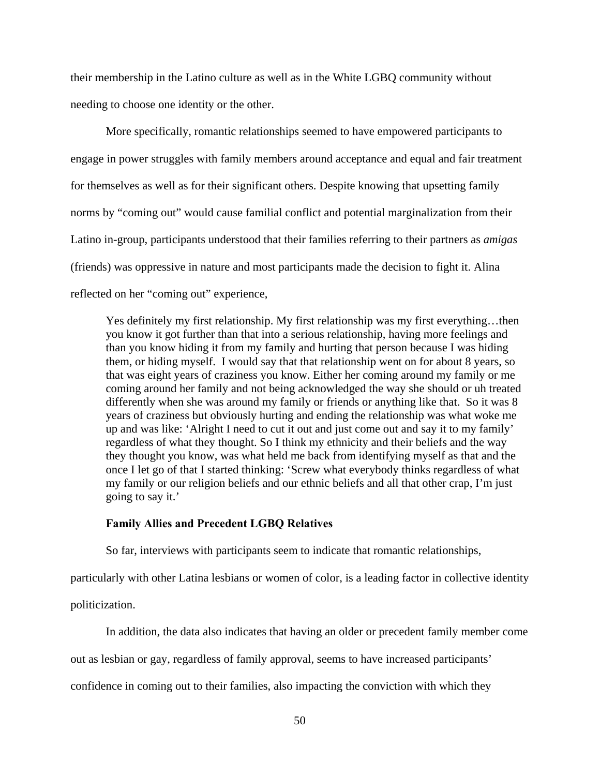their membership in the Latino culture as well as in the White LGBQ community without needing to choose one identity or the other.

 More specifically, romantic relationships seemed to have empowered participants to engage in power struggles with family members around acceptance and equal and fair treatment for themselves as well as for their significant others. Despite knowing that upsetting family norms by "coming out" would cause familial conflict and potential marginalization from their Latino in-group, participants understood that their families referring to their partners as *amigas* (friends) was oppressive in nature and most participants made the decision to fight it. Alina reflected on her "coming out" experience,

Yes definitely my first relationship. My first relationship was my first everything…then you know it got further than that into a serious relationship, having more feelings and than you know hiding it from my family and hurting that person because I was hiding them, or hiding myself. I would say that that relationship went on for about 8 years, so that was eight years of craziness you know. Either her coming around my family or me coming around her family and not being acknowledged the way she should or uh treated differently when she was around my family or friends or anything like that. So it was 8 years of craziness but obviously hurting and ending the relationship was what woke me up and was like: 'Alright I need to cut it out and just come out and say it to my family' regardless of what they thought. So I think my ethnicity and their beliefs and the way they thought you know, was what held me back from identifying myself as that and the once I let go of that I started thinking: 'Screw what everybody thinks regardless of what my family or our religion beliefs and our ethnic beliefs and all that other crap, I'm just going to say it.'

## **Family Allies and Precedent LGBQ Relatives**

So far, interviews with participants seem to indicate that romantic relationships,

particularly with other Latina lesbians or women of color, is a leading factor in collective identity

politicization.

In addition, the data also indicates that having an older or precedent family member come

out as lesbian or gay, regardless of family approval, seems to have increased participants'

confidence in coming out to their families, also impacting the conviction with which they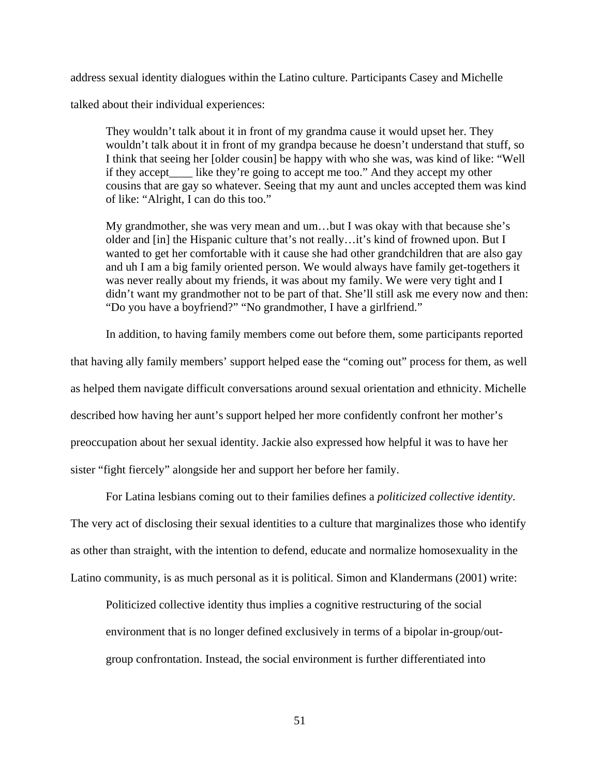address sexual identity dialogues within the Latino culture. Participants Casey and Michelle talked about their individual experiences:

They wouldn't talk about it in front of my grandma cause it would upset her. They wouldn't talk about it in front of my grandpa because he doesn't understand that stuff, so I think that seeing her [older cousin] be happy with who she was, was kind of like: "Well if they accept\_\_\_\_ like they're going to accept me too." And they accept my other cousins that are gay so whatever. Seeing that my aunt and uncles accepted them was kind of like: "Alright, I can do this too."

My grandmother, she was very mean and um…but I was okay with that because she's older and [in] the Hispanic culture that's not really…it's kind of frowned upon. But I wanted to get her comfortable with it cause she had other grandchildren that are also gay and uh I am a big family oriented person. We would always have family get-togethers it was never really about my friends, it was about my family. We were very tight and I didn't want my grandmother not to be part of that. She'll still ask me every now and then: "Do you have a boyfriend?" "No grandmother, I have a girlfriend."

In addition, to having family members come out before them, some participants reported

that having ally family members' support helped ease the "coming out" process for them, as well as helped them navigate difficult conversations around sexual orientation and ethnicity. Michelle described how having her aunt's support helped her more confidently confront her mother's preoccupation about her sexual identity. Jackie also expressed how helpful it was to have her sister "fight fiercely" alongside her and support her before her family.

For Latina lesbians coming out to their families defines a *politicized collective identity*. The very act of disclosing their sexual identities to a culture that marginalizes those who identify as other than straight, with the intention to defend, educate and normalize homosexuality in the Latino community, is as much personal as it is political. Simon and Klandermans (2001) write:

Politicized collective identity thus implies a cognitive restructuring of the social environment that is no longer defined exclusively in terms of a bipolar in-group/outgroup confrontation. Instead, the social environment is further differentiated into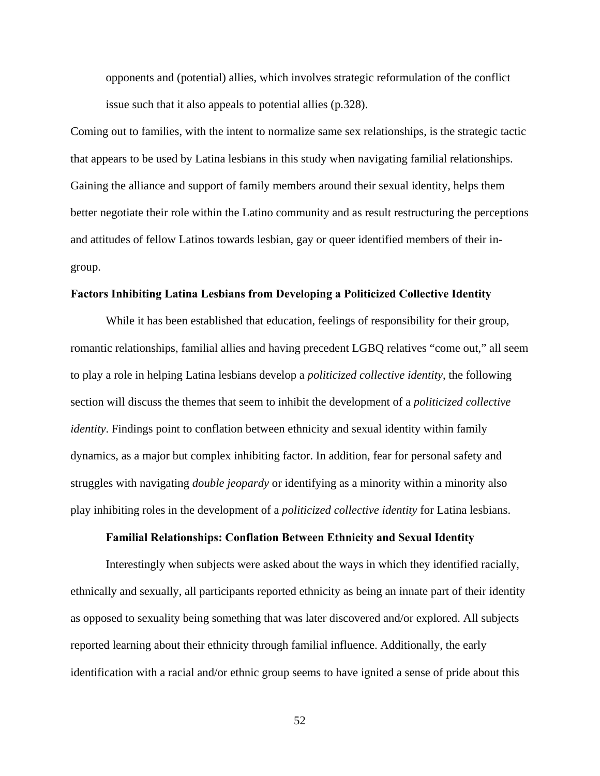opponents and (potential) allies, which involves strategic reformulation of the conflict issue such that it also appeals to potential allies (p.328).

Coming out to families, with the intent to normalize same sex relationships, is the strategic tactic that appears to be used by Latina lesbians in this study when navigating familial relationships. Gaining the alliance and support of family members around their sexual identity, helps them better negotiate their role within the Latino community and as result restructuring the perceptions and attitudes of fellow Latinos towards lesbian, gay or queer identified members of their ingroup.

## **Factors Inhibiting Latina Lesbians from Developing a Politicized Collective Identity**

While it has been established that education, feelings of responsibility for their group, romantic relationships, familial allies and having precedent LGBQ relatives "come out," all seem to play a role in helping Latina lesbians develop a *politicized collective identity*, the following section will discuss the themes that seem to inhibit the development of a *politicized collective identity*. Findings point to conflation between ethnicity and sexual identity within family dynamics, as a major but complex inhibiting factor. In addition, fear for personal safety and struggles with navigating *double jeopardy* or identifying as a minority within a minority also play inhibiting roles in the development of a *politicized collective identity* for Latina lesbians.

## **Familial Relationships: Conflation Between Ethnicity and Sexual Identity**

 Interestingly when subjects were asked about the ways in which they identified racially, ethnically and sexually, all participants reported ethnicity as being an innate part of their identity as opposed to sexuality being something that was later discovered and/or explored. All subjects reported learning about their ethnicity through familial influence. Additionally, the early identification with a racial and/or ethnic group seems to have ignited a sense of pride about this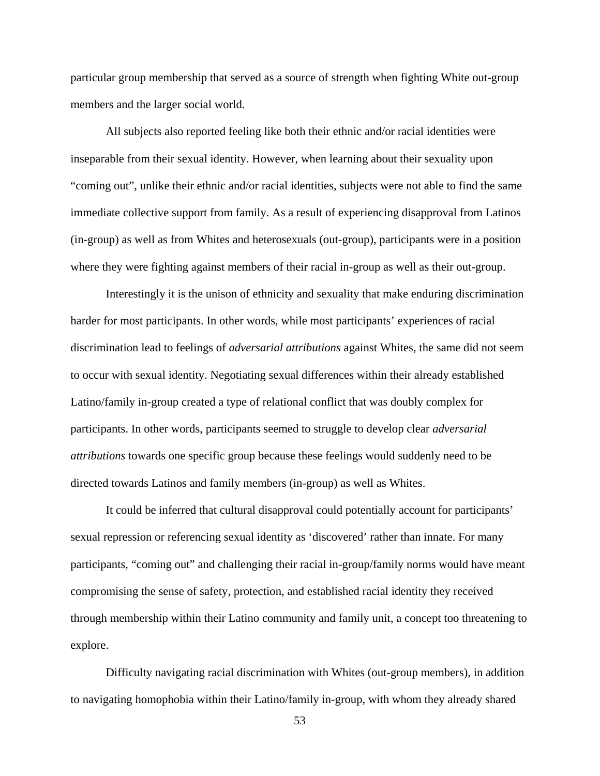particular group membership that served as a source of strength when fighting White out-group members and the larger social world.

 All subjects also reported feeling like both their ethnic and/or racial identities were inseparable from their sexual identity. However, when learning about their sexuality upon "coming out", unlike their ethnic and/or racial identities, subjects were not able to find the same immediate collective support from family. As a result of experiencing disapproval from Latinos (in-group) as well as from Whites and heterosexuals (out-group), participants were in a position where they were fighting against members of their racial in-group as well as their out-group.

 Interestingly it is the unison of ethnicity and sexuality that make enduring discrimination harder for most participants. In other words, while most participants' experiences of racial discrimination lead to feelings of *adversarial attributions* against Whites, the same did not seem to occur with sexual identity. Negotiating sexual differences within their already established Latino/family in-group created a type of relational conflict that was doubly complex for participants. In other words, participants seemed to struggle to develop clear *adversarial attributions* towards one specific group because these feelings would suddenly need to be directed towards Latinos and family members (in-group) as well as Whites.

 It could be inferred that cultural disapproval could potentially account for participants' sexual repression or referencing sexual identity as 'discovered' rather than innate. For many participants, "coming out" and challenging their racial in-group/family norms would have meant compromising the sense of safety, protection, and established racial identity they received through membership within their Latino community and family unit, a concept too threatening to explore.

 Difficulty navigating racial discrimination with Whites (out-group members), in addition to navigating homophobia within their Latino/family in-group, with whom they already shared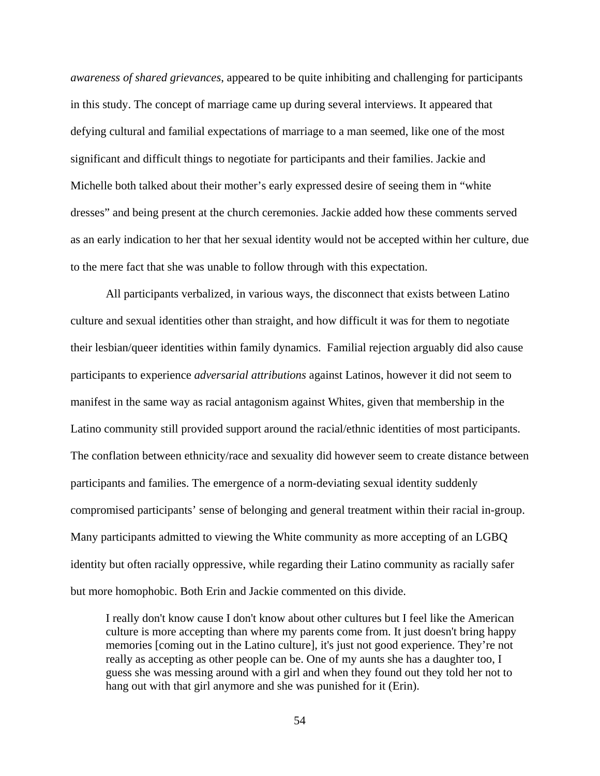*awareness of shared grievances*, appeared to be quite inhibiting and challenging for participants in this study. The concept of marriage came up during several interviews. It appeared that defying cultural and familial expectations of marriage to a man seemed, like one of the most significant and difficult things to negotiate for participants and their families. Jackie and Michelle both talked about their mother's early expressed desire of seeing them in "white dresses" and being present at the church ceremonies. Jackie added how these comments served as an early indication to her that her sexual identity would not be accepted within her culture, due to the mere fact that she was unable to follow through with this expectation.

 All participants verbalized, in various ways, the disconnect that exists between Latino culture and sexual identities other than straight, and how difficult it was for them to negotiate their lesbian/queer identities within family dynamics. Familial rejection arguably did also cause participants to experience *adversarial attributions* against Latinos, however it did not seem to manifest in the same way as racial antagonism against Whites, given that membership in the Latino community still provided support around the racial/ethnic identities of most participants. The conflation between ethnicity/race and sexuality did however seem to create distance between participants and families. The emergence of a norm-deviating sexual identity suddenly compromised participants' sense of belonging and general treatment within their racial in-group. Many participants admitted to viewing the White community as more accepting of an LGBQ identity but often racially oppressive, while regarding their Latino community as racially safer but more homophobic. Both Erin and Jackie commented on this divide.

I really don't know cause I don't know about other cultures but I feel like the American culture is more accepting than where my parents come from. It just doesn't bring happy memories [coming out in the Latino culture], it's just not good experience. They're not really as accepting as other people can be. One of my aunts she has a daughter too, I guess she was messing around with a girl and when they found out they told her not to hang out with that girl anymore and she was punished for it (Erin).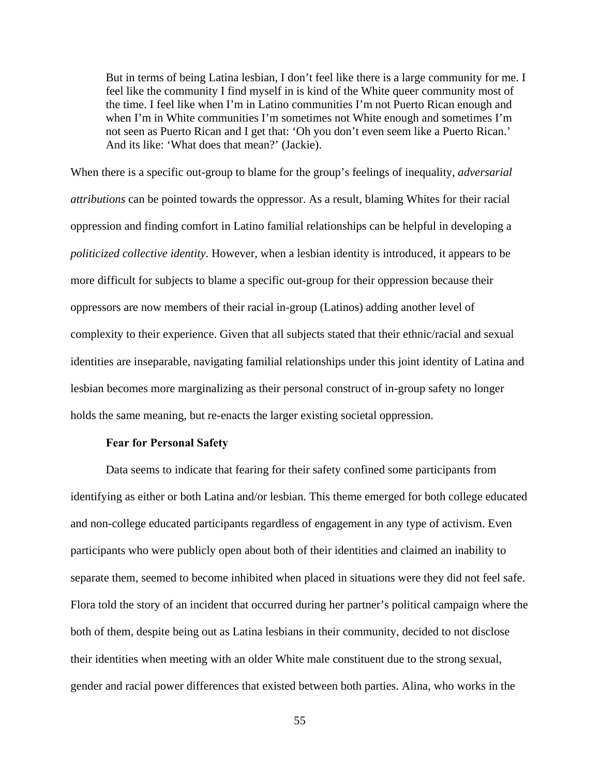But in terms of being Latina lesbian, I don't feel like there is a large community for me. I feel like the community I find myself in is kind of the White queer community most of the time. I feel like when I'm in Latino communities I'm not Puerto Rican enough and when I'm in White communities I'm sometimes not White enough and sometimes I'm not seen as Puerto Rican and I get that: 'Oh you don't even seem like a Puerto Rican.' And its like: 'What does that mean?' (Jackie).

 When there is a specific out-group to blame for the group's feelings of inequality, *adversarial attributions* can be pointed towards the oppressor. As a result, blaming Whites for their racial oppression and finding comfort in Latino familial relationships can be helpful in developing a *politicized collective identity*. However, when a lesbian identity is introduced, it appears to be more difficult for subjects to blame a specific out-group for their oppression because their oppressors are now members of their racial in-group (Latinos) adding another level of complexity to their experience. Given that all subjects stated that their ethnic/racial and sexual identities are inseparable, navigating familial relationships under this joint identity of Latina and lesbian becomes more marginalizing as their personal construct of in-group safety no longer holds the same meaning, but re-enacts the larger existing societal oppression.

## **Fear for Personal Safety**

 Data seems to indicate that fearing for their safety confined some participants from identifying as either or both Latina and/or lesbian. This theme emerged for both college educated and non-college educated participants regardless of engagement in any type of activism. Even participants who were publicly open about both of their identities and claimed an inability to separate them, seemed to become inhibited when placed in situations were they did not feel safe. Flora told the story of an incident that occurred during her partner's political campaign where the both of them, despite being out as Latina lesbians in their community, decided to not disclose their identities when meeting with an older White male constituent due to the strong sexual, gender and racial power differences that existed between both parties. Alina, who works in the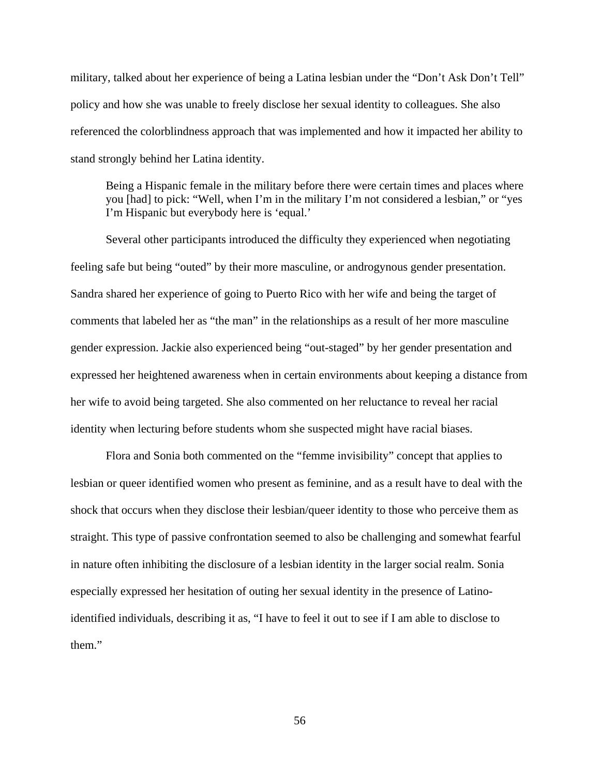military, talked about her experience of being a Latina lesbian under the "Don't Ask Don't Tell" policy and how she was unable to freely disclose her sexual identity to colleagues. She also referenced the colorblindness approach that was implemented and how it impacted her ability to stand strongly behind her Latina identity.

Being a Hispanic female in the military before there were certain times and places where you [had] to pick: "Well, when I'm in the military I'm not considered a lesbian," or "yes I'm Hispanic but everybody here is 'equal.'

 Several other participants introduced the difficulty they experienced when negotiating feeling safe but being "outed" by their more masculine, or androgynous gender presentation. Sandra shared her experience of going to Puerto Rico with her wife and being the target of comments that labeled her as "the man" in the relationships as a result of her more masculine gender expression. Jackie also experienced being "out-staged" by her gender presentation and expressed her heightened awareness when in certain environments about keeping a distance from her wife to avoid being targeted. She also commented on her reluctance to reveal her racial identity when lecturing before students whom she suspected might have racial biases.

 Flora and Sonia both commented on the "femme invisibility" concept that applies to lesbian or queer identified women who present as feminine, and as a result have to deal with the shock that occurs when they disclose their lesbian/queer identity to those who perceive them as straight. This type of passive confrontation seemed to also be challenging and somewhat fearful in nature often inhibiting the disclosure of a lesbian identity in the larger social realm. Sonia especially expressed her hesitation of outing her sexual identity in the presence of Latinoidentified individuals, describing it as, "I have to feel it out to see if I am able to disclose to them."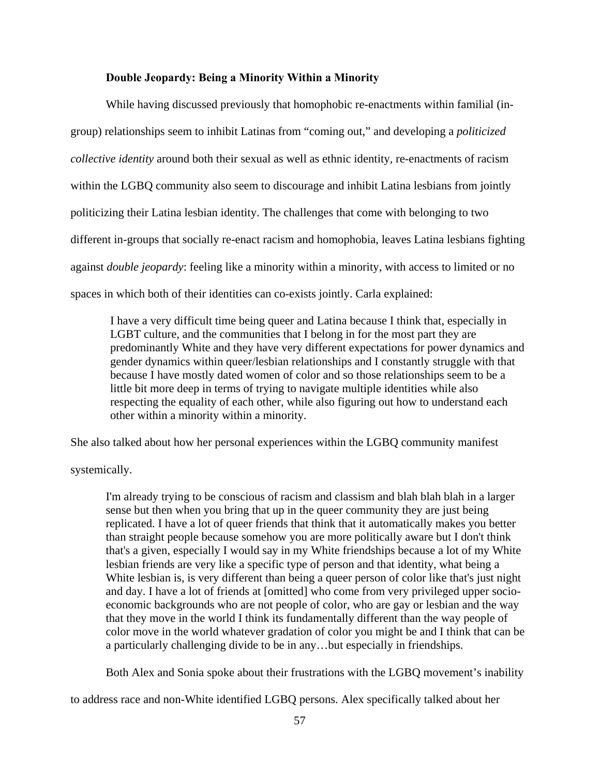## **Double Jeopardy: Being a Minority Within a Minority**

 While having discussed previously that homophobic re-enactments within familial (ingroup) relationships seem to inhibit Latinas from "coming out," and developing a *politicized collective identity* around both their sexual as well as ethnic identity, re-enactments of racism within the LGBQ community also seem to discourage and inhibit Latina lesbians from jointly politicizing their Latina lesbian identity. The challenges that come with belonging to two different in-groups that socially re-enact racism and homophobia, leaves Latina lesbians fighting against *double jeopardy*: feeling like a minority within a minority, with access to limited or no spaces in which both of their identities can co-exists jointly. Carla explained:

I have a very difficult time being queer and Latina because I think that, especially in LGBT culture, and the communities that I belong in for the most part they are predominantly White and they have very different expectations for power dynamics and gender dynamics within queer/lesbian relationships and I constantly struggle with that because I have mostly dated women of color and so those relationships seem to be a little bit more deep in terms of trying to navigate multiple identities while also respecting the equality of each other, while also figuring out how to understand each other within a minority within a minority.

She also talked about how her personal experiences within the LGBQ community manifest

systemically.

I'm already trying to be conscious of racism and classism and blah blah blah in a larger sense but then when you bring that up in the queer community they are just being replicated. I have a lot of queer friends that think that it automatically makes you better than straight people because somehow you are more politically aware but I don't think that's a given, especially I would say in my White friendships because a lot of my White lesbian friends are very like a specific type of person and that identity, what being a White lesbian is, is very different than being a queer person of color like that's just night and day. I have a lot of friends at [omitted] who come from very privileged upper socioeconomic backgrounds who are not people of color, who are gay or lesbian and the way that they move in the world I think its fundamentally different than the way people of color move in the world whatever gradation of color you might be and I think that can be a particularly challenging divide to be in any…but especially in friendships.

Both Alex and Sonia spoke about their frustrations with the LGBQ movement's inability

to address race and non-White identified LGBQ persons. Alex specifically talked about her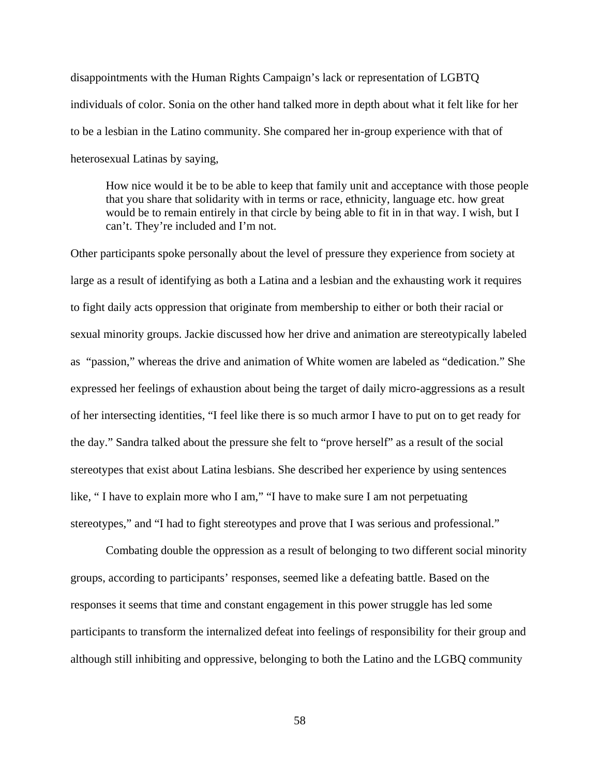disappointments with the Human Rights Campaign's lack or representation of LGBTQ individuals of color. Sonia on the other hand talked more in depth about what it felt like for her to be a lesbian in the Latino community. She compared her in-group experience with that of heterosexual Latinas by saying,

How nice would it be to be able to keep that family unit and acceptance with those people that you share that solidarity with in terms or race, ethnicity, language etc. how great would be to remain entirely in that circle by being able to fit in in that way. I wish, but I can't. They're included and I'm not.

Other participants spoke personally about the level of pressure they experience from society at large as a result of identifying as both a Latina and a lesbian and the exhausting work it requires to fight daily acts oppression that originate from membership to either or both their racial or sexual minority groups. Jackie discussed how her drive and animation are stereotypically labeled as "passion," whereas the drive and animation of White women are labeled as "dedication." She expressed her feelings of exhaustion about being the target of daily micro-aggressions as a result of her intersecting identities, "I feel like there is so much armor I have to put on to get ready for the day." Sandra talked about the pressure she felt to "prove herself" as a result of the social stereotypes that exist about Latina lesbians. She described her experience by using sentences like, " I have to explain more who I am," "I have to make sure I am not perpetuating stereotypes," and "I had to fight stereotypes and prove that I was serious and professional."

 Combating double the oppression as a result of belonging to two different social minority groups, according to participants' responses, seemed like a defeating battle. Based on the responses it seems that time and constant engagement in this power struggle has led some participants to transform the internalized defeat into feelings of responsibility for their group and although still inhibiting and oppressive, belonging to both the Latino and the LGBQ community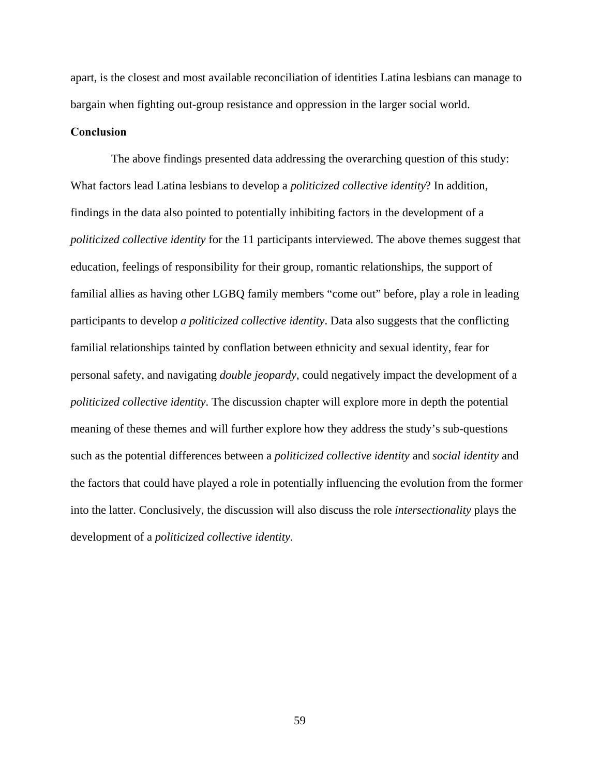apart, is the closest and most available reconciliation of identities Latina lesbians can manage to bargain when fighting out-group resistance and oppression in the larger social world.

## **Conclusion**

 The above findings presented data addressing the overarching question of this study: What factors lead Latina lesbians to develop a *politicized collective identity*? In addition, findings in the data also pointed to potentially inhibiting factors in the development of a *politicized collective identity* for the 11 participants interviewed. The above themes suggest that education, feelings of responsibility for their group, romantic relationships, the support of familial allies as having other LGBQ family members "come out" before, play a role in leading participants to develop *a politicized collective identity*. Data also suggests that the conflicting familial relationships tainted by conflation between ethnicity and sexual identity, fear for personal safety, and navigating *double jeopardy*, could negatively impact the development of a *politicized collective identity*. The discussion chapter will explore more in depth the potential meaning of these themes and will further explore how they address the study's sub-questions such as the potential differences between a *politicized collective identity* and *social identity* and the factors that could have played a role in potentially influencing the evolution from the former into the latter. Conclusively, the discussion will also discuss the role *intersectionality* plays the development of a *politicized collective identity.*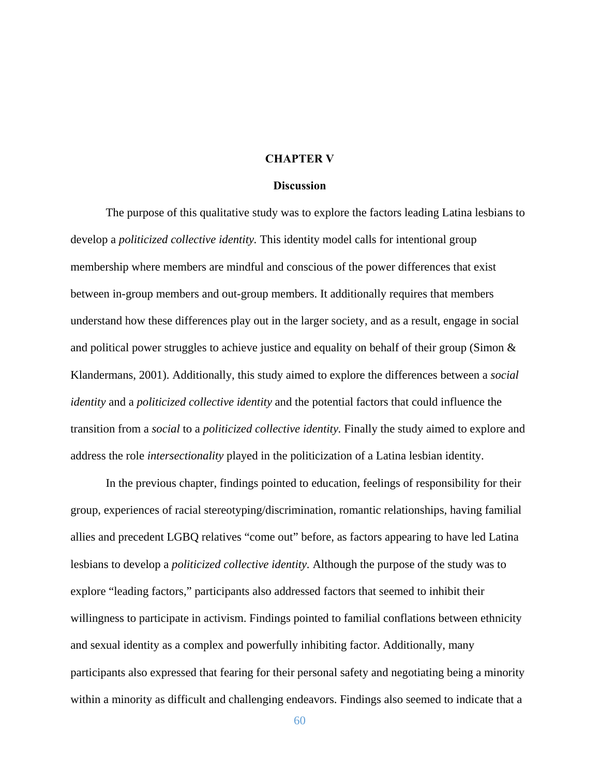## **CHAPTER V**

## **Discussion**

 The purpose of this qualitative study was to explore the factors leading Latina lesbians to develop a *politicized collective identity.* This identity model calls for intentional group membership where members are mindful and conscious of the power differences that exist between in-group members and out-group members. It additionally requires that members understand how these differences play out in the larger society, and as a result, engage in social and political power struggles to achieve justice and equality on behalf of their group (Simon  $\&$ Klandermans, 2001). Additionally, this study aimed to explore the differences between a *social identity* and a *politicized collective identity* and the potential factors that could influence the transition from a *social* to a *politicized collective identity.* Finally the study aimed to explore and address the role *intersectionality* played in the politicization of a Latina lesbian identity.

 In the previous chapter, findings pointed to education, feelings of responsibility for their group, experiences of racial stereotyping/discrimination, romantic relationships, having familial allies and precedent LGBQ relatives "come out" before, as factors appearing to have led Latina lesbians to develop a *politicized collective identity.* Although the purpose of the study was to explore "leading factors," participants also addressed factors that seemed to inhibit their willingness to participate in activism. Findings pointed to familial conflations between ethnicity and sexual identity as a complex and powerfully inhibiting factor. Additionally, many participants also expressed that fearing for their personal safety and negotiating being a minority within a minority as difficult and challenging endeavors. Findings also seemed to indicate that a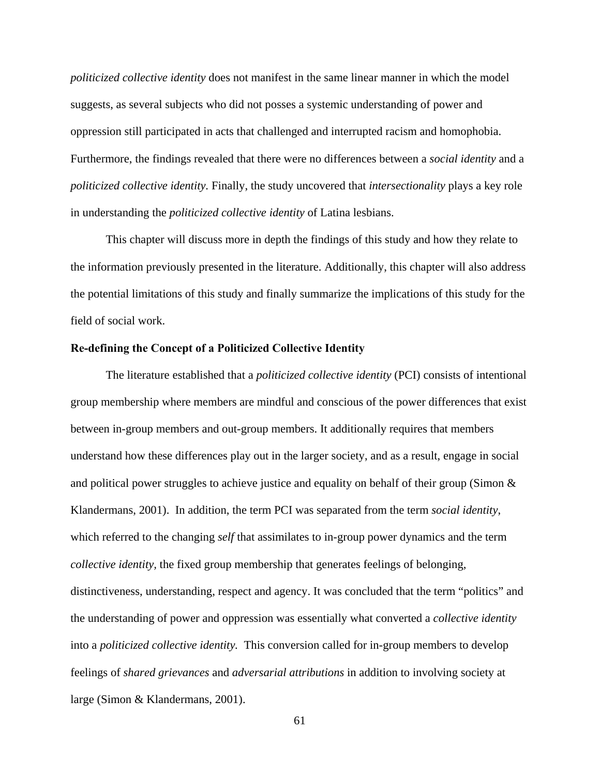*politicized collective identity* does not manifest in the same linear manner in which the model suggests, as several subjects who did not posses a systemic understanding of power and oppression still participated in acts that challenged and interrupted racism and homophobia. Furthermore, the findings revealed that there were no differences between a *social identity* and a *politicized collective identity.* Finally, the study uncovered that *intersectionality* plays a key role in understanding the *politicized collective identity* of Latina lesbians.

 This chapter will discuss more in depth the findings of this study and how they relate to the information previously presented in the literature. Additionally, this chapter will also address the potential limitations of this study and finally summarize the implications of this study for the field of social work.

#### **Re-defining the Concept of a Politicized Collective Identity**

 The literature established that a *politicized collective identity* (PCI) consists of intentional group membership where members are mindful and conscious of the power differences that exist between in-group members and out-group members. It additionally requires that members understand how these differences play out in the larger society, and as a result, engage in social and political power struggles to achieve justice and equality on behalf of their group (Simon  $\&$ Klandermans, 2001). In addition, the term PCI was separated from the term *social identity*, which referred to the changing *self* that assimilates to in-group power dynamics and the term *collective identity,* the fixed group membership that generates feelings of belonging, distinctiveness, understanding, respect and agency. It was concluded that the term "politics" and the understanding of power and oppression was essentially what converted a *collective identity*  into a *politicized collective identity.* This conversion called for in-group members to develop feelings of *shared grievances* and *adversarial attributions* in addition to involving society at large (Simon & Klandermans, 2001).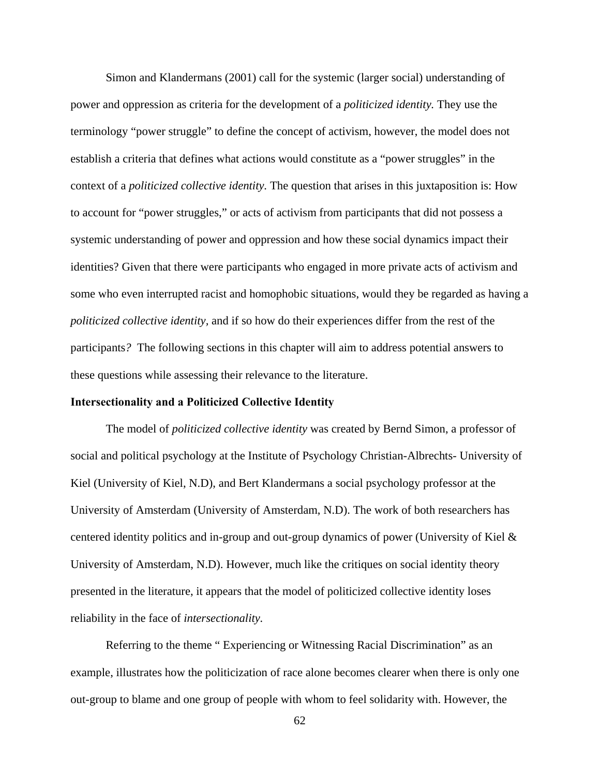Simon and Klandermans (2001) call for the systemic (larger social) understanding of power and oppression as criteria for the development of a *politicized identity.* They use the terminology "power struggle" to define the concept of activism, however, the model does not establish a criteria that defines what actions would constitute as a "power struggles" in the context of a *politicized collective identity.* The question that arises in this juxtaposition is: How to account for "power struggles," or acts of activism from participants that did not possess a systemic understanding of power and oppression and how these social dynamics impact their identities? Given that there were participants who engaged in more private acts of activism and some who even interrupted racist and homophobic situations, would they be regarded as having a *politicized collective identity,* and if so how do their experiences differ from the rest of the participants*?* The following sections in this chapter will aim to address potential answers to these questions while assessing their relevance to the literature.

## **Intersectionality and a Politicized Collective Identity**

The model of *politicized collective identity* was created by Bernd Simon, a professor of social and political psychology at the Institute of Psychology Christian-Albrechts- University of Kiel (University of Kiel, N.D), and Bert Klandermans a social psychology professor at the University of Amsterdam (University of Amsterdam, N.D). The work of both researchers has centered identity politics and in-group and out-group dynamics of power (University of Kiel & University of Amsterdam, N.D). However, much like the critiques on social identity theory presented in the literature, it appears that the model of politicized collective identity loses reliability in the face of *intersectionality.* 

 Referring to the theme " Experiencing or Witnessing Racial Discrimination" as an example, illustrates how the politicization of race alone becomes clearer when there is only one out-group to blame and one group of people with whom to feel solidarity with. However, the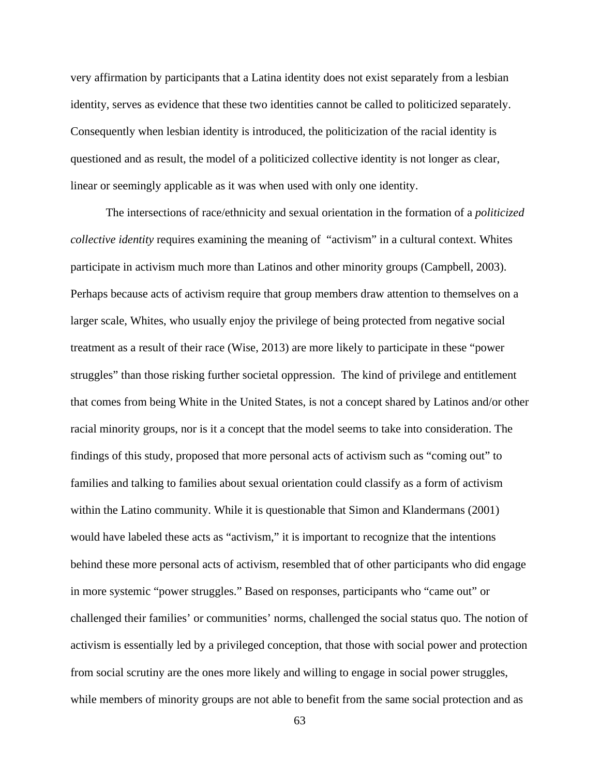very affirmation by participants that a Latina identity does not exist separately from a lesbian identity, serves as evidence that these two identities cannot be called to politicized separately. Consequently when lesbian identity is introduced, the politicization of the racial identity is questioned and as result, the model of a politicized collective identity is not longer as clear, linear or seemingly applicable as it was when used with only one identity.

 The intersections of race/ethnicity and sexual orientation in the formation of a *politicized collective identity* requires examining the meaning of "activism" in a cultural context. Whites participate in activism much more than Latinos and other minority groups (Campbell, 2003). Perhaps because acts of activism require that group members draw attention to themselves on a larger scale, Whites, who usually enjoy the privilege of being protected from negative social treatment as a result of their race (Wise, 2013) are more likely to participate in these "power struggles" than those risking further societal oppression. The kind of privilege and entitlement that comes from being White in the United States, is not a concept shared by Latinos and/or other racial minority groups, nor is it a concept that the model seems to take into consideration. The findings of this study, proposed that more personal acts of activism such as "coming out" to families and talking to families about sexual orientation could classify as a form of activism within the Latino community. While it is questionable that Simon and Klandermans (2001) would have labeled these acts as "activism," it is important to recognize that the intentions behind these more personal acts of activism, resembled that of other participants who did engage in more systemic "power struggles." Based on responses, participants who "came out" or challenged their families' or communities' norms, challenged the social status quo. The notion of activism is essentially led by a privileged conception, that those with social power and protection from social scrutiny are the ones more likely and willing to engage in social power struggles, while members of minority groups are not able to benefit from the same social protection and as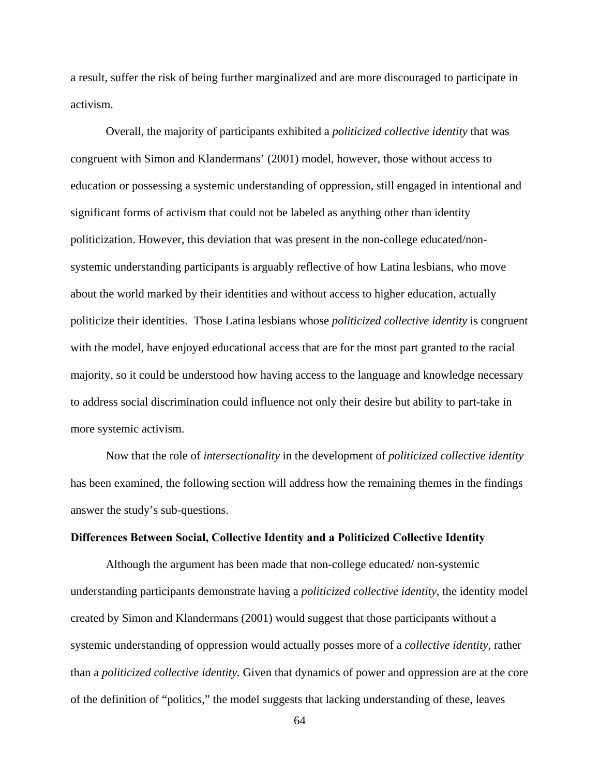a result, suffer the risk of being further marginalized and are more discouraged to participate in activism.

 Overall, the majority of participants exhibited a *politicized collective identity* that was congruent with Simon and Klandermans' (2001) model, however, those without access to education or possessing a systemic understanding of oppression, still engaged in intentional and significant forms of activism that could not be labeled as anything other than identity politicization. However, this deviation that was present in the non-college educated/nonsystemic understanding participants is arguably reflective of how Latina lesbians, who move about the world marked by their identities and without access to higher education, actually politicize their identities. Those Latina lesbians whose *politicized collective identity* is congruent with the model, have enjoyed educational access that are for the most part granted to the racial majority, so it could be understood how having access to the language and knowledge necessary to address social discrimination could influence not only their desire but ability to part-take in more systemic activism.

 Now that the role of *intersectionality* in the development of *politicized collective identity*  has been examined, the following section will address how the remaining themes in the findings answer the study's sub-questions.

#### **Differences Between Social, Collective Identity and a Politicized Collective Identity**

 Although the argument has been made that non-college educated/ non-systemic understanding participants demonstrate having a *politicized collective identity*, the identity model created by Simon and Klandermans (2001) would suggest that those participants without a systemic understanding of oppression would actually posses more of a *collective identity,* rather than a *politicized collective identity.* Given that dynamics of power and oppression are at the core of the definition of "politics," the model suggests that lacking understanding of these, leaves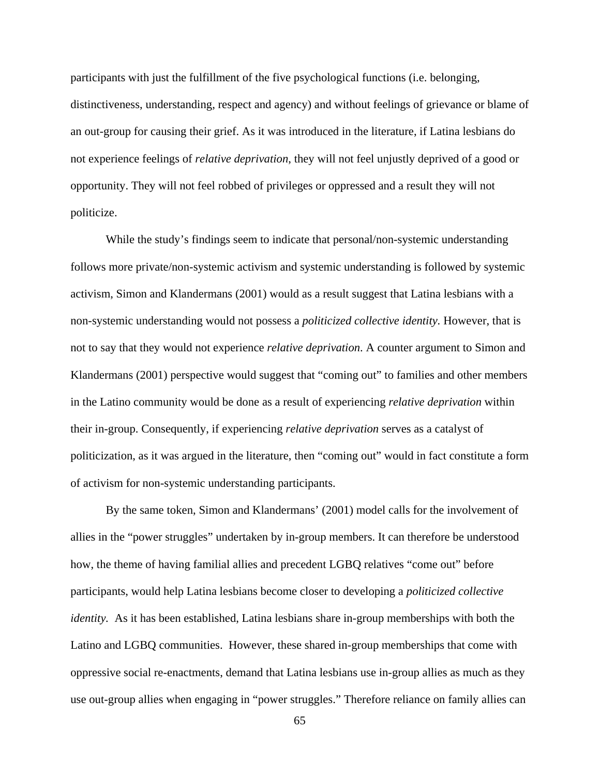participants with just the fulfillment of the five psychological functions (i.e. belonging, distinctiveness, understanding, respect and agency) and without feelings of grievance or blame of an out-group for causing their grief. As it was introduced in the literature, if Latina lesbians do not experience feelings of *relative deprivation*, they will not feel unjustly deprived of a good or opportunity. They will not feel robbed of privileges or oppressed and a result they will not politicize.

 While the study's findings seem to indicate that personal/non-systemic understanding follows more private/non-systemic activism and systemic understanding is followed by systemic activism, Simon and Klandermans (2001) would as a result suggest that Latina lesbians with a non-systemic understanding would not possess a *politicized collective identity.* However, that is not to say that they would not experience *relative deprivation*. A counter argument to Simon and Klandermans (2001) perspective would suggest that "coming out" to families and other members in the Latino community would be done as a result of experiencing *relative deprivation* within their in-group. Consequently, if experiencing *relative deprivation* serves as a catalyst of politicization, as it was argued in the literature, then "coming out" would in fact constitute a form of activism for non-systemic understanding participants.

 By the same token, Simon and Klandermans' (2001) model calls for the involvement of allies in the "power struggles" undertaken by in-group members. It can therefore be understood how, the theme of having familial allies and precedent LGBQ relatives "come out" before participants, would help Latina lesbians become closer to developing a *politicized collective identity.* As it has been established, Latina lesbians share in-group memberships with both the Latino and LGBQ communities. However, these shared in-group memberships that come with oppressive social re-enactments, demand that Latina lesbians use in-group allies as much as they use out-group allies when engaging in "power struggles." Therefore reliance on family allies can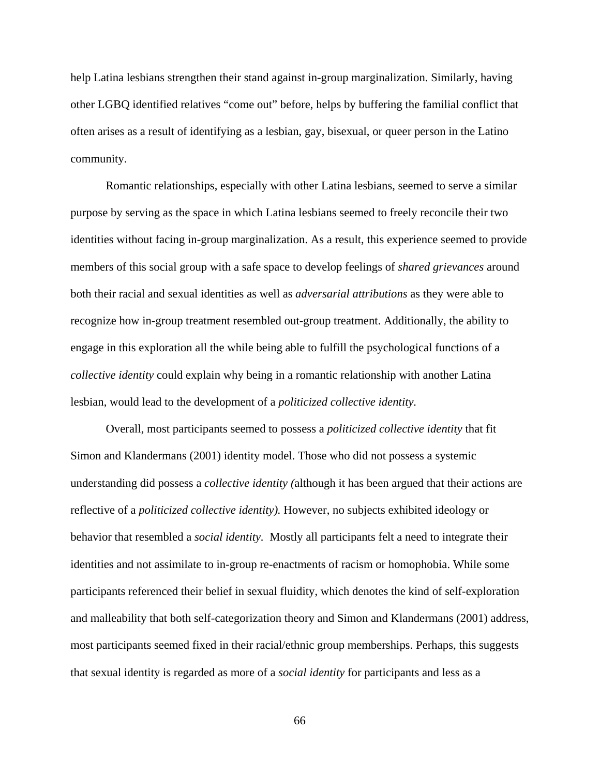help Latina lesbians strengthen their stand against in-group marginalization. Similarly, having other LGBQ identified relatives "come out" before, helps by buffering the familial conflict that often arises as a result of identifying as a lesbian, gay, bisexual, or queer person in the Latino community.

 Romantic relationships, especially with other Latina lesbians, seemed to serve a similar purpose by serving as the space in which Latina lesbians seemed to freely reconcile their two identities without facing in-group marginalization. As a result, this experience seemed to provide members of this social group with a safe space to develop feelings of *shared grievances* around both their racial and sexual identities as well as *adversarial attributions* as they were able to recognize how in-group treatment resembled out-group treatment. Additionally, the ability to engage in this exploration all the while being able to fulfill the psychological functions of a *collective identity* could explain why being in a romantic relationship with another Latina lesbian, would lead to the development of a *politicized collective identity.* 

 Overall, most participants seemed to possess a *politicized collective identity* that fit Simon and Klandermans (2001) identity model. Those who did not possess a systemic understanding did possess a *collective identity (*although it has been argued that their actions are reflective of a *politicized collective identity).* However, no subjects exhibited ideology or behavior that resembled a *social identity.* Mostly all participants felt a need to integrate their identities and not assimilate to in-group re-enactments of racism or homophobia. While some participants referenced their belief in sexual fluidity, which denotes the kind of self-exploration and malleability that both self-categorization theory and Simon and Klandermans (2001) address, most participants seemed fixed in their racial/ethnic group memberships. Perhaps, this suggests that sexual identity is regarded as more of a *social identity* for participants and less as a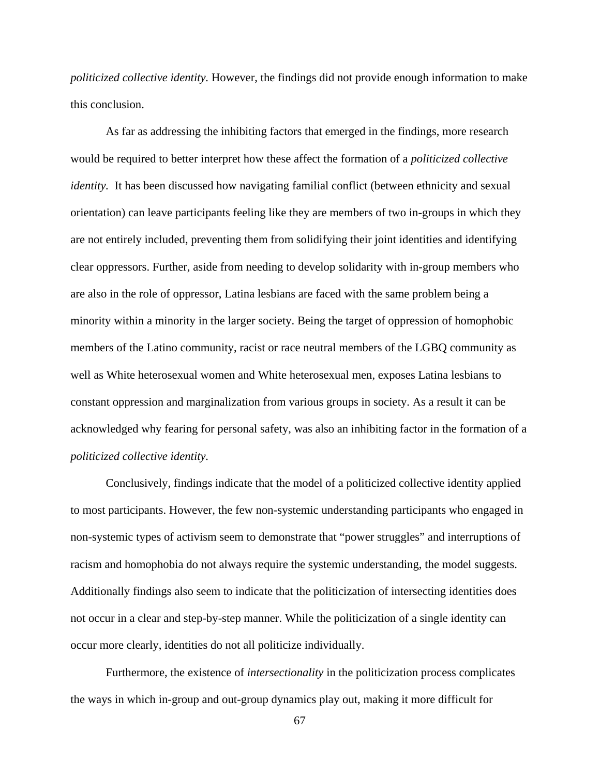*politicized collective identity.* However, the findings did not provide enough information to make this conclusion.

 As far as addressing the inhibiting factors that emerged in the findings, more research would be required to better interpret how these affect the formation of a *politicized collective identity*. It has been discussed how navigating familial conflict (between ethnicity and sexual orientation) can leave participants feeling like they are members of two in-groups in which they are not entirely included, preventing them from solidifying their joint identities and identifying clear oppressors. Further, aside from needing to develop solidarity with in-group members who are also in the role of oppressor, Latina lesbians are faced with the same problem being a minority within a minority in the larger society. Being the target of oppression of homophobic members of the Latino community, racist or race neutral members of the LGBQ community as well as White heterosexual women and White heterosexual men, exposes Latina lesbians to constant oppression and marginalization from various groups in society. As a result it can be acknowledged why fearing for personal safety, was also an inhibiting factor in the formation of a *politicized collective identity.* 

 Conclusively, findings indicate that the model of a politicized collective identity applied to most participants. However, the few non-systemic understanding participants who engaged in non-systemic types of activism seem to demonstrate that "power struggles" and interruptions of racism and homophobia do not always require the systemic understanding, the model suggests. Additionally findings also seem to indicate that the politicization of intersecting identities does not occur in a clear and step-by-step manner. While the politicization of a single identity can occur more clearly, identities do not all politicize individually.

Furthermore, the existence of *intersectionality* in the politicization process complicates the ways in which in-group and out-group dynamics play out, making it more difficult for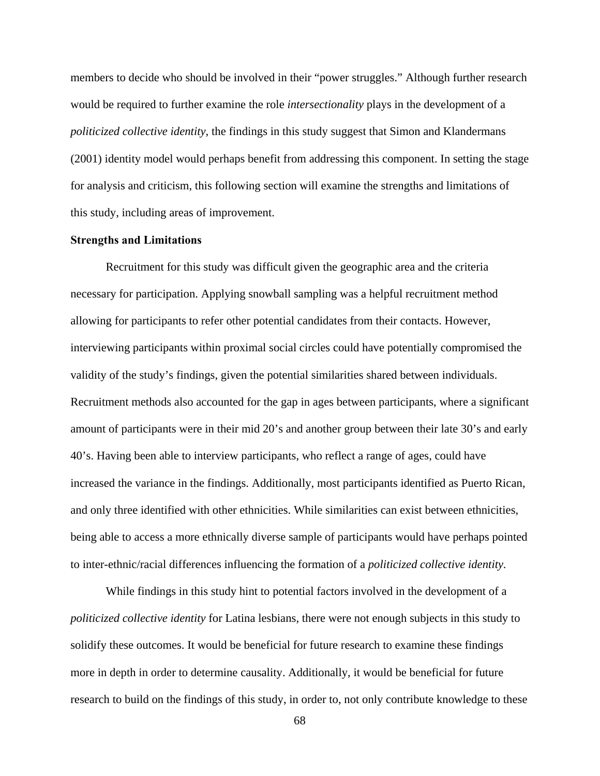members to decide who should be involved in their "power struggles." Although further research would be required to further examine the role *intersectionality* plays in the development of a *politicized collective identity*, the findings in this study suggest that Simon and Klandermans (2001) identity model would perhaps benefit from addressing this component. In setting the stage for analysis and criticism, this following section will examine the strengths and limitations of this study, including areas of improvement.

## **Strengths and Limitations**

 Recruitment for this study was difficult given the geographic area and the criteria necessary for participation. Applying snowball sampling was a helpful recruitment method allowing for participants to refer other potential candidates from their contacts. However, interviewing participants within proximal social circles could have potentially compromised the validity of the study's findings, given the potential similarities shared between individuals. Recruitment methods also accounted for the gap in ages between participants, where a significant amount of participants were in their mid 20's and another group between their late 30's and early 40's. Having been able to interview participants, who reflect a range of ages, could have increased the variance in the findings. Additionally, most participants identified as Puerto Rican, and only three identified with other ethnicities. While similarities can exist between ethnicities, being able to access a more ethnically diverse sample of participants would have perhaps pointed to inter-ethnic/racial differences influencing the formation of a *politicized collective identity.* 

 While findings in this study hint to potential factors involved in the development of a *politicized collective identity* for Latina lesbians, there were not enough subjects in this study to solidify these outcomes. It would be beneficial for future research to examine these findings more in depth in order to determine causality. Additionally, it would be beneficial for future research to build on the findings of this study, in order to, not only contribute knowledge to these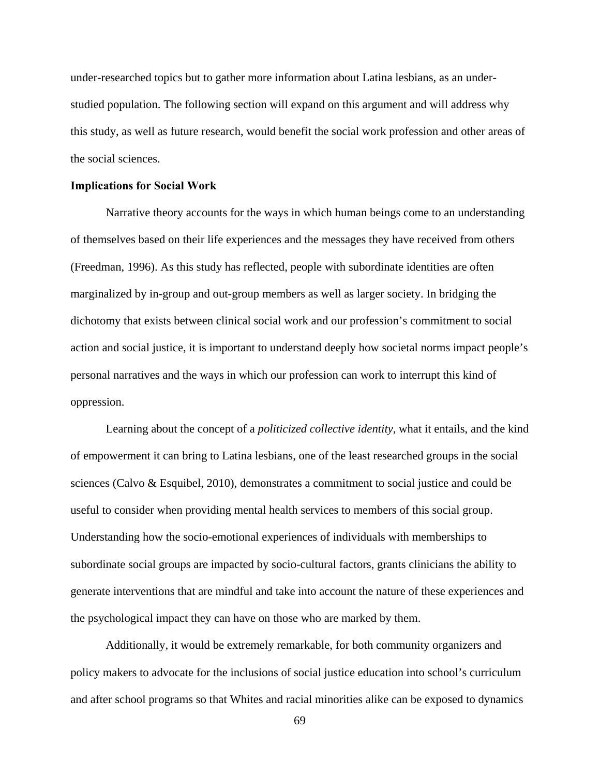under-researched topics but to gather more information about Latina lesbians, as an understudied population. The following section will expand on this argument and will address why this study, as well as future research, would benefit the social work profession and other areas of the social sciences.

#### **Implications for Social Work**

Narrative theory accounts for the ways in which human beings come to an understanding of themselves based on their life experiences and the messages they have received from others (Freedman, 1996). As this study has reflected, people with subordinate identities are often marginalized by in-group and out-group members as well as larger society. In bridging the dichotomy that exists between clinical social work and our profession's commitment to social action and social justice, it is important to understand deeply how societal norms impact people's personal narratives and the ways in which our profession can work to interrupt this kind of oppression.

 Learning about the concept of a *politicized collective identity,* what it entails, and the kind of empowerment it can bring to Latina lesbians, one of the least researched groups in the social sciences (Calvo & Esquibel, 2010), demonstrates a commitment to social justice and could be useful to consider when providing mental health services to members of this social group. Understanding how the socio-emotional experiences of individuals with memberships to subordinate social groups are impacted by socio-cultural factors, grants clinicians the ability to generate interventions that are mindful and take into account the nature of these experiences and the psychological impact they can have on those who are marked by them.

 Additionally, it would be extremely remarkable, for both community organizers and policy makers to advocate for the inclusions of social justice education into school's curriculum and after school programs so that Whites and racial minorities alike can be exposed to dynamics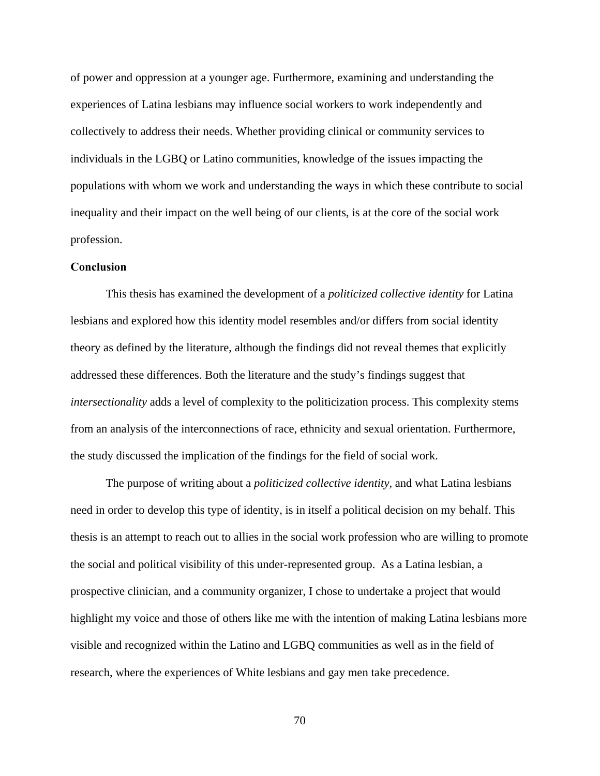of power and oppression at a younger age. Furthermore, examining and understanding the experiences of Latina lesbians may influence social workers to work independently and collectively to address their needs. Whether providing clinical or community services to individuals in the LGBQ or Latino communities, knowledge of the issues impacting the populations with whom we work and understanding the ways in which these contribute to social inequality and their impact on the well being of our clients, is at the core of the social work profession.

# **Conclusion**

 This thesis has examined the development of a *politicized collective identity* for Latina lesbians and explored how this identity model resembles and/or differs from social identity theory as defined by the literature, although the findings did not reveal themes that explicitly addressed these differences. Both the literature and the study's findings suggest that *intersectionality* adds a level of complexity to the politicization process. This complexity stems from an analysis of the interconnections of race, ethnicity and sexual orientation. Furthermore, the study discussed the implication of the findings for the field of social work.

 The purpose of writing about a *politicized collective identity,* and what Latina lesbians need in order to develop this type of identity, is in itself a political decision on my behalf. This thesis is an attempt to reach out to allies in the social work profession who are willing to promote the social and political visibility of this under-represented group. As a Latina lesbian, a prospective clinician, and a community organizer, I chose to undertake a project that would highlight my voice and those of others like me with the intention of making Latina lesbians more visible and recognized within the Latino and LGBQ communities as well as in the field of research, where the experiences of White lesbians and gay men take precedence.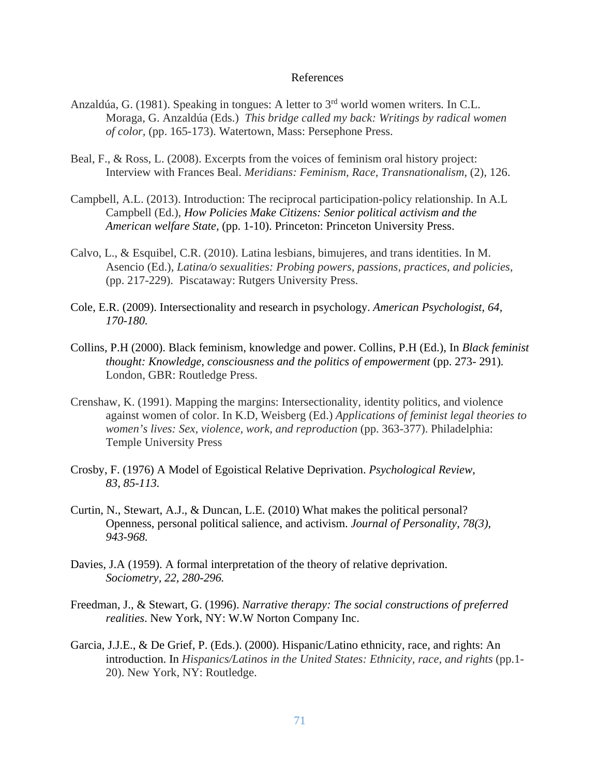#### References

- Anzaldúa, G. (1981). Speaking in tongues: A letter to 3rd world women writers*.* In C.L. Moraga, G. Anzaldúa (Eds.) *This bridge called my back: Writings by radical women of color,* (pp. 165-173). Watertown, Mass: Persephone Press.
- Beal, F., & Ross, L. (2008). Excerpts from the voices of feminism oral history project: Interview with Frances Beal. *Meridians: Feminism, Race, Transnationalism*, (2), 126.
- Campbell, A.L. (2013). Introduction: The reciprocal participation-policy relationship. In A.L Campbell (Ed.), *How Policies Make Citizens: Senior political activism and the American welfare State,* (pp. 1-10). Princeton: Princeton University Press.
- Calvo, L., & Esquibel, C.R. (2010). Latina lesbians, bimujeres, and trans identities. In M. Asencio (Ed.), *Latina/o sexualities: Probing powers, passions, practices, and policies*, (pp. 217-229). Piscataway: Rutgers University Press.
- Cole, E.R. (2009). Intersectionality and research in psychology. *American Psychologist, 64, 170-180.*
- Collins, P.H (2000). Black feminism, knowledge and power. Collins, P.H (Ed.), In *Black feminist thought: Knowledge, consciousness and the politics of empowerment* (pp. 273- 291)*.* London, GBR: Routledge Press.
- Crenshaw, K. (1991). Mapping the margins: Intersectionality, identity politics, and violence against women of color. In K.D, Weisberg (Ed.) *Applications of feminist legal theories to women's lives: Sex, violence, work, and reproduction (pp. 363-377). Philadelphia:* Temple University Press
- Crosby, F. (1976) A Model of Egoistical Relative Deprivation. *Psychological Review, 83, 85-113.*
- Curtin, N., Stewart, A.J., & Duncan, L.E. (2010) What makes the political personal? Openness, personal political salience, and activism. *Journal of Personality, 78(3), 943-968.*
- Davies, J.A (1959). A formal interpretation of the theory of relative deprivation. *Sociometry, 22, 280-296.*
- Freedman, J., & Stewart, G. (1996). *Narrative therapy: The social constructions of preferred realities*. New York, NY: W.W Norton Company Inc.
- Garcia, J.J.E., & De Grief, P. (Eds.). (2000). Hispanic/Latino ethnicity, race, and rights: An introduction. In *Hispanics/Latinos in the United States: Ethnicity, race, and rights* (pp.1- 20). New York, NY: Routledge.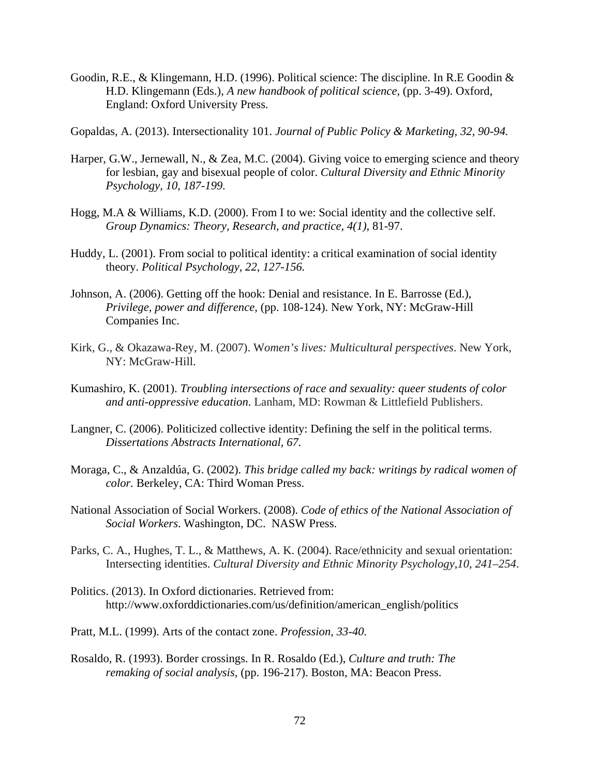- Goodin, R.E., & Klingemann, H.D. (1996). Political science: The discipline. In R.E Goodin & H.D. Klingemann (Eds.), *A new handbook of political science,* (pp. 3-49). Oxford, England: Oxford University Press.
- Gopaldas, A. (2013). Intersectionality 101. *Journal of Public Policy & Marketing, 32, 90-94.*
- Harper, G.W., Jernewall, N., & Zea, M.C. (2004). Giving voice to emerging science and theory for lesbian, gay and bisexual people of color. *Cultural Diversity and Ethnic Minority Psychology, 10, 187-199.*
- Hogg, M.A & Williams, K.D. (2000). From I to we: Social identity and the collective self. *Group Dynamics: Theory, Research, and practice, 4(1),* 81-97.
- Huddy, L. (2001). From social to political identity: a critical examination of social identity theory. *Political Psychology, 22, 127-156.*
- Johnson, A. (2006). Getting off the hook: Denial and resistance. In E. Barrosse (Ed.), *Privilege, power and difference,* (pp. 108-124). New York, NY: McGraw-Hill Companies Inc.
- Kirk, G., & Okazawa-Rey, M. (2007). W*omen's lives: Multicultural perspectives*. New York, NY: McGraw-Hill.
- Kumashiro, K. (2001). *Troubling intersections of race and sexuality: queer students of color and anti-oppressive education*. Lanham, MD: Rowman & Littlefield Publishers.
- Langner, C. (2006). Politicized collective identity: Defining the self in the political terms. *Dissertations Abstracts International, 67.*
- Moraga, C., & Anzaldúa, G. (2002). *This bridge called my back: writings by radical women of color.* Berkeley, CA: Third Woman Press.
- National Association of Social Workers. (2008). *Code of ethics of the National Association of Social Workers*. Washington, DC. NASW Press.
- Parks, C. A., Hughes, T. L., & Matthews, A. K. (2004). Race/ethnicity and sexual orientation: Intersecting identities. *Cultural Diversity and Ethnic Minority Psychology*,*10, 241–254*.
- Politics. (2013). In Oxford dictionaries. Retrieved from: http://www.oxforddictionaries.com/us/definition/american\_english/politics
- Pratt, M.L. (1999). Arts of the contact zone. *Profession, 33-40.*
- Rosaldo, R. (1993). Border crossings. In R. Rosaldo (Ed.), *Culture and truth: The remaking of social analysis,* (pp. 196-217). Boston, MA: Beacon Press.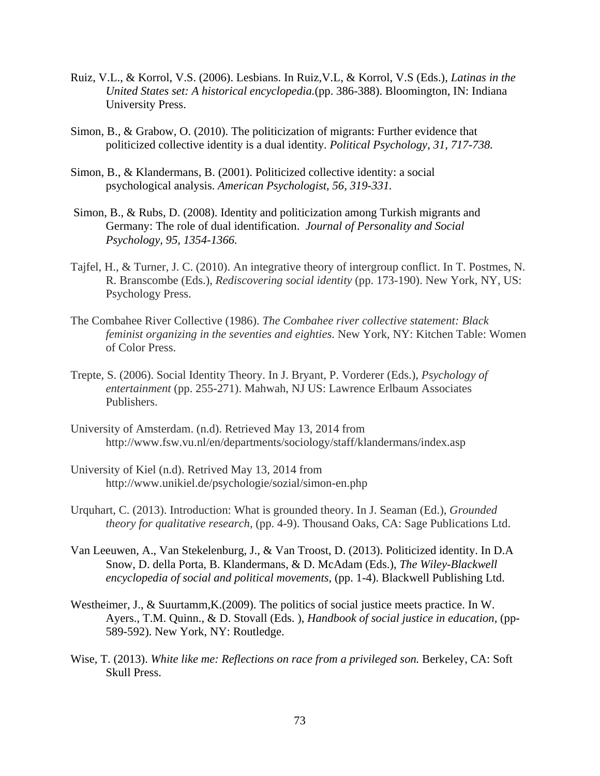- Ruiz, V.L., & Korrol, V.S. (2006). Lesbians. In Ruiz,V.L, & Korrol, V.S (Eds.), *Latinas in the United States set: A historical encyclopedia.*(pp. 386-388). Bloomington, IN: Indiana University Press.
- Simon, B., & Grabow, O. (2010). The politicization of migrants: Further evidence that politicized collective identity is a dual identity. *Political Psychology, 31, 717-738.*
- Simon, B., & Klandermans, B. (2001). Politicized collective identity: a social psychological analysis. *American Psychologist, 56, 319-331.*
- Simon, B., & Rubs, D. (2008). Identity and politicization among Turkish migrants and Germany: The role of dual identification. *Journal of Personality and Social Psychology, 95, 1354-1366.*
- Tajfel, H., & Turner, J. C. (2010). An integrative theory of intergroup conflict. In T. Postmes, N. R. Branscombe (Eds.), *Rediscovering social identity* (pp. 173-190). New York, NY, US: Psychology Press.
- The Combahee River Collective (1986). *The Combahee river collective statement: Black feminist organizing in the seventies and eighties*. New York, NY: Kitchen Table: Women of Color Press.
- Trepte, S. (2006). Social Identity Theory. In J. Bryant, P. Vorderer (Eds.), *Psychology of entertainment* (pp. 255-271). Mahwah, NJ US: Lawrence Erlbaum Associates Publishers.
- University of Amsterdam. (n.d). Retrieved May 13, 2014 from http://www.fsw.vu.nl/en/departments/sociology/staff/klandermans/index.asp
- University of Kiel (n.d). Retrived May 13, 2014 from http://www.unikiel.de/psychologie/sozial/simon-en.php
- Urquhart, C. (2013). Introduction: What is grounded theory. In J. Seaman (Ed.), *Grounded theory for qualitative research, (pp. 4-9). Thousand Oaks, CA: Sage Publications Ltd.*
- Van Leeuwen, A., Van Stekelenburg, J., & Van Troost, D. (2013). Politicized identity. In D.A Snow, D. della Porta, B. Klandermans, & D. McAdam (Eds.), *The Wiley-Blackwell encyclopedia of social and political movements,* (pp. 1-4). Blackwell Publishing Ltd.
- Westheimer, J., & Suurtamm,K.(2009). The politics of social justice meets practice. In W. Ayers., T.M. Quinn., & D. Stovall (Eds. ), *Handbook of social justice in education,* (pp- 589-592). New York, NY: Routledge.
- Wise, T. (2013). *White like me: Reflections on race from a privileged son.* Berkeley, CA: Soft Skull Press.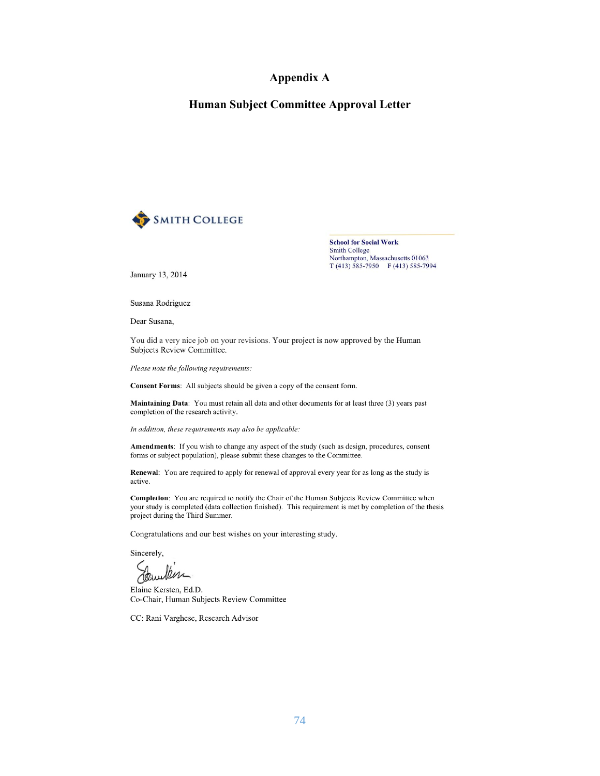# **Appendix A**

## **Human Subject Committee Approval Letter**



**School for Social Work Smith College** Northampton, Massachusetts 01063 T (413) 585-7950 F (413) 585-7994

January 13, 2014

Susana Rodriguez

Dear Susana.

You did a very nice job on your revisions. Your project is now approved by the Human Subjects Review Committee.

Please note the following requirements:

Consent Forms: All subjects should be given a copy of the consent form.

Maintaining Data: You must retain all data and other documents for at least three (3) years past completion of the research activity.

In addition, these requirements may also be applicable:

Amendments: If you wish to change any aspect of the study (such as design, procedures, consent forms or subject population), please submit these changes to the Committee.

Renewal: You are required to apply for renewal of approval every year for as long as the study is active.

Completion: You are required to notify the Chair of the Human Subjects Review Committee when your study is completed (data collection finished). This requirement is met by completion of the thesis project during the Third Summer.

Congratulations and our best wishes on your interesting study.

Sincerely,

Jour

Elaine Kersten, Ed.D. Co-Chair, Human Subjects Review Committee

CC: Rani Varghese, Research Advisor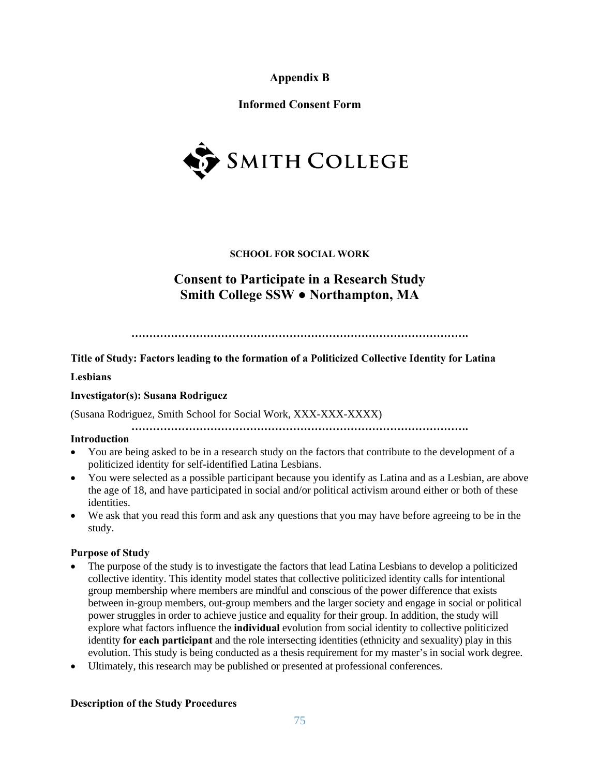**Appendix B** 

**Informed Consent Form** 



# **SCHOOL FOR SOCIAL WORK**

# **Consent to Participate in a Research Study Smith College SSW ● Northampton, MA**

**………………………………………………………………………………….** 

# **Title of Study: Factors leading to the formation of a Politicized Collective Identity for Latina**

# **Lesbians**

# **Investigator(s): Susana Rodriguez**

(Susana Rodriguez, Smith School for Social Work, XXX-XXX-XXXX)

**………………………………………………………………………………….** 

# **Introduction**

- You are being asked to be in a research study on the factors that contribute to the development of a politicized identity for self-identified Latina Lesbians.
- You were selected as a possible participant because you identify as Latina and as a Lesbian, are above the age of 18, and have participated in social and/or political activism around either or both of these identities.
- We ask that you read this form and ask any questions that you may have before agreeing to be in the study.

# **Purpose of Study**

- The purpose of the study is to investigate the factors that lead Latina Lesbians to develop a politicized collective identity. This identity model states that collective politicized identity calls for intentional group membership where members are mindful and conscious of the power difference that exists between in-group members, out-group members and the larger society and engage in social or political power struggles in order to achieve justice and equality for their group. In addition, the study will explore what factors influence the **individual** evolution from social identity to collective politicized identity **for each participant** and the role intersecting identities (ethnicity and sexuality) play in this evolution. This study is being conducted as a thesis requirement for my master's in social work degree.
- Ultimately, this research may be published or presented at professional conferences.

# **Description of the Study Procedures**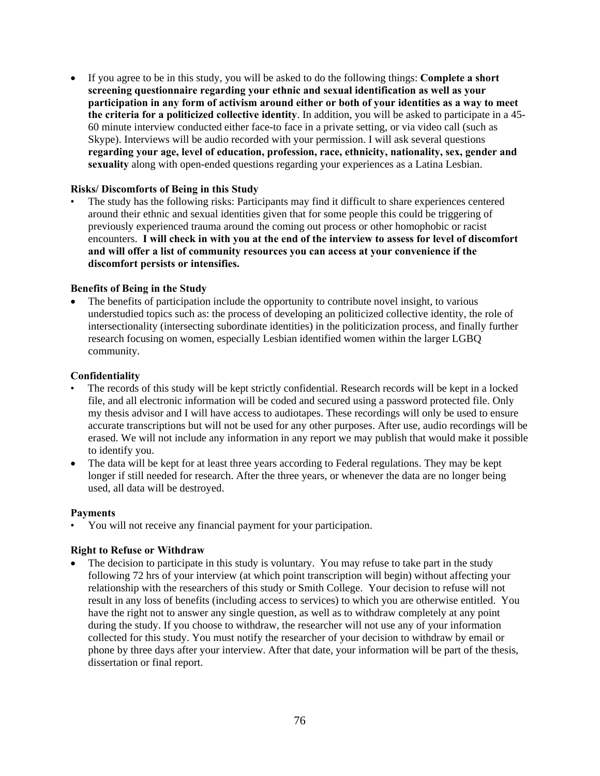If you agree to be in this study, you will be asked to do the following things: **Complete a short screening questionnaire regarding your ethnic and sexual identification as well as your participation in any form of activism around either or both of your identities as a way to meet the criteria for a politicized collective identity**. In addition, you will be asked to participate in a 45- 60 minute interview conducted either face-to face in a private setting, or via video call (such as Skype). Interviews will be audio recorded with your permission. I will ask several questions **regarding your age, level of education, profession, race, ethnicity, nationality, sex, gender and sexuality** along with open-ended questions regarding your experiences as a Latina Lesbian.

# **Risks/ Discomforts of Being in this Study**

• The study has the following risks: Participants may find it difficult to share experiences centered around their ethnic and sexual identities given that for some people this could be triggering of previously experienced trauma around the coming out process or other homophobic or racist encounters. **I will check in with you at the end of the interview to assess for level of discomfort and will offer a list of community resources you can access at your convenience if the discomfort persists or intensifies.** 

### **Benefits of Being in the Study**

 The benefits of participation include the opportunity to contribute novel insight, to various understudied topics such as: the process of developing an politicized collective identity, the role of intersectionality (intersecting subordinate identities) in the politicization process, and finally further research focusing on women, especially Lesbian identified women within the larger LGBQ community.

#### **Confidentiality**

- The records of this study will be kept strictly confidential. Research records will be kept in a locked file, and all electronic information will be coded and secured using a password protected file. Only my thesis advisor and I will have access to audiotapes. These recordings will only be used to ensure accurate transcriptions but will not be used for any other purposes. After use, audio recordings will be erased. We will not include any information in any report we may publish that would make it possible to identify you.
- The data will be kept for at least three years according to Federal regulations. They may be kept longer if still needed for research. After the three years, or whenever the data are no longer being used, all data will be destroyed.

#### **Payments**

• You will not receive any financial payment for your participation.

#### **Right to Refuse or Withdraw**

 The decision to participate in this study is voluntary.You may refuse to take part in the study following 72 hrs of your interview (at which point transcription will begin) without affecting your relationship with the researchers of this study or Smith College. Your decision to refuse will not result in any loss of benefits (including access to services) to which you are otherwise entitled. You have the right not to answer any single question, as well as to withdraw completely at any point during the study. If you choose to withdraw, the researcher will not use any of your information collected for this study. You must notify the researcher of your decision to withdraw by email or phone by three days after your interview. After that date, your information will be part of the thesis, dissertation or final report.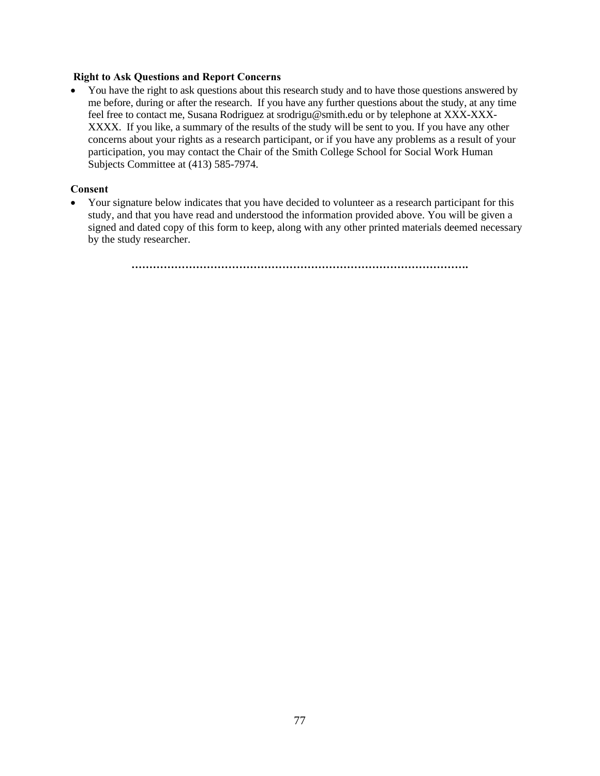## **Right to Ask Questions and Report Concerns**

• You have the right to ask questions about this research study and to have those questions answered by me before, during or after the research. If you have any further questions about the study, at any time feel free to contact me, Susana Rodriguez at srodrigu@smith.edu or by telephone at XXX-XXX-XXXX. If you like, a summary of the results of the study will be sent to you. If you have any other concerns about your rights as a research participant, or if you have any problems as a result of your participation, you may contact the Chair of the Smith College School for Social Work Human Subjects Committee at (413) 585-7974.

## **Consent**

• Your signature below indicates that you have decided to volunteer as a research participant for this study, and that you have read and understood the information provided above. You will be given a signed and dated copy of this form to keep, along with any other printed materials deemed necessary by the study researcher.

**………………………………………………………………………………….**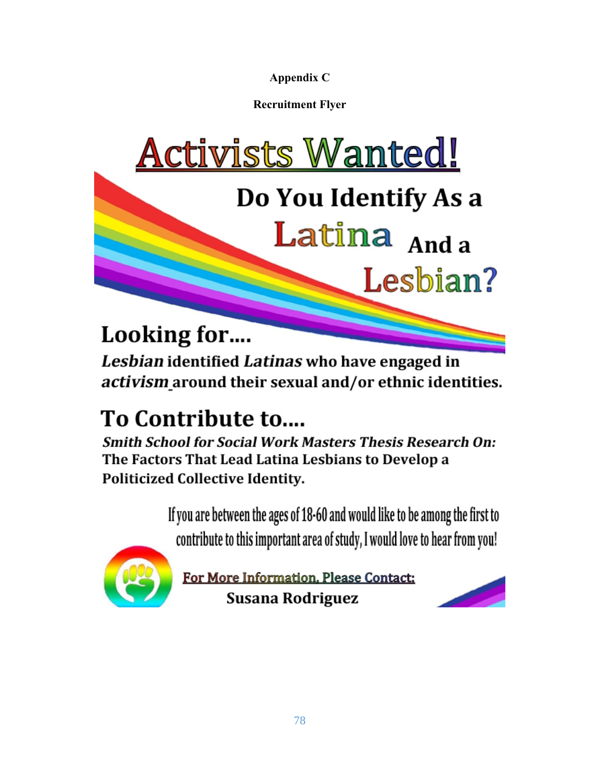**Appendix C** 

**Recruitment Flyer** 



Latina And a

Lesbian?

# Looking for....

Lesbian identified Latinas who have engaged in activism around their sexual and/or ethnic identities.

# To Contribute to....

**Smith School for Social Work Masters Thesis Research On:** The Factors That Lead Latina Lesbians to Develop a **Politicized Collective Identity.** 

> If you are between the ages of 18-60 and would like to be among the first to contribute to this important area of study, I would love to hear from you!



For More Information, Please Contact: Susana Rodriguez

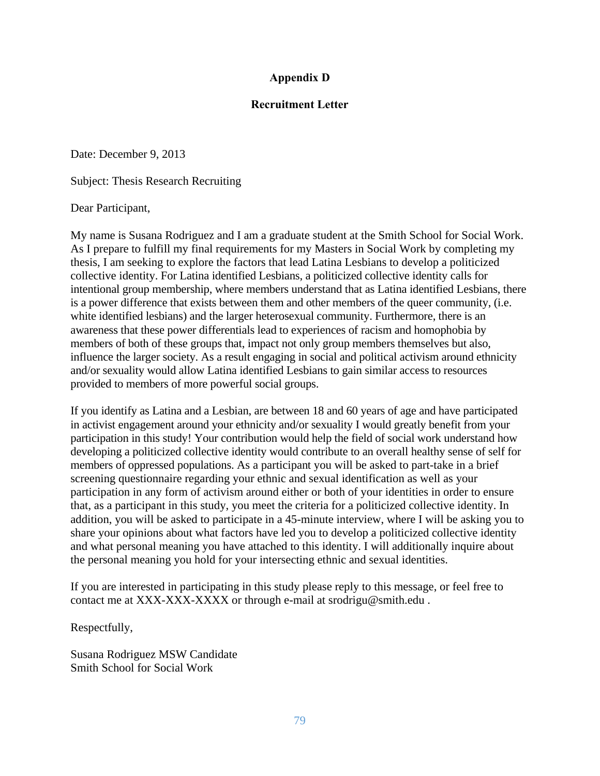# **Appendix D**

# **Recruitment Letter**

Date: December 9, 2013

Subject: Thesis Research Recruiting

Dear Participant,

My name is Susana Rodriguez and I am a graduate student at the Smith School for Social Work. As I prepare to fulfill my final requirements for my Masters in Social Work by completing my thesis, I am seeking to explore the factors that lead Latina Lesbians to develop a politicized collective identity. For Latina identified Lesbians, a politicized collective identity calls for intentional group membership, where members understand that as Latina identified Lesbians, there is a power difference that exists between them and other members of the queer community, (i.e. white identified lesbians) and the larger heterosexual community. Furthermore, there is an awareness that these power differentials lead to experiences of racism and homophobia by members of both of these groups that, impact not only group members themselves but also, influence the larger society. As a result engaging in social and political activism around ethnicity and/or sexuality would allow Latina identified Lesbians to gain similar access to resources provided to members of more powerful social groups.

If you identify as Latina and a Lesbian, are between 18 and 60 years of age and have participated in activist engagement around your ethnicity and/or sexuality I would greatly benefit from your participation in this study! Your contribution would help the field of social work understand how developing a politicized collective identity would contribute to an overall healthy sense of self for members of oppressed populations. As a participant you will be asked to part-take in a brief screening questionnaire regarding your ethnic and sexual identification as well as your participation in any form of activism around either or both of your identities in order to ensure that, as a participant in this study, you meet the criteria for a politicized collective identity. In addition, you will be asked to participate in a 45-minute interview, where I will be asking you to share your opinions about what factors have led you to develop a politicized collective identity and what personal meaning you have attached to this identity. I will additionally inquire about the personal meaning you hold for your intersecting ethnic and sexual identities.

If you are interested in participating in this study please reply to this message, or feel free to contact me at XXX-XXX-XXXX or through e-mail at srodrigu@smith.edu.

Respectfully,

Susana Rodriguez MSW Candidate Smith School for Social Work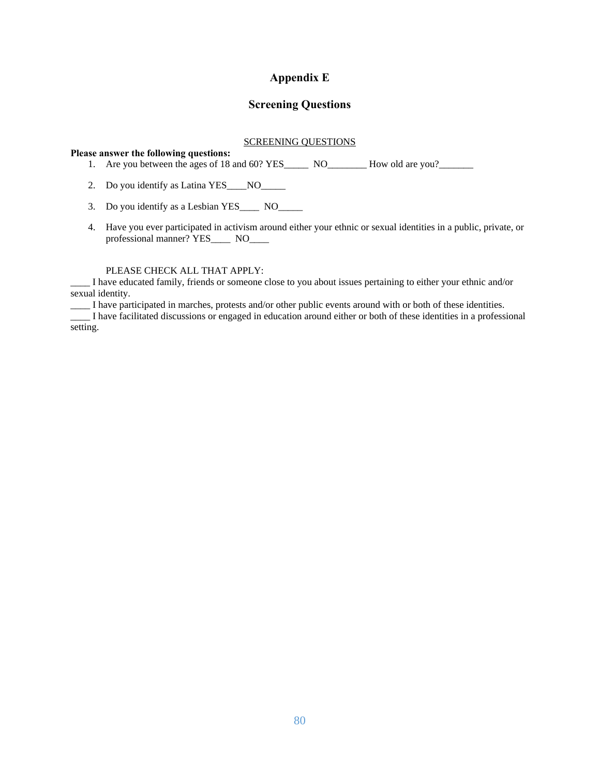# **Appendix E**

# **Screening Questions**

# SCREENING QUESTIONS

#### **Please answer the following questions:**

- 1. Are you between the ages of 18 and 60? YES\_\_\_\_\_\_ NO\_\_\_\_\_\_\_\_ How old are you?\_\_\_\_\_\_
- 2. Do you identify as Latina YES\_\_\_\_ NO\_\_\_\_\_
- 3. Do you identify as a Lesbian YES\_\_\_\_ NO\_\_\_\_\_
- 4. Have you ever participated in activism around either your ethnic or sexual identities in a public, private, or professional manner? YES\_\_\_\_ NO\_\_\_\_

#### PLEASE CHECK ALL THAT APPLY:

\_\_\_\_ I have educated family, friends or someone close to you about issues pertaining to either your ethnic and/or sexual identity.

\_\_\_\_ I have participated in marches, protests and/or other public events around with or both of these identities.

\_\_\_\_ I have facilitated discussions or engaged in education around either or both of these identities in a professional setting.